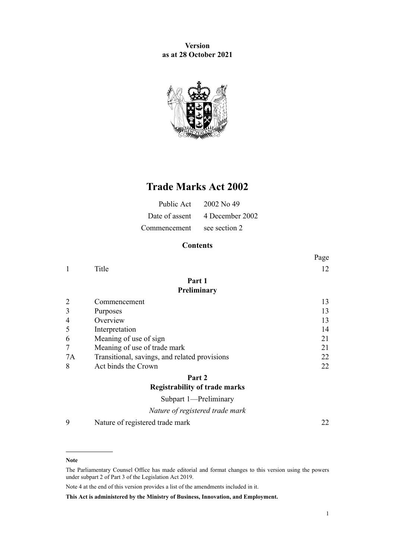**Version as at 28 October 2021**



# **Trade Marks Act 2002**

|                            | Public Act $2002$ No 49        |
|----------------------------|--------------------------------|
|                            | Date of assent 4 December 2002 |
| Commencement see section 2 |                                |

## **Contents**

|    |                                               | Page |
|----|-----------------------------------------------|------|
| 1  | Title                                         | 12   |
|    | Part 1                                        |      |
|    | Preliminary                                   |      |
| 2  | Commencement                                  | 13   |
| 3  | Purposes                                      | 13   |
| 4  | Overview                                      | 13   |
| 5  | Interpretation                                | 14   |
| 6  | Meaning of use of sign                        | 21   |
| 7  | Meaning of use of trade mark                  | 21   |
| 7A | Transitional, savings, and related provisions | 22   |
| 8  | Act binds the Crown                           | 22   |
|    | Part 2                                        |      |
|    | <b>Registrability of trade marks</b>          |      |
|    | Subpart 1-Preliminary                         |      |
|    | Nature of registered trade mark               |      |

[9](#page-21-0) [Nature of registered trade mark](#page-21-0) [22](#page-21-0)

#### **Note**

The Parliamentary Counsel Office has made editorial and format changes to this version using the powers under [subpart 2](http://legislation.govt.nz/pdflink.aspx?id=DLM7298371) of Part 3 of the Legislation Act 2019.

Note 4 at the end of this version provides a list of the amendments included in it.

**This Act is administered by the Ministry of Business, Innovation, and Employment.**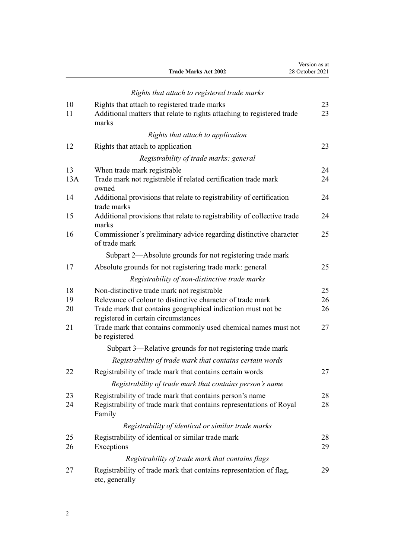|          | <b>Trade Marks Act 2002</b>                                                                                                     | 28 October 2021 |
|----------|---------------------------------------------------------------------------------------------------------------------------------|-----------------|
|          | Rights that attach to registered trade marks                                                                                    |                 |
| 10<br>11 | Rights that attach to registered trade marks<br>Additional matters that relate to rights attaching to registered trade<br>marks | 23<br>23        |
|          | Rights that attach to application                                                                                               |                 |
| 12       | Rights that attach to application                                                                                               | 23              |
|          | Registrability of trade marks: general                                                                                          |                 |
| 13       | When trade mark registrable                                                                                                     | 24              |
| 13A      | Trade mark not registrable if related certification trade mark<br>owned                                                         | 24              |
| 14       | Additional provisions that relate to registrability of certification<br>trade marks                                             | 24              |
| 15       | Additional provisions that relate to registrability of collective trade<br>marks                                                | 24              |
| 16       | Commissioner's preliminary advice regarding distinctive character<br>of trade mark                                              | 25              |
|          | Subpart 2—Absolute grounds for not registering trade mark                                                                       |                 |
| 17       | Absolute grounds for not registering trade mark: general                                                                        | 25              |
|          | Registrability of non-distinctive trade marks                                                                                   |                 |
| 18       | Non-distinctive trade mark not registrable                                                                                      | 25              |
| 19       | Relevance of colour to distinctive character of trade mark                                                                      | 26              |
| 20       | Trade mark that contains geographical indication must not be<br>registered in certain circumstances                             | 26              |
| 21       | Trade mark that contains commonly used chemical names must not<br>be registered                                                 | 27              |
|          | Subpart 3—Relative grounds for not registering trade mark                                                                       |                 |
|          | Registrability of trade mark that contains certain words                                                                        |                 |
| 22       | Registrability of trade mark that contains certain words                                                                        | 27              |
|          | Registrability of trade mark that contains person's name                                                                        |                 |
| 23       | Registrability of trade mark that contains person's name                                                                        | 28              |
| 24       | Registrability of trade mark that contains representations of Royal<br>Family                                                   | 28              |
|          | Registrability of identical or similar trade marks                                                                              |                 |
| 25<br>26 | Registrability of identical or similar trade mark<br>Exceptions                                                                 | 28<br>29        |
|          | Registrability of trade mark that contains flags                                                                                |                 |
| 27       | Registrability of trade mark that contains representation of flag,<br>etc, generally                                            | 29              |

Version as at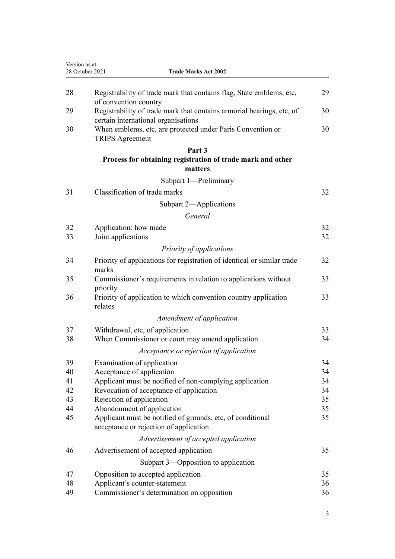|    | 28 October 2021<br><b>Trade Marks Act 2002</b>                                                               |    |
|----|--------------------------------------------------------------------------------------------------------------|----|
| 28 | Registrability of trade mark that contains flag, State emblems, etc,<br>of convention country                | 29 |
| 29 | Registrability of trade mark that contains armorial bearings, etc, of<br>certain international organisations | 30 |
| 30 | When emblems, etc, are protected under Paris Convention or<br><b>TRIPS</b> Agreement                         | 30 |
|    | Part 3                                                                                                       |    |
|    | Process for obtaining registration of trade mark and other                                                   |    |
|    | matters                                                                                                      |    |
|    | Subpart 1-Preliminary                                                                                        |    |
| 31 | Classification of trade marks                                                                                | 32 |
|    | Subpart 2-Applications                                                                                       |    |
|    | General                                                                                                      |    |
| 32 | Application: how made                                                                                        | 32 |
| 33 | Joint applications                                                                                           | 32 |
|    | Priority of applications                                                                                     |    |
| 34 | Priority of applications for registration of identical or similar trade                                      | 32 |
|    | marks                                                                                                        |    |
| 35 | Commissioner's requirements in relation to applications without                                              | 33 |
| 36 | priority<br>Priority of application to which convention country application<br>relates                       | 33 |
|    | Amendment of application                                                                                     |    |
| 37 | Withdrawal, etc, of application                                                                              | 33 |
| 38 | When Commissioner or court may amend application                                                             | 34 |
|    | Acceptance or rejection of application                                                                       |    |
| 39 | Examination of application                                                                                   | 34 |
| 40 | Acceptance of application                                                                                    | 34 |
| 41 | Applicant must be notified of non-complying application                                                      | 34 |
| 42 | Revocation of acceptance of application                                                                      | 34 |
| 43 | Rejection of application                                                                                     | 35 |
| 44 | Abandonment of application                                                                                   | 35 |
| 45 | Applicant must be notified of grounds, etc, of conditional<br>acceptance or rejection of application         | 35 |
|    | Advertisement of accepted application                                                                        |    |
| 46 | Advertisement of accepted application                                                                        | 35 |
|    | Subpart 3—Opposition to application                                                                          |    |
| 47 | Opposition to accepted application                                                                           | 35 |
| 48 | Applicant's counter-statement                                                                                | 36 |
| 49 | Commissioner's determination on opposition                                                                   | 36 |
|    |                                                                                                              |    |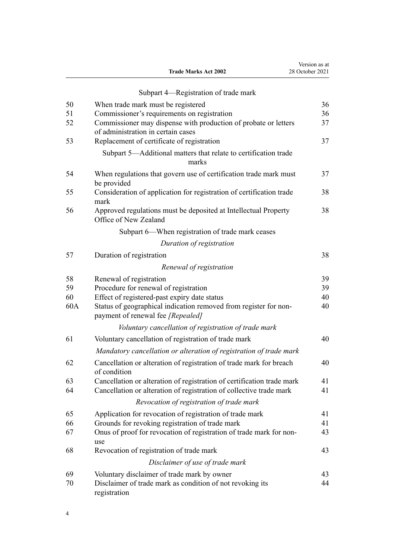| Subpart 4—Registration of trade mark                                                                  |    |
|-------------------------------------------------------------------------------------------------------|----|
| When trade mark must be registered                                                                    | 36 |
| Commissioner's requirements on registration                                                           | 36 |
| Commissioner may dispense with production of probate or letters<br>of administration in certain cases | 37 |
| Replacement of certificate of registration                                                            | 37 |
| Subpart 5—Additional matters that relate to certification trade<br>marks                              |    |
| When regulations that govern use of certification trade mark must<br>be provided                      | 37 |
| Consideration of application for registration of certification trade<br>mark                          | 38 |
| Approved regulations must be deposited at Intellectual Property<br>Office of New Zealand              | 38 |
|                                                                                                       |    |

**Trade Marks Act 2002**

Version as at 28 October 2021

[Subpart 6—When registration of trade mark ceases](#page-37-0)

## *[Duration of registration](#page-37-0)*

| 57       | Duration of registration                                                                                                                      | 38       |
|----------|-----------------------------------------------------------------------------------------------------------------------------------------------|----------|
|          | Renewal of registration                                                                                                                       |          |
| 58       | Renewal of registration                                                                                                                       | 39       |
| 59       | Procedure for renewal of registration                                                                                                         | 39       |
| 60       | Effect of registered-past expiry date status                                                                                                  | 40       |
| 60A      | Status of geographical indication removed from register for non-<br>payment of renewal fee [Repealed]                                         | 40       |
|          | Voluntary cancellation of registration of trade mark                                                                                          |          |
| 61       | Voluntary cancellation of registration of trade mark                                                                                          | 40       |
|          | Mandatory cancellation or alteration of registration of trade mark                                                                            |          |
| 62       | Cancellation or alteration of registration of trade mark for breach<br>of condition                                                           | 40       |
| 63<br>64 | Cancellation or alteration of registration of certification trade mark<br>Cancellation or alteration of registration of collective trade mark | 41<br>41 |
|          | Revocation of registration of trade mark                                                                                                      |          |
| 65       | Application for revocation of registration of trade mark                                                                                      | 41       |
| 66       | Grounds for revoking registration of trade mark                                                                                               | 41       |
| 67       | Onus of proof for revocation of registration of trade mark for non-                                                                           | 43       |
|          | use                                                                                                                                           |          |
| 68       | Revocation of registration of trade mark                                                                                                      | 43       |
|          | Disclaimer of use of trade mark                                                                                                               |          |
| 69       | Voluntary disclaimer of trade mark by owner                                                                                                   | 43       |
| 70       | Disclaimer of trade mark as condition of not revoking its<br>registration                                                                     | 44       |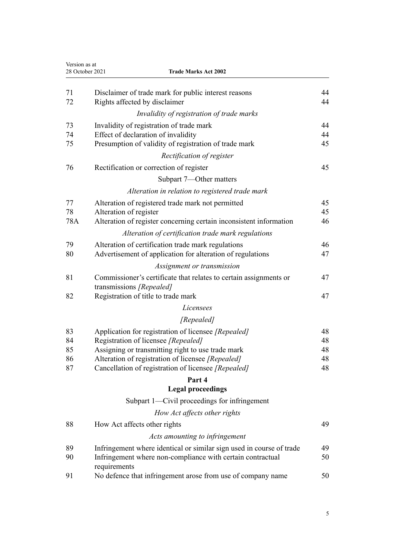| Version as at<br>28 October 2021 | <b>Trade Marks Act 2002</b>                                                                                                        |          |
|----------------------------------|------------------------------------------------------------------------------------------------------------------------------------|----------|
| 71                               |                                                                                                                                    |          |
| 72                               | Disclaimer of trade mark for public interest reasons<br>Rights affected by disclaimer                                              | 44<br>44 |
|                                  | Invalidity of registration of trade marks                                                                                          |          |
| 73                               | Invalidity of registration of trade mark                                                                                           | 44       |
| 74                               | Effect of declaration of invalidity                                                                                                | 44       |
| 75                               | Presumption of validity of registration of trade mark                                                                              | 45       |
|                                  | Rectification of register                                                                                                          |          |
| 76                               | Rectification or correction of register                                                                                            | 45       |
|                                  | Subpart 7—Other matters                                                                                                            |          |
|                                  | Alteration in relation to registered trade mark                                                                                    |          |
| 77                               | Alteration of registered trade mark not permitted                                                                                  | 45       |
| 78                               | Alteration of register                                                                                                             | 45       |
| 78A                              | Alteration of register concerning certain inconsistent information                                                                 | 46       |
|                                  | Alteration of certification trade mark regulations                                                                                 |          |
| 79                               | Alteration of certification trade mark regulations                                                                                 | 46       |
| 80                               | Advertisement of application for alteration of regulations                                                                         | 47       |
|                                  | Assignment or transmission                                                                                                         |          |
| 81                               | Commissioner's certificate that relates to certain assignments or<br>transmissions [Repealed]                                      | 47       |
| 82                               | Registration of title to trade mark                                                                                                | 47       |
|                                  | Licensees                                                                                                                          |          |
|                                  | [Repealed]                                                                                                                         |          |
| 83                               | Application for registration of licensee [Repealed]                                                                                | 48       |
| 84                               | Registration of licensee [Repealed]                                                                                                | 48       |
| 85                               | Assigning or transmitting right to use trade mark                                                                                  | 48       |
| 86                               | Alteration of registration of licensee [Repealed]                                                                                  | 48       |
| 87                               | Cancellation of registration of licensee [Repealed]                                                                                | 48       |
|                                  | Part 4<br><b>Legal proceedings</b>                                                                                                 |          |
|                                  | Subpart 1—Civil proceedings for infringement                                                                                       |          |
|                                  | How Act affects other rights                                                                                                       |          |
| 88                               |                                                                                                                                    | 49       |
|                                  | How Act affects other rights                                                                                                       |          |
|                                  | Acts amounting to infringement                                                                                                     |          |
| 89<br>90                         | Infringement where identical or similar sign used in course of trade<br>Infringement where non-compliance with certain contractual | 49<br>50 |
| 91                               | requirements<br>No defence that infringement arose from use of company name                                                        | 50       |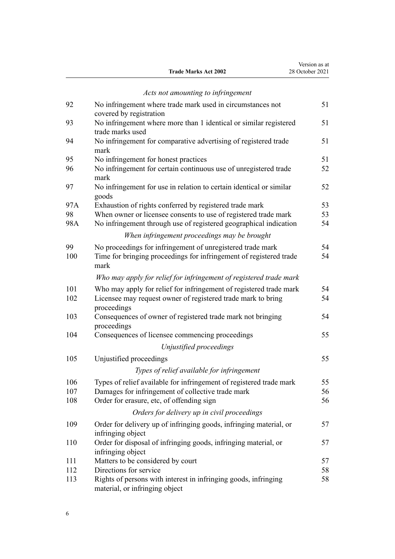| Version as at   |
|-----------------|
| 28 October 2021 |
|                 |

|     | Acts not amounting to infringement                                                                |    |
|-----|---------------------------------------------------------------------------------------------------|----|
| 92  | No infringement where trade mark used in circumstances not<br>covered by registration             | 51 |
| 93  | No infringement where more than 1 identical or similar registered<br>trade marks used             | 51 |
| 94  | No infringement for comparative advertising of registered trade<br>mark                           | 51 |
| 95  | No infringement for honest practices                                                              | 51 |
| 96  | No infringement for certain continuous use of unregistered trade<br>mark                          | 52 |
| 97  | No infringement for use in relation to certain identical or similar<br>goods                      | 52 |
| 97A | Exhaustion of rights conferred by registered trade mark                                           | 53 |
| 98  | When owner or licensee consents to use of registered trade mark                                   | 53 |
| 98A | No infringement through use of registered geographical indication                                 | 54 |
|     | When infringement proceedings may be brought                                                      |    |
| 99  | No proceedings for infringement of unregistered trade mark                                        | 54 |
| 100 | Time for bringing proceedings for infringement of registered trade<br>mark                        | 54 |
|     | Who may apply for relief for infringement of registered trade mark                                |    |
| 101 | Who may apply for relief for infringement of registered trade mark                                | 54 |
| 102 | Licensee may request owner of registered trade mark to bring<br>proceedings                       | 54 |
| 103 | Consequences of owner of registered trade mark not bringing<br>proceedings                        | 54 |
| 104 | Consequences of licensee commencing proceedings                                                   | 55 |
|     | Unjustified proceedings                                                                           |    |
| 105 | Unjustified proceedings                                                                           | 55 |
|     | Types of relief available for infringement                                                        |    |
| 106 | Types of relief available for infringement of registered trade mark                               | 55 |
| 107 | Damages for infringement of collective trade mark                                                 | 56 |
| 108 | Order for erasure, etc, of offending sign                                                         | 56 |
|     | Orders for delivery up in civil proceedings                                                       |    |
| 109 | Order for delivery up of infringing goods, infringing material, or                                | 57 |
|     | infringing object                                                                                 |    |
| 110 | Order for disposal of infringing goods, infringing material, or<br>infringing object              | 57 |
| 111 | Matters to be considered by court                                                                 | 57 |
| 112 | Directions for service                                                                            | 58 |
| 113 | Rights of persons with interest in infringing goods, infringing<br>material, or infringing object | 58 |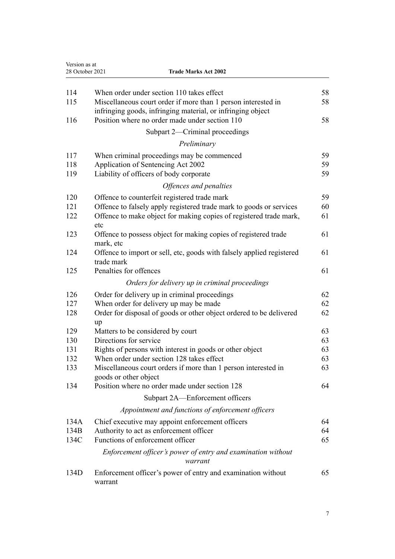| Version as at<br>28 October 2021 | <b>Trade Marks Act 2002</b>                                                                                                  |    |
|----------------------------------|------------------------------------------------------------------------------------------------------------------------------|----|
|                                  |                                                                                                                              |    |
| 114                              | When order under section 110 takes effect                                                                                    | 58 |
| 115                              | Miscellaneous court order if more than 1 person interested in<br>infringing goods, infringing material, or infringing object | 58 |
| 116                              | Position where no order made under section 110                                                                               | 58 |
|                                  | Subpart 2—Criminal proceedings                                                                                               |    |
|                                  | Preliminary                                                                                                                  |    |
| 117                              | When criminal proceedings may be commenced                                                                                   | 59 |
| 118                              | Application of Sentencing Act 2002                                                                                           | 59 |
| 119                              | Liability of officers of body corporate                                                                                      | 59 |
|                                  | Offences and penalties                                                                                                       |    |
| 120                              | Offence to counterfeit registered trade mark                                                                                 | 59 |
| 121                              | Offence to falsely apply registered trade mark to goods or services                                                          | 60 |
| 122                              | Offence to make object for making copies of registered trade mark,<br>etc                                                    | 61 |
| 123                              | Offence to possess object for making copies of registered trade<br>mark, etc                                                 | 61 |
| 124                              | Offence to import or sell, etc, goods with falsely applied registered<br>trade mark                                          | 61 |
| 125                              | Penalties for offences                                                                                                       | 61 |
|                                  | Orders for delivery up in criminal proceedings                                                                               |    |
| 126                              | Order for delivery up in criminal proceedings                                                                                | 62 |
| 127                              | When order for delivery up may be made                                                                                       | 62 |
| 128                              | Order for disposal of goods or other object ordered to be delivered<br>up                                                    | 62 |
| 129                              | Matters to be considered by court                                                                                            | 63 |
| 130                              | Directions for service                                                                                                       | 63 |
| 131                              | Rights of persons with interest in goods or other object                                                                     | 63 |
| 132                              | When order under section 128 takes effect                                                                                    | 63 |
| 133                              | Miscellaneous court orders if more than 1 person interested in<br>goods or other object                                      | 63 |
| 134                              | Position where no order made under section 128                                                                               | 64 |
|                                  | Subpart 2A-Enforcement officers                                                                                              |    |
|                                  | Appointment and functions of enforcement officers                                                                            |    |
| 134A                             | Chief executive may appoint enforcement officers                                                                             | 64 |
| 134B                             | Authority to act as enforcement officer                                                                                      | 64 |
| 134C                             | Functions of enforcement officer                                                                                             | 65 |
|                                  | Enforcement officer's power of entry and examination without<br>warrant                                                      |    |
| 134D                             | Enforcement officer's power of entry and examination without<br>warrant                                                      | 65 |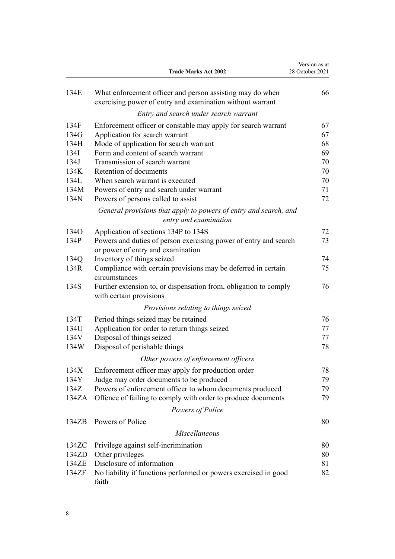|       | <b>Trade Marks Act 2002</b>                                                                                            | Version as at<br>28 October 2021 |
|-------|------------------------------------------------------------------------------------------------------------------------|----------------------------------|
| 134E  | What enforcement officer and person assisting may do when<br>exercising power of entry and examination without warrant | 66                               |
|       | Entry and search under search warrant                                                                                  |                                  |
| 134F  | Enforcement officer or constable may apply for search warrant                                                          | 67                               |
| 134G  | Application for search warrant                                                                                         | 67                               |
| 134H  | Mode of application for search warrant                                                                                 | 68                               |
| 134I  | Form and content of search warrant                                                                                     | 69                               |
| 134J  | Transmission of search warrant                                                                                         | 70                               |
| 134K  | Retention of documents                                                                                                 | 70                               |
| 134L  | When search warrant is executed                                                                                        | 70                               |
| 134M  | Powers of entry and search under warrant                                                                               | 71                               |
| 134N  | Powers of persons called to assist                                                                                     | 72                               |
|       | General provisions that apply to powers of entry and search, and<br>entry and examination                              |                                  |
| 134O  | Application of sections 134P to 134S                                                                                   | 72                               |
| 134P  | Powers and duties of person exercising power of entry and search<br>or power of entry and examination                  | 73                               |
| 134Q  | Inventory of things seized                                                                                             | 74                               |
| 134R  | Compliance with certain provisions may be deferred in certain<br>circumstances                                         | 75                               |
| 134S  | Further extension to, or dispensation from, obligation to comply<br>with certain provisions                            | 76                               |
|       | Provisions relating to things seized                                                                                   |                                  |
| 134T  | Period things seized may be retained                                                                                   | 76                               |
| 134U  | Application for order to return things seized                                                                          | 77                               |
| 134V  | Disposal of things seized                                                                                              | 77                               |
| 134W  | Disposal of perishable things                                                                                          | 78                               |
|       | Other powers of enforcement officers                                                                                   |                                  |
| 134X  | Enforcement officer may apply for production order                                                                     | 78                               |
| 134Y  | Judge may order documents to be produced                                                                               | 79                               |
| 134Z  | Powers of enforcement officer to whom documents produced                                                               | 79                               |
| 134ZA | Offence of failing to comply with order to produce documents                                                           | 79                               |
|       |                                                                                                                        |                                  |
|       | Powers of Police                                                                                                       |                                  |
| 134ZB | Powers of Police                                                                                                       | 80                               |
|       | <b>Miscellaneous</b>                                                                                                   |                                  |
| 134ZC | Privilege against self-incrimination                                                                                   | 80                               |
| 134ZD | Other privileges                                                                                                       | 80                               |
| 134ZE | Disclosure of information                                                                                              | 81                               |
| 134ZF | No liability if functions performed or powers exercised in good<br>faith                                               | 82                               |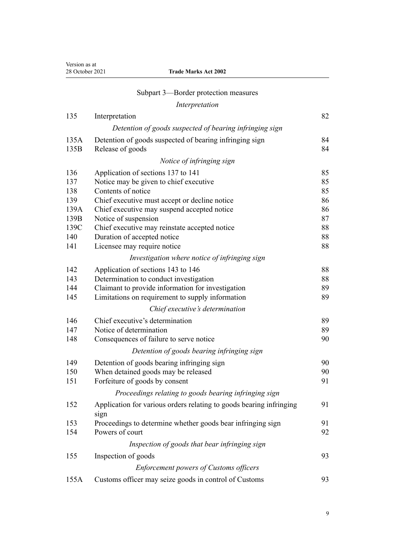| Version as at<br>28 October 2021 | <b>Trade Marks Act 2002</b>                                                 |    |
|----------------------------------|-----------------------------------------------------------------------------|----|
|                                  | Subpart 3-Border protection measures                                        |    |
|                                  | Interpretation                                                              |    |
| 135                              | Interpretation                                                              | 82 |
|                                  | Detention of goods suspected of bearing infringing sign                     |    |
| 135A                             | Detention of goods suspected of bearing infringing sign                     | 84 |
| 135B                             | Release of goods                                                            | 84 |
|                                  | Notice of infringing sign                                                   |    |
| 136                              | Application of sections 137 to 141                                          | 85 |
| 137                              | Notice may be given to chief executive                                      | 85 |
| 138                              | Contents of notice                                                          | 85 |
| 139                              | Chief executive must accept or decline notice                               | 86 |
| 139A                             | Chief executive may suspend accepted notice                                 | 86 |
| 139B                             | Notice of suspension                                                        | 87 |
| 139C                             | Chief executive may reinstate accepted notice                               | 88 |
| 140                              | Duration of accepted notice                                                 | 88 |
| 141                              | Licensee may require notice                                                 | 88 |
|                                  | Investigation where notice of infringing sign                               |    |
| 142                              | Application of sections 143 to 146                                          | 88 |
| 143                              | Determination to conduct investigation                                      | 88 |
| 144                              | Claimant to provide information for investigation                           | 89 |
| 145                              | Limitations on requirement to supply information                            | 89 |
|                                  | Chief executive's determination                                             |    |
| 146                              | Chief executive's determination                                             | 89 |
| 147                              | Notice of determination                                                     | 89 |
| 148                              | Consequences of failure to serve notice                                     | 90 |
|                                  | Detention of goods bearing infringing sign                                  |    |
| 149                              | Detention of goods bearing infringing sign                                  | 90 |
| 150                              | When detained goods may be released                                         | 90 |
| 151                              | Forfeiture of goods by consent                                              | 91 |
|                                  | Proceedings relating to goods bearing infringing sign                       |    |
| 152                              | Application for various orders relating to goods bearing infringing<br>sign | 91 |
| 153                              | Proceedings to determine whether goods bear infringing sign                 | 91 |
| 154                              | Powers of court                                                             | 92 |
|                                  | Inspection of goods that bear infringing sign                               |    |
| 155                              | Inspection of goods                                                         | 93 |
|                                  | <b>Enforcement powers of Customs officers</b>                               |    |
| 155A                             | Customs officer may seize goods in control of Customs                       | 93 |
|                                  |                                                                             |    |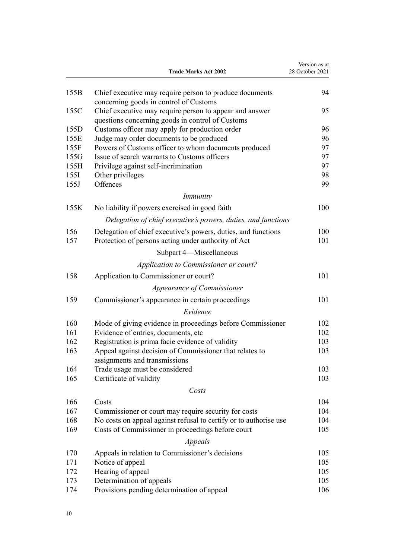| 155B<br>Chief executive may require person to produce documents<br>concerning goods in control of Customs<br>155C<br>Chief executive may require person to appear and answer<br>questions concerning goods in control of Customs<br>Customs officer may apply for production order<br>155D<br>Judge may order documents to be produced<br>155E<br>Powers of Customs officer to whom documents produced<br>155F<br>Issue of search warrants to Customs officers<br>155G<br>Privilege against self-incrimination<br>155H<br>Other privileges<br>155I<br>Offences<br>155J<br><i>Immunity</i><br>155K<br>No liability if powers exercised in good faith<br>Delegation of chief executive's powers, duties, and functions<br>156<br>Delegation of chief executive's powers, duties, and functions<br>157<br>Protection of persons acting under authority of Act<br>Subpart 4-Miscellaneous<br>Application to Commissioner or court?<br>158<br>Application to Commissioner or court?<br>Appearance of Commissioner<br>159<br>Commissioner's appearance in certain proceedings<br>Evidence<br>160<br>Mode of giving evidence in proceedings before Commissioner<br>161<br>Evidence of entries, documents, etc<br>Registration is prima facie evidence of validity<br>162<br>Appeal against decision of Commissioner that relates to<br>163<br>assignments and transmissions<br>Trade usage must be considered<br>164<br>Certificate of validity<br>165<br>Costs<br>166<br>104<br>Costs<br>167<br>104<br>Commissioner or court may require security for costs<br>No costs on appeal against refusal to certify or to authorise use<br>168<br>104<br>Costs of Commissioner in proceedings before court<br>169<br>Appeals<br>Appeals in relation to Commissioner's decisions<br>170<br>105<br>Notice of appeal<br>171<br>105<br>Hearing of appeal<br>172<br>105<br>Determination of appeals<br>173<br>105 |     | <b>Trade Marks Act 2002</b>                | Version as at<br>28 October 2021 |
|-------------------------------------------------------------------------------------------------------------------------------------------------------------------------------------------------------------------------------------------------------------------------------------------------------------------------------------------------------------------------------------------------------------------------------------------------------------------------------------------------------------------------------------------------------------------------------------------------------------------------------------------------------------------------------------------------------------------------------------------------------------------------------------------------------------------------------------------------------------------------------------------------------------------------------------------------------------------------------------------------------------------------------------------------------------------------------------------------------------------------------------------------------------------------------------------------------------------------------------------------------------------------------------------------------------------------------------------------------------------------------------------------------------------------------------------------------------------------------------------------------------------------------------------------------------------------------------------------------------------------------------------------------------------------------------------------------------------------------------------------------------------------------------------------------------------------------------------------------------------------------------------------|-----|--------------------------------------------|----------------------------------|
|                                                                                                                                                                                                                                                                                                                                                                                                                                                                                                                                                                                                                                                                                                                                                                                                                                                                                                                                                                                                                                                                                                                                                                                                                                                                                                                                                                                                                                                                                                                                                                                                                                                                                                                                                                                                                                                                                                 |     |                                            | 94                               |
|                                                                                                                                                                                                                                                                                                                                                                                                                                                                                                                                                                                                                                                                                                                                                                                                                                                                                                                                                                                                                                                                                                                                                                                                                                                                                                                                                                                                                                                                                                                                                                                                                                                                                                                                                                                                                                                                                                 |     |                                            |                                  |
|                                                                                                                                                                                                                                                                                                                                                                                                                                                                                                                                                                                                                                                                                                                                                                                                                                                                                                                                                                                                                                                                                                                                                                                                                                                                                                                                                                                                                                                                                                                                                                                                                                                                                                                                                                                                                                                                                                 |     |                                            | 95                               |
|                                                                                                                                                                                                                                                                                                                                                                                                                                                                                                                                                                                                                                                                                                                                                                                                                                                                                                                                                                                                                                                                                                                                                                                                                                                                                                                                                                                                                                                                                                                                                                                                                                                                                                                                                                                                                                                                                                 |     |                                            |                                  |
|                                                                                                                                                                                                                                                                                                                                                                                                                                                                                                                                                                                                                                                                                                                                                                                                                                                                                                                                                                                                                                                                                                                                                                                                                                                                                                                                                                                                                                                                                                                                                                                                                                                                                                                                                                                                                                                                                                 |     |                                            | 96                               |
|                                                                                                                                                                                                                                                                                                                                                                                                                                                                                                                                                                                                                                                                                                                                                                                                                                                                                                                                                                                                                                                                                                                                                                                                                                                                                                                                                                                                                                                                                                                                                                                                                                                                                                                                                                                                                                                                                                 |     |                                            | 96                               |
|                                                                                                                                                                                                                                                                                                                                                                                                                                                                                                                                                                                                                                                                                                                                                                                                                                                                                                                                                                                                                                                                                                                                                                                                                                                                                                                                                                                                                                                                                                                                                                                                                                                                                                                                                                                                                                                                                                 |     |                                            | 97                               |
|                                                                                                                                                                                                                                                                                                                                                                                                                                                                                                                                                                                                                                                                                                                                                                                                                                                                                                                                                                                                                                                                                                                                                                                                                                                                                                                                                                                                                                                                                                                                                                                                                                                                                                                                                                                                                                                                                                 |     |                                            | 97                               |
|                                                                                                                                                                                                                                                                                                                                                                                                                                                                                                                                                                                                                                                                                                                                                                                                                                                                                                                                                                                                                                                                                                                                                                                                                                                                                                                                                                                                                                                                                                                                                                                                                                                                                                                                                                                                                                                                                                 |     |                                            | 97                               |
|                                                                                                                                                                                                                                                                                                                                                                                                                                                                                                                                                                                                                                                                                                                                                                                                                                                                                                                                                                                                                                                                                                                                                                                                                                                                                                                                                                                                                                                                                                                                                                                                                                                                                                                                                                                                                                                                                                 |     |                                            | 98                               |
|                                                                                                                                                                                                                                                                                                                                                                                                                                                                                                                                                                                                                                                                                                                                                                                                                                                                                                                                                                                                                                                                                                                                                                                                                                                                                                                                                                                                                                                                                                                                                                                                                                                                                                                                                                                                                                                                                                 |     |                                            | 99                               |
|                                                                                                                                                                                                                                                                                                                                                                                                                                                                                                                                                                                                                                                                                                                                                                                                                                                                                                                                                                                                                                                                                                                                                                                                                                                                                                                                                                                                                                                                                                                                                                                                                                                                                                                                                                                                                                                                                                 |     |                                            |                                  |
|                                                                                                                                                                                                                                                                                                                                                                                                                                                                                                                                                                                                                                                                                                                                                                                                                                                                                                                                                                                                                                                                                                                                                                                                                                                                                                                                                                                                                                                                                                                                                                                                                                                                                                                                                                                                                                                                                                 |     |                                            | 100                              |
|                                                                                                                                                                                                                                                                                                                                                                                                                                                                                                                                                                                                                                                                                                                                                                                                                                                                                                                                                                                                                                                                                                                                                                                                                                                                                                                                                                                                                                                                                                                                                                                                                                                                                                                                                                                                                                                                                                 |     |                                            |                                  |
|                                                                                                                                                                                                                                                                                                                                                                                                                                                                                                                                                                                                                                                                                                                                                                                                                                                                                                                                                                                                                                                                                                                                                                                                                                                                                                                                                                                                                                                                                                                                                                                                                                                                                                                                                                                                                                                                                                 |     |                                            | 100                              |
|                                                                                                                                                                                                                                                                                                                                                                                                                                                                                                                                                                                                                                                                                                                                                                                                                                                                                                                                                                                                                                                                                                                                                                                                                                                                                                                                                                                                                                                                                                                                                                                                                                                                                                                                                                                                                                                                                                 |     |                                            | 101                              |
|                                                                                                                                                                                                                                                                                                                                                                                                                                                                                                                                                                                                                                                                                                                                                                                                                                                                                                                                                                                                                                                                                                                                                                                                                                                                                                                                                                                                                                                                                                                                                                                                                                                                                                                                                                                                                                                                                                 |     |                                            |                                  |
|                                                                                                                                                                                                                                                                                                                                                                                                                                                                                                                                                                                                                                                                                                                                                                                                                                                                                                                                                                                                                                                                                                                                                                                                                                                                                                                                                                                                                                                                                                                                                                                                                                                                                                                                                                                                                                                                                                 |     |                                            |                                  |
|                                                                                                                                                                                                                                                                                                                                                                                                                                                                                                                                                                                                                                                                                                                                                                                                                                                                                                                                                                                                                                                                                                                                                                                                                                                                                                                                                                                                                                                                                                                                                                                                                                                                                                                                                                                                                                                                                                 |     |                                            | 101                              |
|                                                                                                                                                                                                                                                                                                                                                                                                                                                                                                                                                                                                                                                                                                                                                                                                                                                                                                                                                                                                                                                                                                                                                                                                                                                                                                                                                                                                                                                                                                                                                                                                                                                                                                                                                                                                                                                                                                 |     |                                            |                                  |
|                                                                                                                                                                                                                                                                                                                                                                                                                                                                                                                                                                                                                                                                                                                                                                                                                                                                                                                                                                                                                                                                                                                                                                                                                                                                                                                                                                                                                                                                                                                                                                                                                                                                                                                                                                                                                                                                                                 |     |                                            | 101                              |
|                                                                                                                                                                                                                                                                                                                                                                                                                                                                                                                                                                                                                                                                                                                                                                                                                                                                                                                                                                                                                                                                                                                                                                                                                                                                                                                                                                                                                                                                                                                                                                                                                                                                                                                                                                                                                                                                                                 |     |                                            |                                  |
|                                                                                                                                                                                                                                                                                                                                                                                                                                                                                                                                                                                                                                                                                                                                                                                                                                                                                                                                                                                                                                                                                                                                                                                                                                                                                                                                                                                                                                                                                                                                                                                                                                                                                                                                                                                                                                                                                                 |     |                                            | 102                              |
|                                                                                                                                                                                                                                                                                                                                                                                                                                                                                                                                                                                                                                                                                                                                                                                                                                                                                                                                                                                                                                                                                                                                                                                                                                                                                                                                                                                                                                                                                                                                                                                                                                                                                                                                                                                                                                                                                                 |     |                                            | 102                              |
|                                                                                                                                                                                                                                                                                                                                                                                                                                                                                                                                                                                                                                                                                                                                                                                                                                                                                                                                                                                                                                                                                                                                                                                                                                                                                                                                                                                                                                                                                                                                                                                                                                                                                                                                                                                                                                                                                                 |     |                                            | 103                              |
|                                                                                                                                                                                                                                                                                                                                                                                                                                                                                                                                                                                                                                                                                                                                                                                                                                                                                                                                                                                                                                                                                                                                                                                                                                                                                                                                                                                                                                                                                                                                                                                                                                                                                                                                                                                                                                                                                                 |     |                                            | 103                              |
|                                                                                                                                                                                                                                                                                                                                                                                                                                                                                                                                                                                                                                                                                                                                                                                                                                                                                                                                                                                                                                                                                                                                                                                                                                                                                                                                                                                                                                                                                                                                                                                                                                                                                                                                                                                                                                                                                                 |     |                                            |                                  |
|                                                                                                                                                                                                                                                                                                                                                                                                                                                                                                                                                                                                                                                                                                                                                                                                                                                                                                                                                                                                                                                                                                                                                                                                                                                                                                                                                                                                                                                                                                                                                                                                                                                                                                                                                                                                                                                                                                 |     |                                            | 103                              |
|                                                                                                                                                                                                                                                                                                                                                                                                                                                                                                                                                                                                                                                                                                                                                                                                                                                                                                                                                                                                                                                                                                                                                                                                                                                                                                                                                                                                                                                                                                                                                                                                                                                                                                                                                                                                                                                                                                 |     |                                            | 103                              |
|                                                                                                                                                                                                                                                                                                                                                                                                                                                                                                                                                                                                                                                                                                                                                                                                                                                                                                                                                                                                                                                                                                                                                                                                                                                                                                                                                                                                                                                                                                                                                                                                                                                                                                                                                                                                                                                                                                 |     |                                            |                                  |
|                                                                                                                                                                                                                                                                                                                                                                                                                                                                                                                                                                                                                                                                                                                                                                                                                                                                                                                                                                                                                                                                                                                                                                                                                                                                                                                                                                                                                                                                                                                                                                                                                                                                                                                                                                                                                                                                                                 |     |                                            |                                  |
|                                                                                                                                                                                                                                                                                                                                                                                                                                                                                                                                                                                                                                                                                                                                                                                                                                                                                                                                                                                                                                                                                                                                                                                                                                                                                                                                                                                                                                                                                                                                                                                                                                                                                                                                                                                                                                                                                                 |     |                                            |                                  |
|                                                                                                                                                                                                                                                                                                                                                                                                                                                                                                                                                                                                                                                                                                                                                                                                                                                                                                                                                                                                                                                                                                                                                                                                                                                                                                                                                                                                                                                                                                                                                                                                                                                                                                                                                                                                                                                                                                 |     |                                            |                                  |
|                                                                                                                                                                                                                                                                                                                                                                                                                                                                                                                                                                                                                                                                                                                                                                                                                                                                                                                                                                                                                                                                                                                                                                                                                                                                                                                                                                                                                                                                                                                                                                                                                                                                                                                                                                                                                                                                                                 |     |                                            | 105                              |
|                                                                                                                                                                                                                                                                                                                                                                                                                                                                                                                                                                                                                                                                                                                                                                                                                                                                                                                                                                                                                                                                                                                                                                                                                                                                                                                                                                                                                                                                                                                                                                                                                                                                                                                                                                                                                                                                                                 |     |                                            |                                  |
|                                                                                                                                                                                                                                                                                                                                                                                                                                                                                                                                                                                                                                                                                                                                                                                                                                                                                                                                                                                                                                                                                                                                                                                                                                                                                                                                                                                                                                                                                                                                                                                                                                                                                                                                                                                                                                                                                                 |     |                                            |                                  |
|                                                                                                                                                                                                                                                                                                                                                                                                                                                                                                                                                                                                                                                                                                                                                                                                                                                                                                                                                                                                                                                                                                                                                                                                                                                                                                                                                                                                                                                                                                                                                                                                                                                                                                                                                                                                                                                                                                 |     |                                            |                                  |
|                                                                                                                                                                                                                                                                                                                                                                                                                                                                                                                                                                                                                                                                                                                                                                                                                                                                                                                                                                                                                                                                                                                                                                                                                                                                                                                                                                                                                                                                                                                                                                                                                                                                                                                                                                                                                                                                                                 |     |                                            |                                  |
|                                                                                                                                                                                                                                                                                                                                                                                                                                                                                                                                                                                                                                                                                                                                                                                                                                                                                                                                                                                                                                                                                                                                                                                                                                                                                                                                                                                                                                                                                                                                                                                                                                                                                                                                                                                                                                                                                                 |     |                                            |                                  |
|                                                                                                                                                                                                                                                                                                                                                                                                                                                                                                                                                                                                                                                                                                                                                                                                                                                                                                                                                                                                                                                                                                                                                                                                                                                                                                                                                                                                                                                                                                                                                                                                                                                                                                                                                                                                                                                                                                 | 174 | Provisions pending determination of appeal | 106                              |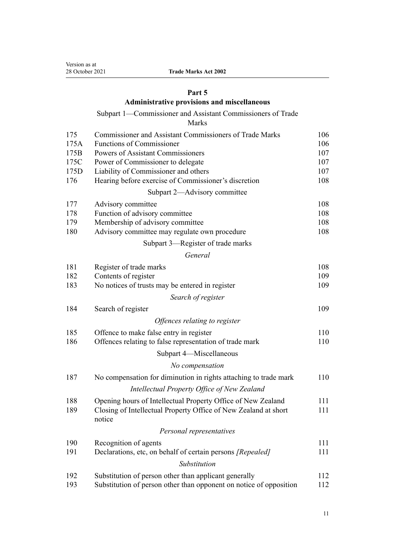## **[Part 5](#page-105-0)**

# **[Administrative provisions and miscellaneous](#page-105-0)**

# [Subpart 1—Commissioner and Assistant Commissioners of Trade](#page-105-0)

[Marks](#page-105-0)

| 175  | Commissioner and Assistant Commissioners of Trade Marks                   | 106 |
|------|---------------------------------------------------------------------------|-----|
| 175A | <b>Functions of Commissioner</b>                                          | 106 |
| 175B | Powers of Assistant Commissioners                                         | 107 |
| 175C | Power of Commissioner to delegate                                         | 107 |
| 175D | Liability of Commissioner and others                                      | 107 |
| 176  | Hearing before exercise of Commissioner's discretion                      | 108 |
|      | Subpart 2-Advisory committee                                              |     |
| 177  | Advisory committee                                                        | 108 |
| 178  | Function of advisory committee                                            | 108 |
| 179  | Membership of advisory committee                                          | 108 |
| 180  | Advisory committee may regulate own procedure                             | 108 |
|      | Subpart 3—Register of trade marks                                         |     |
|      | General                                                                   |     |
| 181  | Register of trade marks                                                   | 108 |
| 182  | Contents of register                                                      | 109 |
| 183  | No notices of trusts may be entered in register                           | 109 |
|      | Search of register                                                        |     |
| 184  | Search of register                                                        | 109 |
|      | Offences relating to register                                             |     |
| 185  | Offence to make false entry in register                                   | 110 |
| 186  | Offences relating to false representation of trade mark                   | 110 |
|      | Subpart 4-Miscellaneous                                                   |     |
|      | No compensation                                                           |     |
| 187  | No compensation for diminution in rights attaching to trade mark          | 110 |
|      | Intellectual Property Office of New Zealand                               |     |
| 188  | Opening hours of Intellectual Property Office of New Zealand              | 111 |
| 189  | Closing of Intellectual Property Office of New Zealand at short<br>notice | 111 |
|      | Personal representatives                                                  |     |
| 190  | Recognition of agents                                                     | 111 |
| 191  | Declarations, etc, on behalf of certain persons [Repealed]                | 111 |
|      | Substitution                                                              |     |
| 192  | Substitution of person other than applicant generally                     | 112 |
| 193  | Substitution of person other than opponent on notice of opposition        | 112 |
|      |                                                                           |     |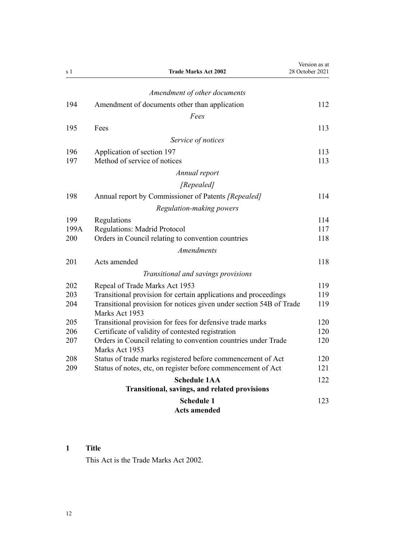<span id="page-11-0"></span>

| s 1  | <b>Trade Marks Act 2002</b>                                                           | Version as at<br>28 October 2021 |
|------|---------------------------------------------------------------------------------------|----------------------------------|
|      | Amendment of other documents                                                          |                                  |
| 194  | Amendment of documents other than application                                         | 112                              |
|      | Fees                                                                                  |                                  |
| 195  | Fees                                                                                  | 113                              |
|      | Service of notices                                                                    |                                  |
|      |                                                                                       |                                  |
| 196  | Application of section 197                                                            | 113                              |
| 197  | Method of service of notices                                                          | 113                              |
|      | Annual report                                                                         |                                  |
|      | [Repealed]                                                                            |                                  |
| 198  | Annual report by Commissioner of Patents [Repealed]                                   | 114                              |
|      | Regulation-making powers                                                              |                                  |
| 199  | Regulations                                                                           | 114                              |
| 199A | <b>Regulations: Madrid Protocol</b>                                                   | 117                              |
| 200  | Orders in Council relating to convention countries                                    | 118                              |
|      | <b>Amendments</b>                                                                     |                                  |
| 201  | Acts amended                                                                          | 118                              |
|      | Transitional and savings provisions                                                   |                                  |
| 202  | Repeal of Trade Marks Act 1953                                                        | 119                              |
| 203  | Transitional provision for certain applications and proceedings                       | 119                              |
| 204  | Transitional provision for notices given under section 54B of Trade<br>Marks Act 1953 | 119                              |
| 205  | Transitional provision for fees for defensive trade marks                             | 120                              |
| 206  | Certificate of validity of contested registration                                     | 120                              |
| 207  | Orders in Council relating to convention countries under Trade<br>Marks Act 1953      | 120                              |
| 208  | Status of trade marks registered before commencement of Act                           | 120                              |
| 209  | Status of notes, etc, on register before commencement of Act                          | 121                              |
|      | <b>Schedule 1AA</b><br>Transitional, savings, and related provisions                  | 122                              |
|      | <b>Schedule 1</b><br><b>Acts amended</b>                                              | 123                              |

## **1 Title**

This Act is the Trade Marks Act 2002.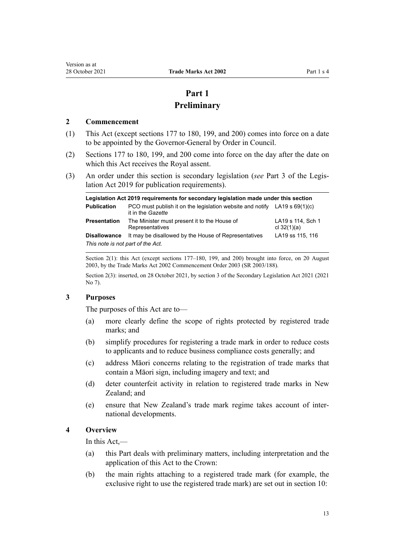# **Part 1 Preliminary**

#### <span id="page-12-0"></span>**2 Commencement**

- (1) This Act (except [sections 177 to 180,](#page-107-0) [199](#page-113-0), and [200](#page-117-0)) comes into force on a date to be appointed by the Governor-General by Order in Council.
- (2) [Sections 177 to 180,](#page-107-0) [199](#page-113-0), and [200](#page-117-0) come into force on the day after the date on which this Act receives the Royal assent.
- (3) An order under this section is secondary legislation (*see* [Part 3](http://legislation.govt.nz/pdflink.aspx?id=DLM7298343) of the Legis‐ lation Act 2019 for publication requirements).

| Legislation Act 2019 requirements for secondary legislation made under this section |                                                                                                  |                                    |  |  |  |  |
|-------------------------------------------------------------------------------------|--------------------------------------------------------------------------------------------------|------------------------------------|--|--|--|--|
| <b>Publication</b>                                                                  | PCO must publish it on the legislation website and notify LA19 s $69(1)(c)$<br>it in the Gazette |                                    |  |  |  |  |
| <b>Presentation</b>                                                                 | The Minister must present it to the House of<br>Representatives                                  | LA19 s 114, Sch 1<br>cl $32(1)(a)$ |  |  |  |  |
| <b>Disallowance</b>                                                                 | It may be disallowed by the House of Representatives                                             | LA19 ss 115, 116                   |  |  |  |  |
| This note is not part of the Act.                                                   |                                                                                                  |                                    |  |  |  |  |

Section 2(1): this Act (except sections 177–180, 199, and 200) brought into force, on 20 August 2003, by the Trade Marks Act 2002 Commencement Order 2003 (SR 2003/188).

Section 2(3): inserted, on 28 October 2021, by [section 3](http://legislation.govt.nz/pdflink.aspx?id=LMS268932) of the Secondary Legislation Act 2021 (2021 No 7).

#### **3 Purposes**

The purposes of this Act are to—

- (a) more clearly define the scope of rights protected by registered trade marks; and
- (b) simplify procedures for registering a trade mark in order to reduce costs to applicants and to reduce business compliance costs generally; and
- (c) address Māori concerns relating to the registration of trade marks that contain a Māori sign, including imagery and text; and
- (d) deter counterfeit activity in relation to registered trade marks in New Zealand; and
- (e) ensure that New Zealand's trade mark regime takes account of inter‐ national developments.

## **4 Overview**

In this Act,—

- (a) this Part deals with preliminary matters, including interpretation and the application of this Act to the Crown:
- (b) the main rights attaching to a registered trade mark (for example, the exclusive right to use the registered trade mark) are set out in [section 10](#page-22-0):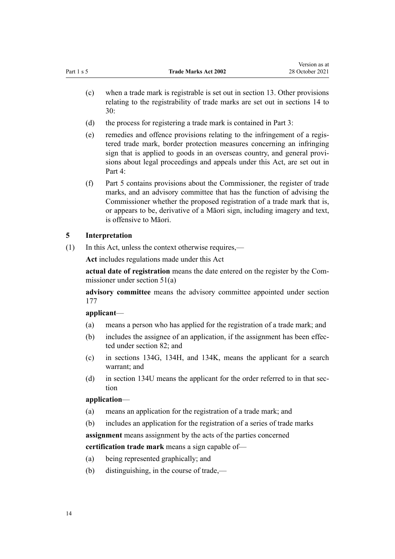<span id="page-13-0"></span>(c) when a trade mark is registrable is set out in [section 13](#page-23-0). Other provisions relating to the registrability of trade marks are set out in [sections 14 to](#page-23-0) [30:](#page-23-0)

Version as at

- (d) the process for registering a trade mark is contained in [Part 3](#page-30-0):
- (e) remedies and offence provisions relating to the infringement of a regis‐ tered trade mark, border protection measures concerning an infringing sign that is applied to goods in an overseas country, and general provi‐ sions about legal proceedings and appeals under this Act, are set out in [Part 4](#page-48-0):
- (f) [Part 5](#page-105-0) contains provisions about the Commissioner, the register of trade marks, and an advisory committee that has the function of advising the Commissioner whether the proposed registration of a trade mark that is, or appears to be, derivative of a Māori sign, including imagery and text, is offensive to Māori.

## **5 Interpretation**

(1) In this Act, unless the context otherwise requires,—

**Act** includes regulations made under this Act

**actual date of registration** means the date entered on the register by the Com‐ missioner under [section 51\(a\)](#page-35-0)

**advisory committee** means the advisory committee appointed under [section](#page-107-0) [177](#page-107-0)

## **applicant**—

- (a) means a person who has applied for the registration of a trade mark; and
- (b) includes the assignee of an application, if the assignment has been effected under [section 82](#page-46-0); and
- (c) in [sections 134G,](#page-66-0) [134H](#page-67-0), and [134K](#page-69-0), means the applicant for a search warrant; and
- (d) in [section 134U](#page-76-0) means the applicant for the order referred to in that section

## **application**—

- (a) means an application for the registration of a trade mark; and
- (b) includes an application for the registration of a series of trade marks

**assignment** means assignment by the acts of the parties concerned

**certification trade mark** means a sign capable of—

- (a) being represented graphically; and
- (b) distinguishing, in the course of trade,—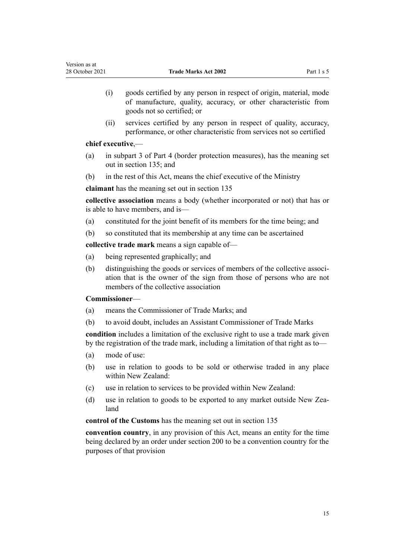- (i) goods certified by any person in respect of origin, material, mode of manufacture, quality, accuracy, or other characteristic from goods not so certified; or
- (ii) services certified by any person in respect of quality, accuracy, performance, or other characteristic from services not so certified

## **chief executive**,—

Version as at

- (a) in [subpart 3](#page-81-0) of Part 4 (border protection measures), has the meaning set out in [section 135](#page-81-0); and
- (b) in the rest of this Act, means the chief executive of the Ministry

**claimant** has the meaning set out in [section 135](#page-81-0)

**collective association** means a body (whether incorporated or not) that has or is able to have members, and is—

- (a) constituted for the joint benefit of its members for the time being; and
- (b) so constituted that its membership at any time can be ascertained

**collective trade mark** means a sign capable of—

- (a) being represented graphically; and
- (b) distinguishing the goods or services of members of the collective association that is the owner of the sign from those of persons who are not members of the collective association

#### **Commissioner**—

- (a) means the Commissioner of Trade Marks; and
- (b) to avoid doubt, includes an Assistant Commissioner of Trade Marks

**condition** includes a limitation of the exclusive right to use a trade mark given by the registration of the trade mark, including a limitation of that right as to—

- (a) mode of use:
- (b) use in relation to goods to be sold or otherwise traded in any place within New Zealand:
- (c) use in relation to services to be provided within New Zealand:
- (d) use in relation to goods to be exported to any market outside New Zealand

**control of the Customs** has the meaning set out in [section 135](#page-81-0)

**convention country**, in any provision of this Act, means an entity for the time being declared by an order under [section 200](#page-117-0) to be a convention country for the purposes of that provision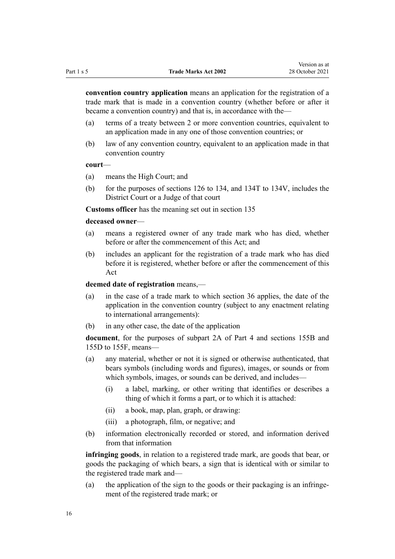**convention country application** means an application for the registration of a trade mark that is made in a convention country (whether before or after it became a convention country) and that is, in accordance with the—

- (a) terms of a treaty between 2 or more convention countries, equivalent to an application made in any one of those convention countries; or
- (b) law of any convention country, equivalent to an application made in that convention country

#### **court**—

- (a) means the High Court; and
- (b) for the purposes of [sections 126 to 134,](#page-61-0) and [134T to 134V,](#page-75-0) includes the District Court or a Judge of that court

**Customs officer** has the meaning set out in [section 135](#page-81-0)

#### **deceased owner**—

- (a) means a registered owner of any trade mark who has died, whether before or after the commencement of this Act; and
- (b) includes an applicant for the registration of a trade mark who has died before it is registered, whether before or after the commencement of this Act

#### **deemed date of registration** means,—

- (a) in the case of a trade mark to which [section 36](#page-32-0) applies, the date of the application in the convention country (subject to any enactment relating to international arrangements):
- (b) in any other case, the date of the application

**document**, for the purposes of [subpart 2A](#page-63-0) of Part 4 and [sections 155B](#page-93-0) and [155D to 155F](#page-95-0), means—

- (a) any material, whether or not it is signed or otherwise authenticated, that bears symbols (including words and figures), images, or sounds or from which symbols, images, or sounds can be derived, and includes—
	- (i) a label, marking, or other writing that identifies or describes a thing of which it forms a part, or to which it is attached:
	- (ii) a book, map, plan, graph, or drawing:
	- (iii) a photograph, film, or negative; and
- (b) information electronically recorded or stored, and information derived from that information

**infringing goods**, in relation to a registered trade mark, are goods that bear, or goods the packaging of which bears, a sign that is identical with or similar to the registered trade mark and—

(a) the application of the sign to the goods or their packaging is an infringement of the registered trade mark; or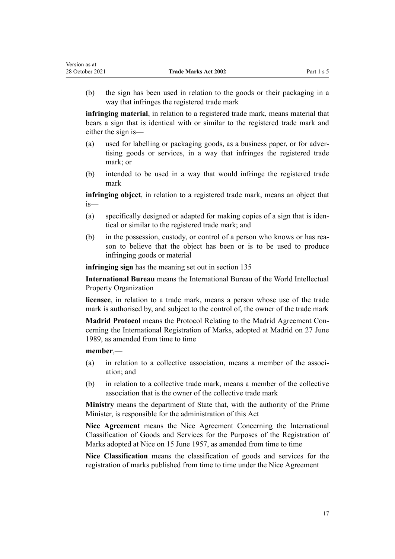(b) the sign has been used in relation to the goods or their packaging in a way that infringes the registered trade mark

**infringing material**, in relation to a registered trade mark, means material that bears a sign that is identical with or similar to the registered trade mark and either the sign is—

- (a) used for labelling or packaging goods, as a business paper, or for adver‐ tising goods or services, in a way that infringes the registered trade mark; or
- (b) intended to be used in a way that would infringe the registered trade mark

**infringing object**, in relation to a registered trade mark, means an object that is—

- (a) specifically designed or adapted for making copies of a sign that is iden‐ tical or similar to the registered trade mark; and
- (b) in the possession, custody, or control of a person who knows or has reason to believe that the object has been or is to be used to produce infringing goods or material

**infringing sign** has the meaning set out in [section 135](#page-81-0)

**International Bureau** means the International Bureau of the World Intellectual Property Organization

**licensee**, in relation to a trade mark, means a person whose use of the trade mark is authorised by, and subject to the control of, the owner of the trade mark

**Madrid Protocol** means the Protocol Relating to the Madrid Agreement Con‐ cerning the International Registration of Marks, adopted at Madrid on 27 June 1989, as amended from time to time

#### **member**,—

Version as at

- (a) in relation to a collective association, means a member of the association; and
- (b) in relation to a collective trade mark, means a member of the collective association that is the owner of the collective trade mark

**Ministry** means the department of State that, with the authority of the Prime Minister, is responsible for the administration of this Act

**Nice Agreement** means the Nice Agreement Concerning the International Classification of Goods and Services for the Purposes of the Registration of Marks adopted at Nice on 15 June 1957, as amended from time to time

**Nice Classification** means the classification of goods and services for the registration of marks published from time to time under the Nice Agreement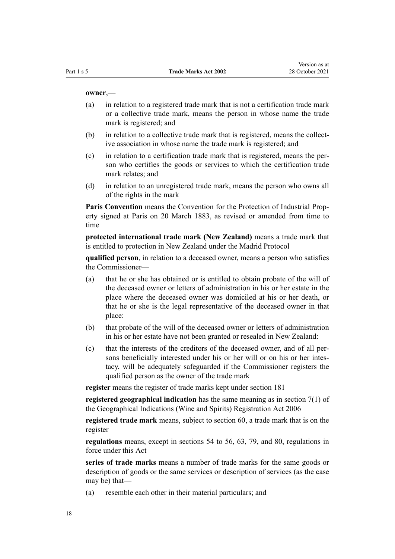#### **owner**,—

- (a) in relation to a registered trade mark that is not a certification trade mark or a collective trade mark, means the person in whose name the trade mark is registered; and
- (b) in relation to a collective trade mark that is registered, means the collective association in whose name the trade mark is registered; and
- (c) in relation to a certification trade mark that is registered, means the per‐ son who certifies the goods or services to which the certification trade mark relates; and
- (d) in relation to an unregistered trade mark, means the person who owns all of the rights in the mark

Paris Convention means the Convention for the Protection of Industrial Property signed at Paris on 20 March 1883, as revised or amended from time to time

**protected international trade mark (New Zealand)** means a trade mark that is entitled to protection in New Zealand under the Madrid Protocol

**qualified person**, in relation to a deceased owner, means a person who satisfies the Commissioner—

- (a) that he or she has obtained or is entitled to obtain probate of the will of the deceased owner or letters of administration in his or her estate in the place where the deceased owner was domiciled at his or her death, or that he or she is the legal representative of the deceased owner in that place:
- (b) that probate of the will of the deceased owner or letters of administration in his or her estate have not been granted or resealed in New Zealand:
- (c) that the interests of the creditors of the deceased owner, and of all per‐ sons beneficially interested under his or her will or on his or her intestacy, will be adequately safeguarded if the Commissioner registers the qualified person as the owner of the trade mark

**register** means the register of trade marks kept under [section 181](#page-107-0)

**registered geographical indication** has the same meaning as in [section 7\(1\)](http://legislation.govt.nz/pdflink.aspx?id=DLM390819) of the Geographical Indications (Wine and Spirits) Registration Act 2006

**registered trade mark** means, subject to [section 60,](#page-39-0) a trade mark that is on the register

**regulations** means, except in [sections 54 to 56,](#page-36-0) [63,](#page-40-0) [79](#page-45-0), and [80,](#page-46-0) regulations in force under this Act

**series of trade marks** means a number of trade marks for the same goods or description of goods or the same services or description of services (as the case may be) that—

(a) resemble each other in their material particulars; and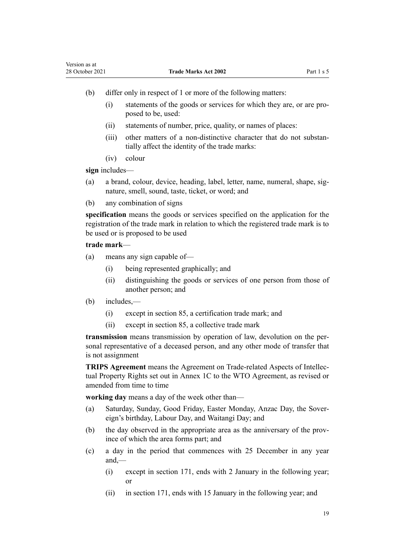- (b) differ only in respect of 1 or more of the following matters:
	- (i) statements of the goods or services for which they are, or are pro‐ posed to be, used:
	- (ii) statements of number, price, quality, or names of places:
	- (iii) other matters of a non-distinctive character that do not substantially affect the identity of the trade marks:
	- (iv) colour

**sign** includes—

- (a) a brand, colour, device, heading, label, letter, name, numeral, shape, sig‐ nature, smell, sound, taste, ticket, or word; and
- (b) any combination of signs

**specification** means the goods or services specified on the application for the registration of the trade mark in relation to which the registered trade mark is to be used or is proposed to be used

#### **trade mark**—

- (a) means any sign capable of—
	- (i) being represented graphically; and
	- (ii) distinguishing the goods or services of one person from those of another person; and
- (b) includes,—
	- (i) except in [section 85,](#page-47-0) a certification trade mark; and
	- (ii) except in [section 85,](#page-47-0) a collective trade mark

**transmission** means transmission by operation of law, devolution on the per‐ sonal representative of a deceased person, and any other mode of transfer that is not assignment

**TRIPS Agreement** means the Agreement on Trade-related Aspects of Intellec‐ tual Property Rights set out in Annex 1C to the WTO Agreement, as revised or amended from time to time

**working day** means a day of the week other than—

- (a) Saturday, Sunday, Good Friday, Easter Monday, Anzac Day, the Sover‐ eign's birthday, Labour Day, and Waitangi Day; and
- (b) the day observed in the appropriate area as the anniversary of the province of which the area forms part; and
- (c) a day in the period that commences with 25 December in any year and,—
	- (i) except in [section 171](#page-104-0), ends with 2 January in the following year; or
	- (ii) in [section 171,](#page-104-0) ends with 15 January in the following year; and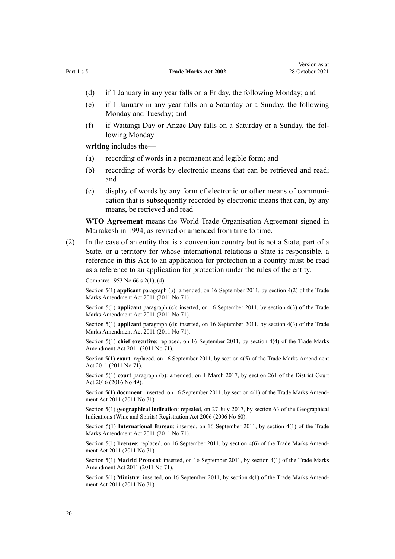- (d) if 1 January in any year falls on a Friday, the following Monday; and
- (e) if 1 January in any year falls on a Saturday or a Sunday, the following Monday and Tuesday; and
- (f) if Waitangi Day or Anzac Day falls on a Saturday or a Sunday, the fol‐ lowing Monday

**writing** includes the—

- (a) recording of words in a permanent and legible form; and
- (b) recording of words by electronic means that can be retrieved and read; and
- (c) display of words by any form of electronic or other means of communi‐ cation that is subsequently recorded by electronic means that can, by any means, be retrieved and read

**WTO Agreement** means the World Trade Organisation Agreement signed in Marrakesh in 1994, as revised or amended from time to time.

(2) In the case of an entity that is a convention country but is not a State, part of a State, or a territory for whose international relations a State is responsible, a reference in this Act to an application for protection in a country must be read as a reference to an application for protection under the rules of the entity.

Compare: 1953 No 66 s 2(1), (4)

Section 5(1) **applicant** paragraph (b): amended, on 16 September 2011, by [section 4\(2\)](http://legislation.govt.nz/pdflink.aspx?id=DLM2290008) of the Trade Marks Amendment Act 2011 (2011 No 71).

Section 5(1) **applicant** paragraph (c): inserted, on 16 September 2011, by [section 4\(3\)](http://legislation.govt.nz/pdflink.aspx?id=DLM2290008) of the Trade Marks Amendment Act 2011 (2011 No 71).

Section 5(1) **applicant** paragraph (d): inserted, on 16 September 2011, by [section 4\(3\)](http://legislation.govt.nz/pdflink.aspx?id=DLM2290008) of the Trade Marks Amendment Act 2011 (2011 No 71).

Section 5(1) **chief executive**: replaced, on 16 September 2011, by [section 4\(4\)](http://legislation.govt.nz/pdflink.aspx?id=DLM2290008) of the Trade Marks Amendment Act 2011 (2011 No 71).

Section 5(1) **court**: replaced, on 16 September 2011, by [section 4\(5\)](http://legislation.govt.nz/pdflink.aspx?id=DLM2290008) of the Trade Marks Amendment Act 2011 (2011 No 71).

Section 5(1) **court** paragraph (b): amended, on 1 March 2017, by [section 261](http://legislation.govt.nz/pdflink.aspx?id=DLM6942680) of the District Court Act 2016 (2016 No 49).

Section 5(1) **document**: inserted, on 16 September 2011, by [section 4\(1\)](http://legislation.govt.nz/pdflink.aspx?id=DLM2290008) of the Trade Marks Amendment Act 2011 (2011 No 71).

Section 5(1) **geographical indication**: repealed, on 27 July 2017, by [section 63](http://legislation.govt.nz/pdflink.aspx?id=DLM390893) of the Geographical Indications (Wine and Spirits) Registration Act 2006 (2006 No 60).

Section 5(1) **International Bureau**: inserted, on 16 September 2011, by [section 4\(1\)](http://legislation.govt.nz/pdflink.aspx?id=DLM2290008) of the Trade Marks Amendment Act 2011 (2011 No 71).

Section 5(1) **licensee**: replaced, on 16 September 2011, by [section 4\(6\)](http://legislation.govt.nz/pdflink.aspx?id=DLM2290008) of the Trade Marks Amendment Act 2011 (2011 No 71).

Section 5(1) **Madrid Protocol**: inserted, on 16 September 2011, by [section 4\(1\)](http://legislation.govt.nz/pdflink.aspx?id=DLM2290008) of the Trade Marks Amendment Act 2011 (2011 No 71).

Section 5(1) **Ministry**: inserted, on 16 September 2011, by [section 4\(1\)](http://legislation.govt.nz/pdflink.aspx?id=DLM2290008) of the Trade Marks Amendment Act 2011 (2011 No 71).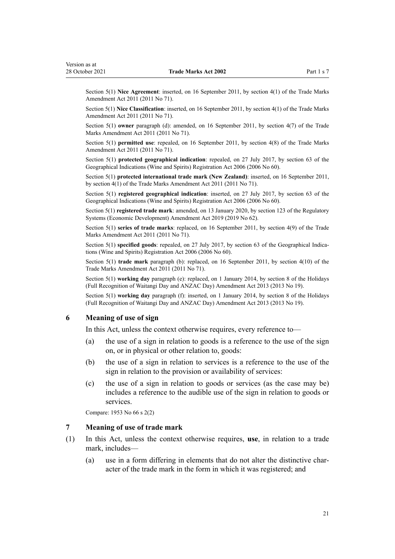<span id="page-20-0"></span>Section 5(1) **Nice Agreement**: inserted, on 16 September 2011, by [section 4\(1\)](http://legislation.govt.nz/pdflink.aspx?id=DLM2290008) of the Trade Marks Amendment Act 2011 (2011 No 71).

Section 5(1) **Nice Classification**: inserted, on 16 September 2011, by [section 4\(1\)](http://legislation.govt.nz/pdflink.aspx?id=DLM2290008) of the Trade Marks Amendment Act 2011 (2011 No 71).

Section 5(1) **owner** paragraph (d): amended, on 16 September 2011, by [section 4\(7\)](http://legislation.govt.nz/pdflink.aspx?id=DLM2290008) of the Trade Marks Amendment Act 2011 (2011 No 71).

Section 5(1) **permitted use**: repealed, on 16 September 2011, by [section 4\(8\)](http://legislation.govt.nz/pdflink.aspx?id=DLM2290008) of the Trade Marks Amendment Act 2011 (2011 No 71).

Section 5(1) **protected geographical indication**: repealed, on 27 July 2017, by [section 63](http://legislation.govt.nz/pdflink.aspx?id=DLM390893) of the Geographical Indications (Wine and Spirits) Registration Act 2006 (2006 No 60).

Section 5(1) **protected international trade mark (New Zealand)**: inserted, on 16 September 2011, by [section 4\(1\)](http://legislation.govt.nz/pdflink.aspx?id=DLM2290008) of the Trade Marks Amendment Act 2011 (2011 No 71).

Section 5(1) **registered geographical indication**: inserted, on 27 July 2017, by [section 63](http://legislation.govt.nz/pdflink.aspx?id=DLM390893) of the Geographical Indications (Wine and Spirits) Registration Act 2006 (2006 No 60).

Section 5(1) **registered trade mark**: amended, on 13 January 2020, by [section 123](http://legislation.govt.nz/pdflink.aspx?id=LMS85747) of the Regulatory Systems (Economic Development) Amendment Act 2019 (2019 No 62).

Section 5(1) **series of trade marks**: replaced, on 16 September 2011, by [section 4\(9\)](http://legislation.govt.nz/pdflink.aspx?id=DLM2290008) of the Trade Marks Amendment Act 2011 (2011 No 71).

Section 5(1) **specified goods**: repealed, on 27 July 2017, by [section 63](http://legislation.govt.nz/pdflink.aspx?id=DLM390893) of the Geographical Indications (Wine and Spirits) Registration Act 2006 (2006 No 60).

Section 5(1) **trade mark** paragraph (b): replaced, on 16 September 2011, by [section 4\(10\)](http://legislation.govt.nz/pdflink.aspx?id=DLM2290008) of the Trade Marks Amendment Act 2011 (2011 No 71).

Section 5(1) **working day** paragraph (e): replaced, on 1 January 2014, by [section 8](http://legislation.govt.nz/pdflink.aspx?id=DLM4929207) of the Holidays (Full Recognition of Waitangi Day and ANZAC Day) Amendment Act 2013 (2013 No 19).

Section 5(1) **working day** paragraph (f): inserted, on 1 January 2014, by [section 8](http://legislation.govt.nz/pdflink.aspx?id=DLM4929207) of the Holidays (Full Recognition of Waitangi Day and ANZAC Day) Amendment Act 2013 (2013 No 19).

#### **6 Meaning of use of sign**

In this Act, unless the context otherwise requires, every reference to—

- (a) the use of a sign in relation to goods is a reference to the use of the sign on, or in physical or other relation to, goods:
- (b) the use of a sign in relation to services is a reference to the use of the sign in relation to the provision or availability of services:
- (c) the use of a sign in relation to goods or services (as the case may be) includes a reference to the audible use of the sign in relation to goods or services.

Compare: 1953 No 66 s 2(2)

#### **7 Meaning of use of trade mark**

- (1) In this Act, unless the context otherwise requires, **use**, in relation to a trade mark, includes—
	- (a) use in a form differing in elements that do not alter the distinctive char‐ acter of the trade mark in the form in which it was registered; and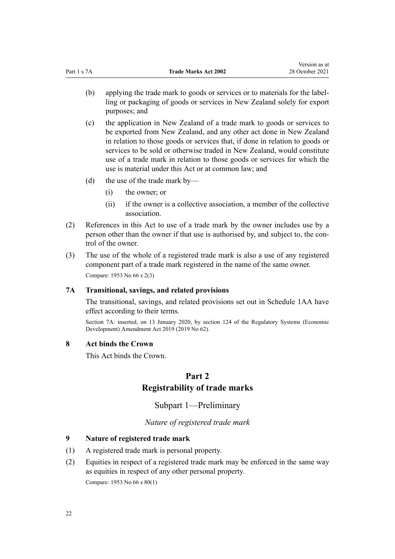<span id="page-21-0"></span>(b) applying the trade mark to goods or services or to materials for the labelling or packaging of goods or services in New Zealand solely for export purposes; and

Version as at

- (c) the application in New Zealand of a trade mark to goods or services to be exported from New Zealand, and any other act done in New Zealand in relation to those goods or services that, if done in relation to goods or services to be sold or otherwise traded in New Zealand, would constitute use of a trade mark in relation to those goods or services for which the use is material under this Act or at common law; and
- (d) the use of the trade mark by—
	- (i) the owner; or
	- (ii) if the owner is a collective association, a member of the collective association.
- (2) References in this Act to use of a trade mark by the owner includes use by a person other than the owner if that use is authorised by, and subject to, the control of the owner.
- (3) The use of the whole of a registered trade mark is also a use of any registered component part of a trade mark registered in the name of the same owner. Compare: 1953 No 66 s 2(3)

## **7A Transitional, savings, and related provisions**

The transitional, savings, and related provisions set out in [Schedule 1AA](#page-121-0) have effect according to their terms.

Section 7A: inserted, on 13 January 2020, by [section 124](http://legislation.govt.nz/pdflink.aspx?id=LMS85749) of the Regulatory Systems (Economic Development) Amendment Act 2019 (2019 No 62).

#### **8 Act binds the Crown**

This Act binds the Crown.

# **Part 2 Registrability of trade marks**

Subpart 1—Preliminary

*Nature of registered trade mark*

## **9 Nature of registered trade mark**

- (1) A registered trade mark is personal property.
- (2) Equities in respect of a registered trade mark may be enforced in the same way as equities in respect of any other personal property.

Compare: 1953 No 66 s 80(1)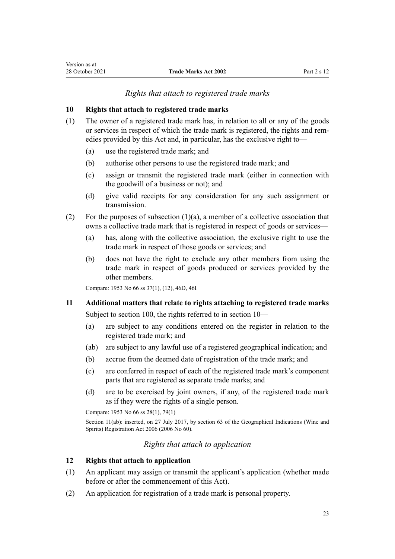#### *Rights that attach to registered trade marks*

#### <span id="page-22-0"></span>**10 Rights that attach to registered trade marks**

- (1) The owner of a registered trade mark has, in relation to all or any of the goods or services in respect of which the trade mark is registered, the rights and remedies provided by this Act and, in particular, has the exclusive right to—
	- (a) use the registered trade mark; and
	- (b) authorise other persons to use the registered trade mark; and
	- (c) assign or transmit the registered trade mark (either in connection with the goodwill of a business or not); and
	- (d) give valid receipts for any consideration for any such assignment or transmission.
- (2) For the purposes of subsection  $(1)(a)$ , a member of a collective association that owns a collective trade mark that is registered in respect of goods or services—
	- (a) has, along with the collective association, the exclusive right to use the trade mark in respect of those goods or services; and
	- (b) does not have the right to exclude any other members from using the trade mark in respect of goods produced or services provided by the other members.

Compare: 1953 No 66 ss 37(1), (12), 46D, 46I

#### **11 Additional matters that relate to rights attaching to registered trade marks**

Subject to [section 100](#page-53-0), the rights referred to in section 10—

- (a) are subject to any conditions entered on the register in relation to the registered trade mark; and
- (ab) are subject to any lawful use of a registered geographical indication; and
- (b) accrue from the deemed date of registration of the trade mark; and
- (c) are conferred in respect of each of the registered trade mark's component parts that are registered as separate trade marks; and
- (d) are to be exercised by joint owners, if any, of the registered trade mark as if they were the rights of a single person.

Compare: 1953 No 66 ss 28(1), 79(1)

Section 11(ab): inserted, on 27 July 2017, by [section 63](http://legislation.govt.nz/pdflink.aspx?id=DLM390893) of the Geographical Indications (Wine and Spirits) Registration Act 2006 (2006 No 60).

#### *Rights that attach to application*

#### **12 Rights that attach to application**

- (1) An applicant may assign or transmit the applicant's application (whether made before or after the commencement of this Act).
- (2) An application for registration of a trade mark is personal property.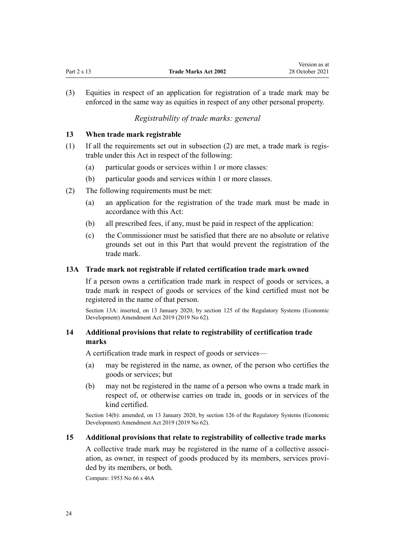Version as at

<span id="page-23-0"></span>(3) Equities in respect of an application for registration of a trade mark may be enforced in the same way as equities in respect of any other personal property.

## *Registrability of trade marks: general*

#### **13 When trade mark registrable**

- (1) If all the requirements set out in subsection (2) are met, a trade mark is regis‐ trable under this Act in respect of the following:
	- (a) particular goods or services within 1 or more classes:
	- (b) particular goods and services within 1 or more classes.
- (2) The following requirements must be met:
	- (a) an application for the registration of the trade mark must be made in accordance with this Act:
	- (b) all prescribed fees, if any, must be paid in respect of the application:
	- (c) the Commissioner must be satisfied that there are no absolute or relative grounds set out in this Part that would prevent the registration of the trade mark.

#### **13A Trade mark not registrable if related certification trade mark owned**

If a person owns a certification trade mark in respect of goods or services, a trade mark in respect of goods or services of the kind certified must not be registered in the name of that person.

Section 13A: inserted, on 13 January 2020, by [section 125](http://legislation.govt.nz/pdflink.aspx?id=LMS85751) of the Regulatory Systems (Economic Development) Amendment Act 2019 (2019 No 62).

## **14 Additional provisions that relate to registrability of certification trade marks**

A certification trade mark in respect of goods or services—

- (a) may be registered in the name, as owner, of the person who certifies the goods or services; but
- (b) may not be registered in the name of a person who owns a trade mark in respect of, or otherwise carries on trade in, goods or in services of the kind certified.

Section 14(b): amended, on 13 January 2020, by [section 126](http://legislation.govt.nz/pdflink.aspx?id=LMS85752) of the Regulatory Systems (Economic Development) Amendment Act 2019 (2019 No 62).

#### **15 Additional provisions that relate to registrability of collective trade marks**

A collective trade mark may be registered in the name of a collective associ‐ ation, as owner, in respect of goods produced by its members, services provided by its members, or both.

Compare: 1953 No 66 s 46A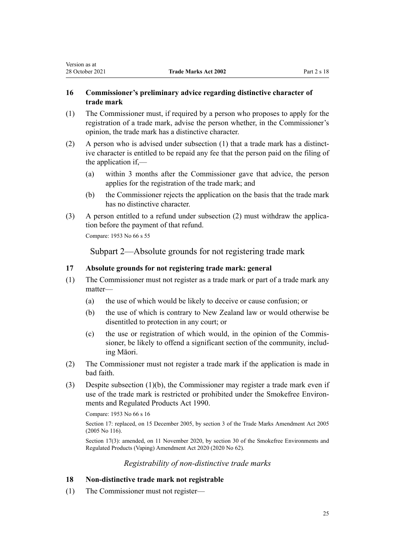## **16 Commissioner's preliminary advice regarding distinctive character of trade mark**

- (1) The Commissioner must, if required by a person who proposes to apply for the registration of a trade mark, advise the person whether, in the Commissioner's opinion, the trade mark has a distinctive character.
- (2) A person who is advised under subsection  $(1)$  that a trade mark has a distinctive character is entitled to be repaid any fee that the person paid on the filing of the application if,—
	- (a) within 3 months after the Commissioner gave that advice, the person applies for the registration of the trade mark; and
	- (b) the Commissioner rejects the application on the basis that the trade mark has no distinctive character.
- $(3)$  A person entitled to a refund under subsection  $(2)$  must withdraw the application before the payment of that refund.

Compare: 1953 No 66 s 55

<span id="page-24-0"></span>Version as at

Subpart 2—Absolute grounds for not registering trade mark

## **17 Absolute grounds for not registering trade mark: general**

- (1) The Commissioner must not register as a trade mark or part of a trade mark any matter—
	- (a) the use of which would be likely to deceive or cause confusion; or
	- (b) the use of which is contrary to New Zealand law or would otherwise be disentitled to protection in any court; or
	- (c) the use or registration of which would, in the opinion of the Commissioner, be likely to offend a significant section of the community, includ‐ ing Māori.
- (2) The Commissioner must not register a trade mark if the application is made in bad faith.
- (3) Despite subsection (1)(b), the Commissioner may register a trade mark even if use of the trade mark is restricted or prohibited under the Smokefree Environ[ments and Regulated Products Act 1990](http://legislation.govt.nz/pdflink.aspx?id=DLM223190).

Compare: 1953 No 66 s 16

Section 17: replaced, on 15 December 2005, by [section 3](http://legislation.govt.nz/pdflink.aspx?id=DLM362636) of the Trade Marks Amendment Act 2005 (2005 No 116).

Section 17(3): amended, on 11 November 2020, by [section 30](http://legislation.govt.nz/pdflink.aspx?id=LMS314081) of the Smokefree Environments and Regulated Products (Vaping) Amendment Act 2020 (2020 No 62).

## *Registrability of non-distinctive trade marks*

#### **18 Non-distinctive trade mark not registrable**

(1) The Commissioner must not register—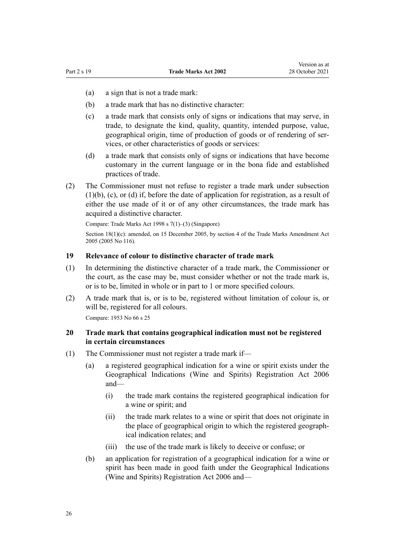- <span id="page-25-0"></span>(a) a sign that is not a trade mark:
- (b) a trade mark that has no distinctive character:
- (c) a trade mark that consists only of signs or indications that may serve, in trade, to designate the kind, quality, quantity, intended purpose, value, geographical origin, time of production of goods or of rendering of services, or other characteristics of goods or services:
- (d) a trade mark that consists only of signs or indications that have become customary in the current language or in the bona fide and established practices of trade.
- (2) The Commissioner must not refuse to register a trade mark under subsection (1)(b), (c), or (d) if, before the date of application for registration, as a result of either the use made of it or of any other circumstances, the trade mark has acquired a distinctive character.

Compare: Trade Marks Act 1998 s 7(1)–(3) (Singapore)

Section 18(1)(c): amended, on 15 December 2005, by [section 4](http://legislation.govt.nz/pdflink.aspx?id=DLM362638) of the Trade Marks Amendment Act 2005 (2005 No 116).

#### **19 Relevance of colour to distinctive character of trade mark**

- (1) In determining the distinctive character of a trade mark, the Commissioner or the court, as the case may be, must consider whether or not the trade mark is, or is to be, limited in whole or in part to 1 or more specified colours.
- (2) A trade mark that is, or is to be, registered without limitation of colour is, or will be, registered for all colours.

Compare: 1953 No 66 s 25

## **20 Trade mark that contains geographical indication must not be registered in certain circumstances**

- (1) The Commissioner must not register a trade mark if—
	- (a) a registered geographical indication for a wine or spirit exists under the [Geographical Indications \(Wine and Spirits\) Registration Act 2006](http://legislation.govt.nz/pdflink.aspx?id=DLM390755) and—
		- (i) the trade mark contains the registered geographical indication for a wine or spirit; and
		- (ii) the trade mark relates to a wine or spirit that does not originate in the place of geographical origin to which the registered geograph‐ ical indication relates; and
		- (iii) the use of the trade mark is likely to deceive or confuse; or
	- (b) an application for registration of a geographical indication for a wine or spirit has been made in good faith under the [Geographical Indications](http://legislation.govt.nz/pdflink.aspx?id=DLM390755) [\(Wine and Spirits\) Registration Act 2006](http://legislation.govt.nz/pdflink.aspx?id=DLM390755) and—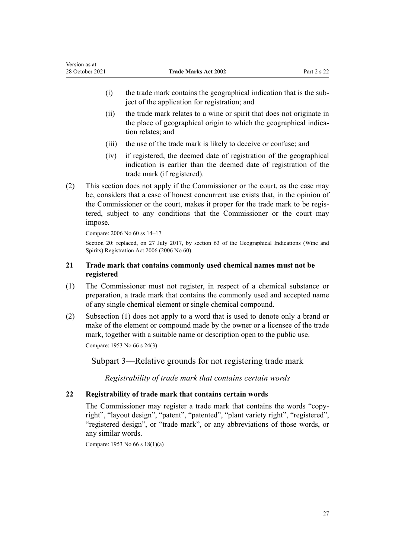- <span id="page-26-0"></span>(i) the trade mark contains the geographical indication that is the sub‐ ject of the application for registration; and
- (ii) the trade mark relates to a wine or spirit that does not originate in the place of geographical origin to which the geographical indication relates; and
- (iii) the use of the trade mark is likely to deceive or confuse; and
- (iv) if registered, the deemed date of registration of the geographical indication is earlier than the deemed date of registration of the trade mark (if registered).
- (2) This section does not apply if the Commissioner or the court, as the case may be, considers that a case of honest concurrent use exists that, in the opinion of the Commissioner or the court, makes it proper for the trade mark to be regis‐ tered, subject to any conditions that the Commissioner or the court may impose.

```
Compare: 2006 No 60 ss 14–17
```
Section 20: replaced, on 27 July 2017, by [section 63](http://legislation.govt.nz/pdflink.aspx?id=DLM390893) of the Geographical Indications (Wine and Spirits) Registration Act 2006 (2006 No 60).

## **21 Trade mark that contains commonly used chemical names must not be registered**

- (1) The Commissioner must not register, in respect of a chemical substance or preparation, a trade mark that contains the commonly used and accepted name of any single chemical element or single chemical compound.
- (2) Subsection (1) does not apply to a word that is used to denote only a brand or make of the element or compound made by the owner or a licensee of the trade mark, together with a suitable name or description open to the public use. Compare: 1953 No 66 s 24(3)

Subpart 3—Relative grounds for not registering trade mark

*Registrability of trade mark that contains certain words*

## **22 Registrability of trade mark that contains certain words**

The Commissioner may register a trade mark that contains the words "copyright", "layout design", "patent", "patented", "plant variety right", "registered", "registered design", or "trade mark", or any abbreviations of those words, or any similar words.

Compare: 1953 No 66 s 18(1)(a)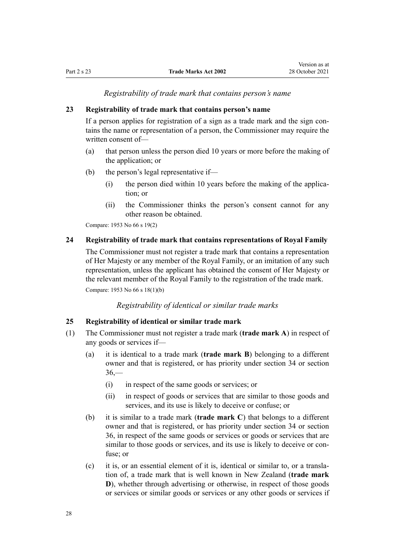*Registrability of trade mark that contains person's name*

#### <span id="page-27-0"></span>**23 Registrability of trade mark that contains person's name**

If a person applies for registration of a sign as a trade mark and the sign contains the name or representation of a person, the Commissioner may require the written consent of—

- (a) that person unless the person died 10 years or more before the making of the application; or
- (b) the person's legal representative if—
	- $(i)$  the person died within 10 years before the making of the application; or
	- (ii) the Commissioner thinks the person's consent cannot for any other reason be obtained.

Compare: 1953 No 66 s 19(2)

#### **24 Registrability of trade mark that contains representations of Royal Family**

The Commissioner must not register a trade mark that contains a representation of Her Majesty or any member of the Royal Family, or an imitation of any such representation, unless the applicant has obtained the consent of Her Majesty or the relevant member of the Royal Family to the registration of the trade mark. Compare: 1953 No 66 s 18(1)(b)

*Registrability of identical or similar trade marks*

#### **25 Registrability of identical or similar trade mark**

- (1) The Commissioner must not register a trade mark (**trade mark A**) in respect of any goods or services if—
	- (a) it is identical to a trade mark (**trade mark B**) belonging to a different owner and that is registered, or has priority under [section 34](#page-31-0) or [section](#page-32-0)  $36 -$ 
		- (i) in respect of the same goods or services; or
		- (ii) in respect of goods or services that are similar to those goods and services, and its use is likely to deceive or confuse; or
	- (b) it is similar to a trade mark (**trade mark C**) that belongs to a different owner and that is registered, or has priority under [section 34](#page-31-0) or [section](#page-32-0) [36,](#page-32-0) in respect of the same goods or services or goods or services that are similar to those goods or services, and its use is likely to deceive or confuse; or
	- (c) it is, or an essential element of it is, identical or similar to, or a transla‐ tion of, a trade mark that is well known in New Zealand (**trade mark D**), whether through advertising or otherwise, in respect of those goods or services or similar goods or services or any other goods or services if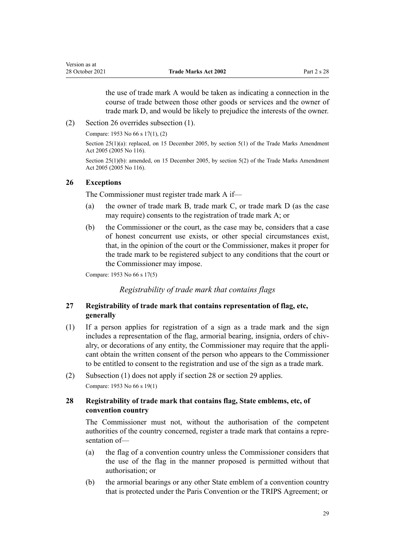the use of trade mark A would be taken as indicating a connection in the course of trade between those other goods or services and the owner of trade mark D, and would be likely to prejudice the interests of the owner.

<span id="page-28-0"></span>(2) Section 26 overrides subsection (1).

Compare: 1953 No 66 s 17(1), (2)

Section 25(1)(a): replaced, on 15 December 2005, by [section 5\(1\)](http://legislation.govt.nz/pdflink.aspx?id=DLM362639) of the Trade Marks Amendment Act 2005 (2005 No 116).

Section 25(1)(b): amended, on 15 December 2005, by [section 5\(2\)](http://legislation.govt.nz/pdflink.aspx?id=DLM362639) of the Trade Marks Amendment Act 2005 (2005 No 116).

#### **26 Exceptions**

The Commissioner must register trade mark A if—

- (a) the owner of trade mark B, trade mark C, or trade mark D (as the case may require) consents to the registration of trade mark A; or
- (b) the Commissioner or the court, as the case may be, considers that a case of honest concurrent use exists, or other special circumstances exist, that, in the opinion of the court or the Commissioner, makes it proper for the trade mark to be registered subject to any conditions that the court or the Commissioner may impose.

Compare: 1953 No 66 s 17(5)

*Registrability of trade mark that contains flags*

## **27 Registrability of trade mark that contains representation of flag, etc, generally**

- (1) If a person applies for registration of a sign as a trade mark and the sign includes a representation of the flag, armorial bearing, insignia, orders of chivalry, or decorations of any entity, the Commissioner may require that the appli‐ cant obtain the written consent of the person who appears to the Commissioner to be entitled to consent to the registration and use of the sign as a trade mark.
- (2) Subsection (1) does not apply if section 28 or [section 29](#page-29-0) applies. Compare: 1953 No 66 s 19(1)

#### **28 Registrability of trade mark that contains flag, State emblems, etc, of convention country**

The Commissioner must not, without the authorisation of the competent authorities of the country concerned, register a trade mark that contains a repre‐ sentation of—

- (a) the flag of a convention country unless the Commissioner considers that the use of the flag in the manner proposed is permitted without that authorisation; or
- (b) the armorial bearings or any other State emblem of a convention country that is protected under the Paris Convention or the TRIPS Agreement; or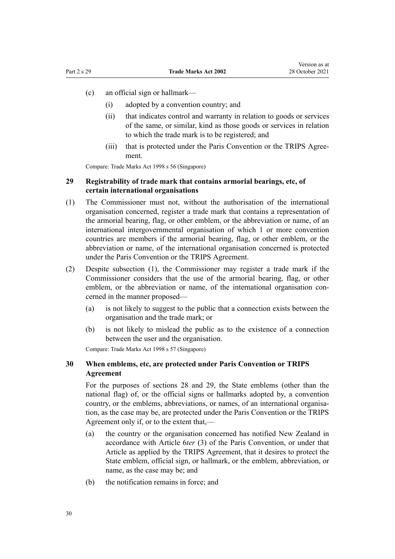- <span id="page-29-0"></span>(c) an official sign or hallmark—
	- (i) adopted by a convention country; and
	- (ii) that indicates control and warranty in relation to goods or services of the same, or similar, kind as those goods or services in relation to which the trade mark is to be registered; and
	- (iii) that is protected under the Paris Convention or the TRIPS Agreement.

Compare: Trade Marks Act 1998 s 56 (Singapore)

## **29 Registrability of trade mark that contains armorial bearings, etc, of certain international organisations**

- (1) The Commissioner must not, without the authorisation of the international organisation concerned, register a trade mark that contains a representation of the armorial bearing, flag, or other emblem, or the abbreviation or name, of an international intergovernmental organisation of which 1 or more convention countries are members if the armorial bearing, flag, or other emblem, or the abbreviation or name, of the international organisation concerned is protected under the Paris Convention or the TRIPS Agreement.
- (2) Despite subsection (1), the Commissioner may register a trade mark if the Commissioner considers that the use of the armorial bearing, flag, or other emblem, or the abbreviation or name, of the international organisation concerned in the manner proposed—
	- (a) is not likely to suggest to the public that a connection exists between the organisation and the trade mark; or
	- (b) is not likely to mislead the public as to the existence of a connection between the user and the organisation.

Compare: Trade Marks Act 1998 s 57 (Singapore)

## **30 When emblems, etc, are protected under Paris Convention or TRIPS Agreement**

For the purposes of [sections 28](#page-28-0) and 29, the State emblems (other than the national flag) of, or the official signs or hallmarks adopted by, a convention country, or the emblems, abbreviations, or names, of an international organisation, as the case may be, are protected under the Paris Convention or the TRIPS Agreement only if, or to the extent that,—

- (a) the country or the organisation concerned has notified New Zealand in accordance with Article 6*ter* (3) of the Paris Convention, or under that Article as applied by the TRIPS Agreement, that it desires to protect the State emblem, official sign, or hallmark, or the emblem, abbreviation, or name, as the case may be; and
- (b) the notification remains in force; and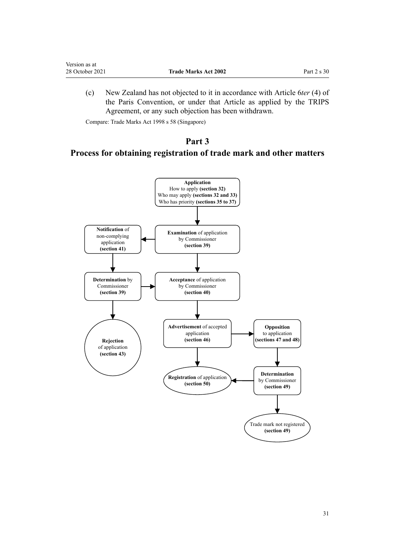<span id="page-30-0"></span>(c) New Zealand has not objected to it in accordance with Article 6*ter* (4) of the Paris Convention, or under that Article as applied by the TRIPS Agreement, or any such objection has been withdrawn.

Compare: Trade Marks Act 1998 s 58 (Singapore)

# **Part 3**

# **Process for obtaining registration of trade mark and other matters**

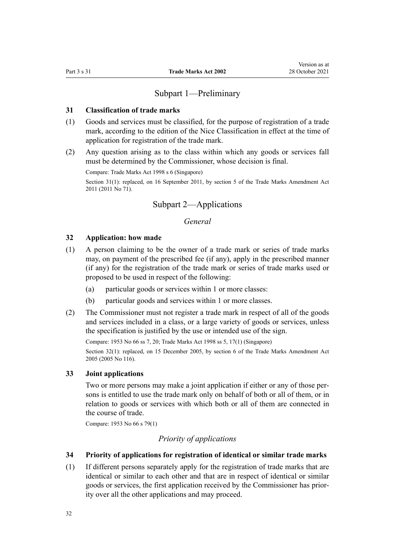### Subpart 1—Preliminary

#### <span id="page-31-0"></span>**31 Classification of trade marks**

- (1) Goods and services must be classified, for the purpose of registration of a trade mark, according to the edition of the Nice Classification in effect at the time of application for registration of the trade mark.
- (2) Any question arising as to the class within which any goods or services fall must be determined by the Commissioner, whose decision is final.

Compare: Trade Marks Act 1998 s 6 (Singapore)

Section 31(1): replaced, on 16 September 2011, by [section 5](http://legislation.govt.nz/pdflink.aspx?id=DLM2290037) of the Trade Marks Amendment Act 2011 (2011 No 71).

#### Subpart 2—Applications

## *General*

#### **32 Application: how made**

- (1) A person claiming to be the owner of a trade mark or series of trade marks may, on payment of the prescribed fee (if any), apply in the prescribed manner (if any) for the registration of the trade mark or series of trade marks used or proposed to be used in respect of the following:
	- (a) particular goods or services within 1 or more classes:
	- (b) particular goods and services within 1 or more classes.
- (2) The Commissioner must not register a trade mark in respect of all of the goods and services included in a class, or a large variety of goods or services, unless the specification is justified by the use or intended use of the sign.

Compare: 1953 No 66 ss 7, 20; Trade Marks Act 1998 ss 5, 17(1) (Singapore) Section 32(1): replaced, on 15 December 2005, by [section 6](http://legislation.govt.nz/pdflink.aspx?id=DLM362640) of the Trade Marks Amendment Act 2005 (2005 No 116).

#### **33 Joint applications**

Two or more persons may make a joint application if either or any of those per‐ sons is entitled to use the trade mark only on behalf of both or all of them, or in relation to goods or services with which both or all of them are connected in the course of trade.

Compare: 1953 No 66 s 79(1)

#### *Priority of applications*

#### **34 Priority of applications for registration of identical or similar trade marks**

(1) If different persons separately apply for the registration of trade marks that are identical or similar to each other and that are in respect of identical or similar goods or services, the first application received by the Commissioner has prior‐ ity over all the other applications and may proceed.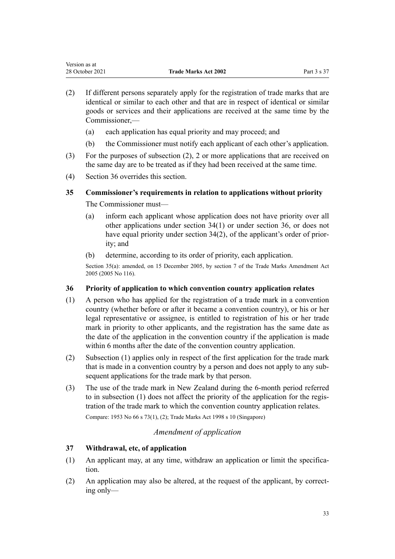- <span id="page-32-0"></span>(2) If different persons separately apply for the registration of trade marks that are identical or similar to each other and that are in respect of identical or similar goods or services and their applications are received at the same time by the Commissioner,—
	- (a) each application has equal priority and may proceed; and
	- (b) the Commissioner must notify each applicant of each other's application.
- (3) For the purposes of subsection (2), 2 or more applications that are received on the same day are to be treated as if they had been received at the same time.
- (4) Section 36 overrides this section.

## **35 Commissioner's requirements in relation to applications without priority**

The Commissioner must—

- (a) inform each applicant whose application does not have priority over all other applications under [section 34\(1\)](#page-31-0) or under section 36, or does not have equal priority under [section 34\(2\)](#page-31-0), of the applicant's order of priority; and
- (b) determine, according to its order of priority, each application.

Section 35(a): amended, on 15 December 2005, by [section 7](http://legislation.govt.nz/pdflink.aspx?id=DLM362641) of the Trade Marks Amendment Act 2005 (2005 No 116).

## **36 Priority of application to which convention country application relates**

- (1) A person who has applied for the registration of a trade mark in a convention country (whether before or after it became a convention country), or his or her legal representative or assignee, is entitled to registration of his or her trade mark in priority to other applicants, and the registration has the same date as the date of the application in the convention country if the application is made within 6 months after the date of the convention country application.
- (2) Subsection (1) applies only in respect of the first application for the trade mark that is made in a convention country by a person and does not apply to any sub‐ sequent applications for the trade mark by that person.
- (3) The use of the trade mark in New Zealand during the 6-month period referred to in subsection (1) does not affect the priority of the application for the regis‐ tration of the trade mark to which the convention country application relates. Compare: 1953 No 66 s 73(1), (2); Trade Marks Act 1998 s 10 (Singapore)

## *Amendment of application*

#### **37 Withdrawal, etc, of application**

- (1) An applicant may, at any time, withdraw an application or limit the specifica‐ tion.
- (2) An application may also be altered, at the request of the applicant, by correcting only—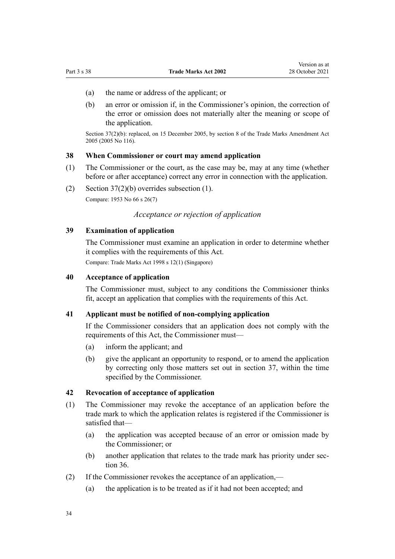Version as at

- <span id="page-33-0"></span>(a) the name or address of the applicant; or
- (b) an error or omission if, in the Commissioner's opinion, the correction of the error or omission does not materially alter the meaning or scope of the application.

Section 37(2)(b): replaced, on 15 December 2005, by [section 8](http://legislation.govt.nz/pdflink.aspx?id=DLM362642) of the Trade Marks Amendment Act 2005 (2005 No 116).

#### **38 When Commissioner or court may amend application**

- (1) The Commissioner or the court, as the case may be, may at any time (whether before or after acceptance) correct any error in connection with the application.
- (2) [Section 37\(2\)\(b\)](#page-32-0) overrides subsection (1). Compare: 1953 No 66 s 26(7)

#### *Acceptance or rejection of application*

## **39 Examination of application**

The Commissioner must examine an application in order to determine whether it complies with the requirements of this Act. Compare: Trade Marks Act 1998 s 12(1) (Singapore)

#### **40 Acceptance of application**

The Commissioner must, subject to any conditions the Commissioner thinks fit, accept an application that complies with the requirements of this Act.

### **41 Applicant must be notified of non-complying application**

If the Commissioner considers that an application does not comply with the requirements of this Act, the Commissioner must—

- (a) inform the applicant; and
- (b) give the applicant an opportunity to respond, or to amend the application by correcting only those matters set out in [section 37](#page-32-0), within the time specified by the Commissioner.

#### **42 Revocation of acceptance of application**

- (1) The Commissioner may revoke the acceptance of an application before the trade mark to which the application relates is registered if the Commissioner is satisfied that—
	- (a) the application was accepted because of an error or omission made by the Commissioner; or
	- (b) another application that relates to the trade mark has priority under [sec‐](#page-32-0) [tion 36](#page-32-0).
- (2) If the Commissioner revokes the acceptance of an application,—
	- (a) the application is to be treated as if it had not been accepted; and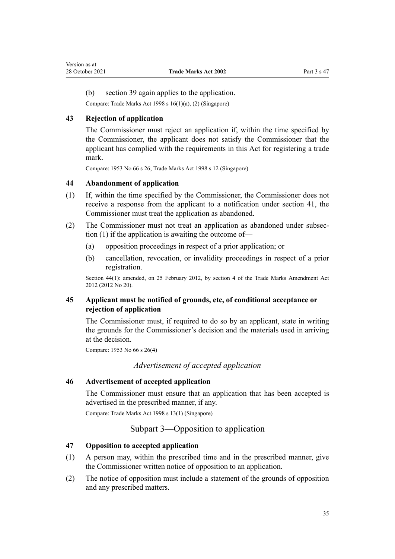<span id="page-34-0"></span>(b) [section 39](#page-33-0) again applies to the application.

Compare: Trade Marks Act 1998 s 16(1)(a), (2) (Singapore)

## **43 Rejection of application**

The Commissioner must reject an application if, within the time specified by the Commissioner, the applicant does not satisfy the Commissioner that the applicant has complied with the requirements in this Act for registering a trade mark.

Compare: 1953 No 66 s 26; Trade Marks Act 1998 s 12 (Singapore)

#### **44 Abandonment of application**

- (1) If, within the time specified by the Commissioner, the Commissioner does not receive a response from the applicant to a notification under [section 41,](#page-33-0) the Commissioner must treat the application as abandoned.
- (2) The Commissioner must not treat an application as abandoned under subsec‐ tion (1) if the application is awaiting the outcome of—
	- (a) opposition proceedings in respect of a prior application; or
	- (b) cancellation, revocation, or invalidity proceedings in respect of a prior registration.

Section 44(1): amended, on 25 February 2012, by [section 4](http://legislation.govt.nz/pdflink.aspx?id=DLM4015207) of the Trade Marks Amendment Act 2012 (2012 No 20).

## **45 Applicant must be notified of grounds, etc, of conditional acceptance or rejection of application**

The Commissioner must, if required to do so by an applicant, state in writing the grounds for the Commissioner's decision and the materials used in arriving at the decision.

Compare: 1953 No 66 s 26(4)

#### *Advertisement of accepted application*

#### **46 Advertisement of accepted application**

The Commissioner must ensure that an application that has been accepted is advertised in the prescribed manner, if any.

Compare: Trade Marks Act 1998 s 13(1) (Singapore)

## Subpart 3—Opposition to application

#### **47 Opposition to accepted application**

- (1) A person may, within the prescribed time and in the prescribed manner, give the Commissioner written notice of opposition to an application.
- (2) The notice of opposition must include a statement of the grounds of opposition and any prescribed matters.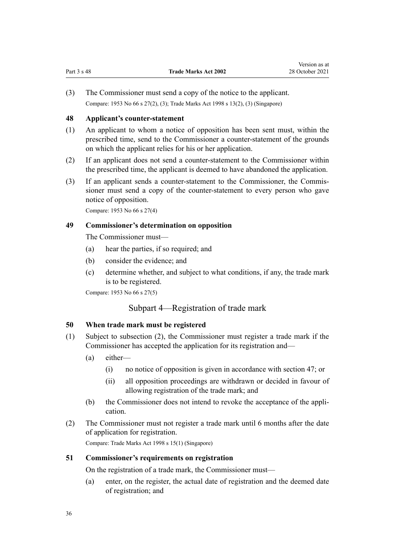<span id="page-35-0"></span>Compare: 1953 No 66 s 27(2), (3); Trade Marks Act 1998 s 13(2), (3) (Singapore)

## **48 Applicant's counter-statement**

- (1) An applicant to whom a notice of opposition has been sent must, within the prescribed time, send to the Commissioner a counter-statement of the grounds on which the applicant relies for his or her application.
- (2) If an applicant does not send a counter-statement to the Commissioner within the prescribed time, the applicant is deemed to have abandoned the application.
- (3) If an applicant sends a counter-statement to the Commissioner, the Commis‐ sioner must send a copy of the counter-statement to every person who gave notice of opposition.

Compare: 1953 No 66 s 27(4)

## **49 Commissioner's determination on opposition**

The Commissioner must—

- (a) hear the parties, if so required; and
- (b) consider the evidence; and
- (c) determine whether, and subject to what conditions, if any, the trade mark is to be registered.

Compare: 1953 No 66 s 27(5)

## Subpart 4—Registration of trade mark

#### **50 When trade mark must be registered**

- (1) Subject to subsection (2), the Commissioner must register a trade mark if the Commissioner has accepted the application for its registration and—
	- (a) either—
		- (i) no notice of opposition is given in accordance with [section 47](#page-34-0); or
		- (ii) all opposition proceedings are withdrawn or decided in favour of allowing registration of the trade mark; and
	- (b) the Commissioner does not intend to revoke the acceptance of the appli‐ cation.
- (2) The Commissioner must not register a trade mark until 6 months after the date of application for registration.

Compare: Trade Marks Act 1998 s 15(1) (Singapore)

#### **51 Commissioner's requirements on registration**

On the registration of a trade mark, the Commissioner must—

(a) enter, on the register, the actual date of registration and the deemed date of registration; and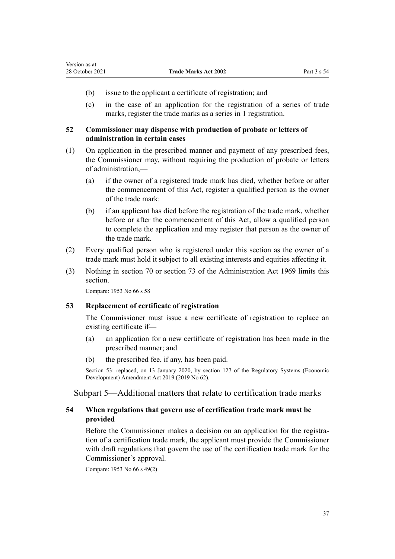- (b) issue to the applicant a certificate of registration; and
- (c) in the case of an application for the registration of a series of trade marks, register the trade marks as a series in 1 registration.

## **52 Commissioner may dispense with production of probate or letters of administration in certain cases**

- (1) On application in the prescribed manner and payment of any prescribed fees, the Commissioner may, without requiring the production of probate or letters of administration,—
	- (a) if the owner of a registered trade mark has died, whether before or after the commencement of this Act, register a qualified person as the owner of the trade mark:
	- (b) if an applicant has died before the registration of the trade mark, whether before or after the commencement of this Act, allow a qualified person to complete the application and may register that person as the owner of the trade mark.
- (2) Every qualified person who is registered under this section as the owner of a trade mark must hold it subject to all existing interests and equities affecting it.
- (3) Nothing in [section 70](http://legislation.govt.nz/pdflink.aspx?id=DLM393092) or [section 73](http://legislation.govt.nz/pdflink.aspx?id=DLM393097) of the Administration Act 1969 limits this section.

Compare: 1953 No 66 s 58

Version as at

#### **53 Replacement of certificate of registration**

The Commissioner must issue a new certificate of registration to replace an existing certificate if—

- (a) an application for a new certificate of registration has been made in the prescribed manner; and
- (b) the prescribed fee, if any, has been paid.

Section 53: replaced, on 13 January 2020, by [section 127](http://legislation.govt.nz/pdflink.aspx?id=LMS85754) of the Regulatory Systems (Economic Development) Amendment Act 2019 (2019 No 62).

Subpart 5—Additional matters that relate to certification trade marks

# **54 When regulations that govern use of certification trade mark must be provided**

Before the Commissioner makes a decision on an application for the registration of a certification trade mark, the applicant must provide the Commissioner with draft regulations that govern the use of the certification trade mark for the Commissioner's approval.

Compare: 1953 No 66 s 49(2)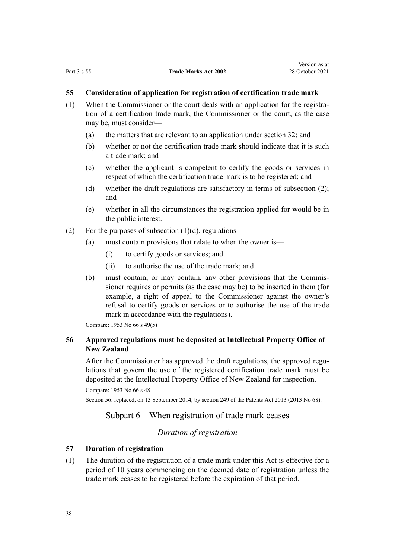## **55 Consideration of application for registration of certification trade mark**

- (1) When the Commissioner or the court deals with an application for the registration of a certification trade mark, the Commissioner or the court, as the case may be, must consider—
	- (a) the matters that are relevant to an application under [section 32](#page-31-0); and
	- (b) whether or not the certification trade mark should indicate that it is such a trade mark; and
	- (c) whether the applicant is competent to certify the goods or services in respect of which the certification trade mark is to be registered; and
	- (d) whether the draft regulations are satisfactory in terms of subsection (2); and
	- (e) whether in all the circumstances the registration applied for would be in the public interest.
- (2) For the purposes of subsection  $(1)(d)$ , regulations—
	- (a) must contain provisions that relate to when the owner is—
		- (i) to certify goods or services; and
		- (ii) to authorise the use of the trade mark; and
	- (b) must contain, or may contain, any other provisions that the Commis‐ sioner requires or permits (as the case may be) to be inserted in them (for example, a right of appeal to the Commissioner against the owner's refusal to certify goods or services or to authorise the use of the trade mark in accordance with the regulations).

Compare: 1953 No 66 s 49(5)

# **56 Approved regulations must be deposited at Intellectual Property Office of New Zealand**

After the Commissioner has approved the draft regulations, the approved regulations that govern the use of the registered certification trade mark must be deposited at the Intellectual Property Office of New Zealand for inspection.

```
Compare: 1953 No 66 s 48
```
Section 56: replaced, on 13 September 2014, by [section 249](http://legislation.govt.nz/pdflink.aspx?id=DLM1419624) of the Patents Act 2013 (2013 No 68).

# Subpart 6—When registration of trade mark ceases

## *Duration of registration*

## **57 Duration of registration**

(1) The duration of the registration of a trade mark under this Act is effective for a period of 10 years commencing on the deemed date of registration unless the trade mark ceases to be registered before the expiration of that period.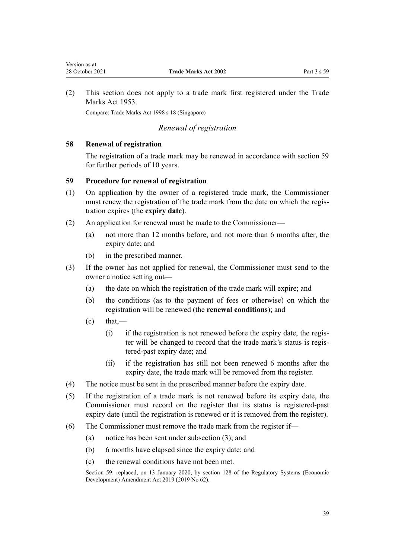<span id="page-38-0"></span>(2) This section does not apply to a trade mark first registered under the Trade Marks Act 1953.

Compare: Trade Marks Act 1998 s 18 (Singapore)

# *Renewal of registration*

## **58 Renewal of registration**

The registration of a trade mark may be renewed in accordance with section 59 for further periods of 10 years.

#### **59 Procedure for renewal of registration**

- (1) On application by the owner of a registered trade mark, the Commissioner must renew the registration of the trade mark from the date on which the registration expires (the **expiry date**).
- (2) An application for renewal must be made to the Commissioner—
	- (a) not more than 12 months before, and not more than 6 months after, the expiry date; and
	- (b) in the prescribed manner.
- (3) If the owner has not applied for renewal, the Commissioner must send to the owner a notice setting out—
	- (a) the date on which the registration of the trade mark will expire; and
	- (b) the conditions (as to the payment of fees or otherwise) on which the registration will be renewed (the **renewal conditions**); and
	- $\text{(c)}$  that,—
		- $(i)$  if the registration is not renewed before the expiry date, the register will be changed to record that the trade mark's status is registered-past expiry date; and
		- (ii) if the registration has still not been renewed 6 months after the expiry date, the trade mark will be removed from the register.
- (4) The notice must be sent in the prescribed manner before the expiry date.
- (5) If the registration of a trade mark is not renewed before its expiry date, the Commissioner must record on the register that its status is registered-past expiry date (until the registration is renewed or it is removed from the register).
- (6) The Commissioner must remove the trade mark from the register if—
	- (a) notice has been sent under subsection (3); and
	- (b) 6 months have elapsed since the expiry date; and
	- (c) the renewal conditions have not been met.

Section 59: replaced, on 13 January 2020, by [section 128](http://legislation.govt.nz/pdflink.aspx?id=LMS85760) of the Regulatory Systems (Economic Development) Amendment Act 2019 (2019 No 62).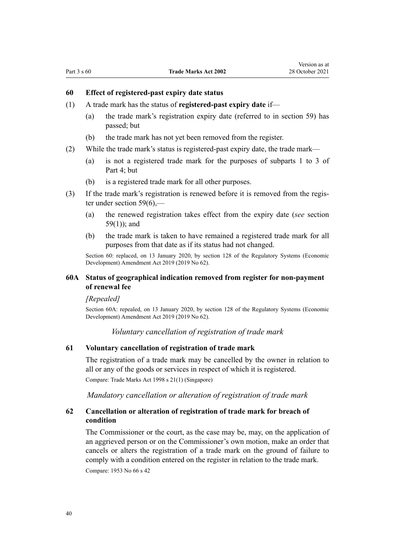## **60 Effect of registered-past expiry date status**

- (1) A trade mark has the status of **registered-past expiry date** if—
	- (a) the trade mark's registration expiry date (referred to in [section 59\)](#page-38-0) has passed; but
	- (b) the trade mark has not yet been removed from the register.
- (2) While the trade mark's status is registered-past expiry date, the trade mark—
	- (a) is not a registered trade mark for the purposes of [subparts 1 to 3](#page-48-0) of Part 4; but
	- (b) is a registered trade mark for all other purposes.
- (3) If the trade mark's registration is renewed before it is removed from the regis‐ ter under section  $59(6)$ ,-
	- (a) the renewed registration takes effect from the expiry date (*see* [section](#page-38-0) [59\(1\)](#page-38-0)); and
	- (b) the trade mark is taken to have remained a registered trade mark for all purposes from that date as if its status had not changed.

Section 60: replaced, on 13 January 2020, by [section 128](http://legislation.govt.nz/pdflink.aspx?id=LMS85760) of the Regulatory Systems (Economic Development) Amendment Act 2019 (2019 No 62).

#### **60A Status of geographical indication removed from register for non-payment of renewal fee**

#### *[Repealed]*

Section 60A: repealed, on 13 January 2020, by [section 128](http://legislation.govt.nz/pdflink.aspx?id=LMS85760) of the Regulatory Systems (Economic Development) Amendment Act 2019 (2019 No 62).

*Voluntary cancellation of registration of trade mark*

#### **61 Voluntary cancellation of registration of trade mark**

The registration of a trade mark may be cancelled by the owner in relation to all or any of the goods or services in respect of which it is registered.

Compare: Trade Marks Act 1998 s 21(1) (Singapore)

*Mandatory cancellation or alteration of registration of trade mark*

# **62 Cancellation or alteration of registration of trade mark for breach of condition**

The Commissioner or the court, as the case may be, may, on the application of an aggrieved person or on the Commissioner's own motion, make an order that cancels or alters the registration of a trade mark on the ground of failure to comply with a condition entered on the register in relation to the trade mark. Compare: 1953 No 66 s 42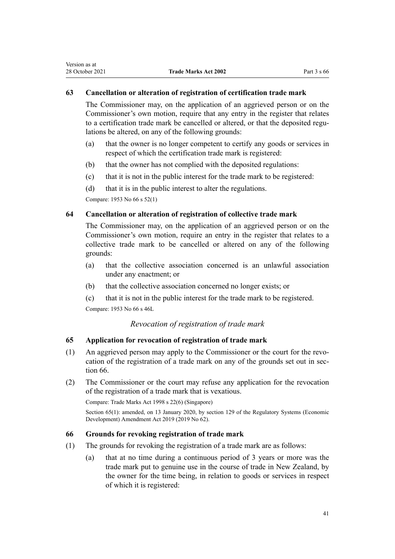# <span id="page-40-0"></span>**63 Cancellation or alteration of registration of certification trade mark**

The Commissioner may, on the application of an aggrieved person or on the Commissioner's own motion, require that any entry in the register that relates to a certification trade mark be cancelled or altered, or that the deposited regulations be altered, on any of the following grounds:

- (a) that the owner is no longer competent to certify any goods or services in respect of which the certification trade mark is registered:
- (b) that the owner has not complied with the deposited regulations:
- (c) that it is not in the public interest for the trade mark to be registered:
- (d) that it is in the public interest to alter the regulations.

Compare: 1953 No 66 s 52(1)

# **64 Cancellation or alteration of registration of collective trade mark**

The Commissioner may, on the application of an aggrieved person or on the Commissioner's own motion, require an entry in the register that relates to a collective trade mark to be cancelled or altered on any of the following grounds:

- (a) that the collective association concerned is an unlawful association under any enactment; or
- (b) that the collective association concerned no longer exists; or
- (c) that it is not in the public interest for the trade mark to be registered.

Compare: 1953 No 66 s 46L

# *Revocation of registration of trade mark*

# **65 Application for revocation of registration of trade mark**

- (1) An aggrieved person may apply to the Commissioner or the court for the revo‐ cation of the registration of a trade mark on any of the grounds set out in section 66.
- (2) The Commissioner or the court may refuse any application for the revocation of the registration of a trade mark that is vexatious.

Compare: Trade Marks Act 1998 s 22(6) (Singapore)

Section 65(1): amended, on 13 January 2020, by [section 129](http://legislation.govt.nz/pdflink.aspx?id=LMS85761) of the Regulatory Systems (Economic Development) Amendment Act 2019 (2019 No 62).

#### **66 Grounds for revoking registration of trade mark**

- (1) The grounds for revoking the registration of a trade mark are as follows:
	- (a) that at no time during a continuous period of 3 years or more was the trade mark put to genuine use in the course of trade in New Zealand, by the owner for the time being, in relation to goods or services in respect of which it is registered: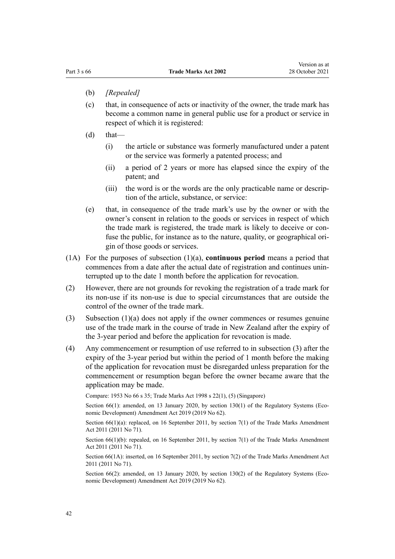- (b) *[Repealed]*
- (c) that, in consequence of acts or inactivity of the owner, the trade mark has become a common name in general public use for a product or service in respect of which it is registered:
- $(d)$  that—
	- (i) the article or substance was formerly manufactured under a patent or the service was formerly a patented process; and
	- (ii) a period of 2 years or more has elapsed since the expiry of the patent; and
	- (iii) the word is or the words are the only practicable name or description of the article, substance, or service:
- (e) that, in consequence of the trade mark's use by the owner or with the owner's consent in relation to the goods or services in respect of which the trade mark is registered, the trade mark is likely to deceive or con‐ fuse the public, for instance as to the nature, quality, or geographical origin of those goods or services.
- (1A) For the purposes of subsection (1)(a), **continuous period** means a period that commences from a date after the actual date of registration and continues uninterrupted up to the date 1 month before the application for revocation.
- (2) However, there are not grounds for revoking the registration of a trade mark for its non-use if its non-use is due to special circumstances that are outside the control of the owner of the trade mark.
- (3) Subsection (1)(a) does not apply if the owner commences or resumes genuine use of the trade mark in the course of trade in New Zealand after the expiry of the 3-year period and before the application for revocation is made.
- (4) Any commencement or resumption of use referred to in subsection (3) after the expiry of the 3-year period but within the period of 1 month before the making of the application for revocation must be disregarded unless preparation for the commencement or resumption began before the owner became aware that the application may be made.

Compare: 1953 No 66 s 35; Trade Marks Act 1998 s 22(1), (5) (Singapore)

Section  $66(1)$ : amended, on 13 January 2020, by [section 130\(1\)](http://legislation.govt.nz/pdflink.aspx?id=LMS85762) of the Regulatory Systems (Economic Development) Amendment Act 2019 (2019 No 62).

Section 66(1)(a): replaced, on 16 September 2011, by [section 7\(1\)](http://legislation.govt.nz/pdflink.aspx?id=DLM2290040) of the Trade Marks Amendment Act 2011 (2011 No 71).

Section  $66(1)(b)$ : repealed, on 16 September 2011, by [section 7\(1\)](http://legislation.govt.nz/pdflink.aspx?id=DLM2290040) of the Trade Marks Amendment Act 2011 (2011 No 71).

Section 66(1A): inserted, on 16 September 2011, by [section 7\(2\)](http://legislation.govt.nz/pdflink.aspx?id=DLM2290040) of the Trade Marks Amendment Act 2011 (2011 No 71).

Section 66(2): amended, on 13 January 2020, by [section 130\(2\)](http://legislation.govt.nz/pdflink.aspx?id=LMS85762) of the Regulatory Systems (Economic Development) Amendment Act 2019 (2019 No 62).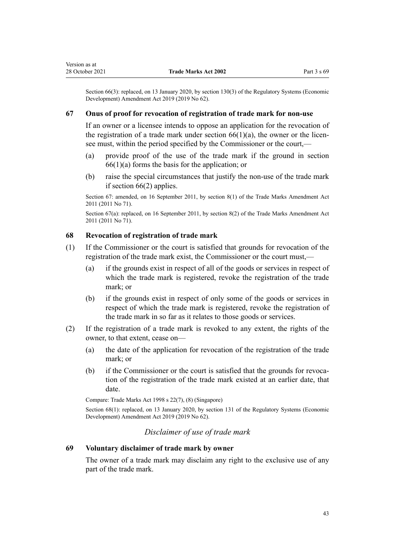Section 66(3): replaced, on 13 January 2020, by [section 130\(3\)](http://legislation.govt.nz/pdflink.aspx?id=LMS85762) of the Regulatory Systems (Economic Development) Amendment Act 2019 (2019 No 62).

#### **67 Onus of proof for revocation of registration of trade mark for non-use**

If an owner or a licensee intends to oppose an application for the revocation of the registration of a trade mark under section  $66(1)(a)$ , the owner or the licensee must, within the period specified by the Commissioner or the court,—

- (a) provide proof of the use of the trade mark if the ground in [section](#page-40-0)  $66(1)(a)$  forms the basis for the application; or
- (b) raise the special circumstances that justify the non-use of the trade mark if [section 66\(2\)](#page-40-0) applies.

Section 67: amended, on 16 September 2011, by [section 8\(1\)](http://legislation.govt.nz/pdflink.aspx?id=DLM2290042) of the Trade Marks Amendment Act 2011 (2011 No 71).

Section 67(a): replaced, on 16 September 2011, by [section 8\(2\)](http://legislation.govt.nz/pdflink.aspx?id=DLM2290042) of the Trade Marks Amendment Act 2011 (2011 No 71).

## **68 Revocation of registration of trade mark**

- (1) If the Commissioner or the court is satisfied that grounds for revocation of the registration of the trade mark exist, the Commissioner or the court must,—
	- (a) if the grounds exist in respect of all of the goods or services in respect of which the trade mark is registered, revoke the registration of the trade mark; or
	- (b) if the grounds exist in respect of only some of the goods or services in respect of which the trade mark is registered, revoke the registration of the trade mark in so far as it relates to those goods or services.
- (2) If the registration of a trade mark is revoked to any extent, the rights of the owner, to that extent, cease on—
	- (a) the date of the application for revocation of the registration of the trade mark; or
	- (b) if the Commissioner or the court is satisfied that the grounds for revocation of the registration of the trade mark existed at an earlier date, that date.

Compare: Trade Marks Act 1998 s 22(7), (8) (Singapore)

Section 68(1): replaced, on 13 January 2020, by [section 131](http://legislation.govt.nz/pdflink.aspx?id=LMS85763) of the Regulatory Systems (Economic Development) Amendment Act 2019 (2019 No 62).

# *Disclaimer of use of trade mark*

# **69 Voluntary disclaimer of trade mark by owner**

The owner of a trade mark may disclaim any right to the exclusive use of any part of the trade mark.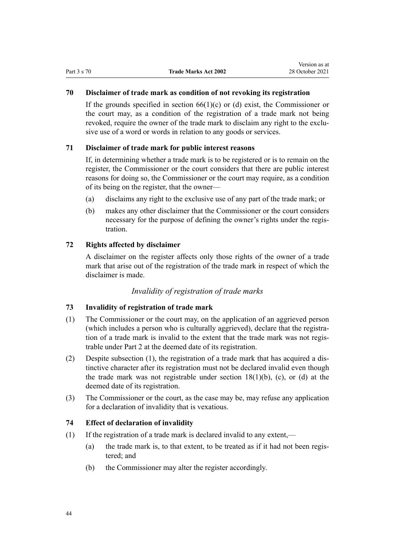# **70 Disclaimer of trade mark as condition of not revoking its registration**

If the grounds specified in section  $66(1)(c)$  or (d) exist, the Commissioner or the court may, as a condition of the registration of a trade mark not being revoked, require the owner of the trade mark to disclaim any right to the exclusive use of a word or words in relation to any goods or services.

## **71 Disclaimer of trade mark for public interest reasons**

If, in determining whether a trade mark is to be registered or is to remain on the register, the Commissioner or the court considers that there are public interest reasons for doing so, the Commissioner or the court may require, as a condition of its being on the register, that the owner—

- (a) disclaims any right to the exclusive use of any part of the trade mark; or
- (b) makes any other disclaimer that the Commissioner or the court considers necessary for the purpose of defining the owner's rights under the registration.

## **72 Rights affected by disclaimer**

A disclaimer on the register affects only those rights of the owner of a trade mark that arise out of the registration of the trade mark in respect of which the disclaimer is made.

#### *Invalidity of registration of trade marks*

#### **73 Invalidity of registration of trade mark**

- (1) The Commissioner or the court may, on the application of an aggrieved person (which includes a person who is culturally aggrieved), declare that the registration of a trade mark is invalid to the extent that the trade mark was not regis‐ trable under [Part 2](#page-21-0) at the deemed date of its registration.
- (2) Despite subsection (1), the registration of a trade mark that has acquired a dis‐ tinctive character after its registration must not be declared invalid even though the trade mark was not registrable under section  $18(1)(b)$ , (c), or (d) at the deemed date of its registration.
- (3) The Commissioner or the court, as the case may be, may refuse any application for a declaration of invalidity that is vexatious.

## **74 Effect of declaration of invalidity**

- (1) If the registration of a trade mark is declared invalid to any extent,—
	- (a) the trade mark is, to that extent, to be treated as if it had not been registered; and
	- (b) the Commissioner may alter the register accordingly.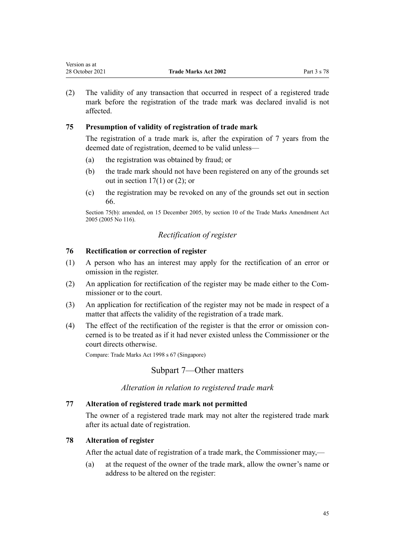(2) The validity of any transaction that occurred in respect of a registered trade mark before the registration of the trade mark was declared invalid is not affected.

# **75 Presumption of validity of registration of trade mark**

The registration of a trade mark is, after the expiration of 7 years from the deemed date of registration, deemed to be valid unless—

- (a) the registration was obtained by fraud; or
- (b) the trade mark should not have been registered on any of the grounds set out in section  $17(1)$  or  $(2)$ ; or
- (c) the registration may be revoked on any of the grounds set out in [section](#page-40-0) [66.](#page-40-0)

Section 75(b): amended, on 15 December 2005, by [section 10](http://legislation.govt.nz/pdflink.aspx?id=DLM362644) of the Trade Marks Amendment Act 2005 (2005 No 116).

# *Rectification of register*

# **76 Rectification or correction of register**

- (1) A person who has an interest may apply for the rectification of an error or omission in the register.
- (2) An application for rectification of the register may be made either to the Com‐ missioner or to the court.
- (3) An application for rectification of the register may not be made in respect of a matter that affects the validity of the registration of a trade mark.
- (4) The effect of the rectification of the register is that the error or omission con‐ cerned is to be treated as if it had never existed unless the Commissioner or the court directs otherwise.

Compare: Trade Marks Act 1998 s 67 (Singapore)

# Subpart 7—Other matters

*Alteration in relation to registered trade mark*

## **77 Alteration of registered trade mark not permitted**

The owner of a registered trade mark may not alter the registered trade mark after its actual date of registration.

## **78 Alteration of register**

After the actual date of registration of a trade mark, the Commissioner may,—

(a) at the request of the owner of the trade mark, allow the owner's name or address to be altered on the register: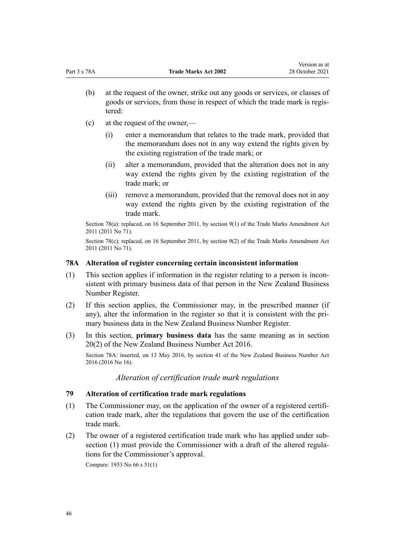- (b) at the request of the owner, strike out any goods or services, or classes of goods or services, from those in respect of which the trade mark is regis‐ tered:
- (c) at the request of the owner,—
	- (i) enter a memorandum that relates to the trade mark, provided that the memorandum does not in any way extend the rights given by the existing registration of the trade mark; or
	- (ii) alter a memorandum, provided that the alteration does not in any way extend the rights given by the existing registration of the trade mark; or
	- (iii) remove a memorandum, provided that the removal does not in any way extend the rights given by the existing registration of the trade mark.

Section 78(a): replaced, on 16 September 2011, by [section 9\(1\)](http://legislation.govt.nz/pdflink.aspx?id=DLM2290043) of the Trade Marks Amendment Act 2011 (2011 No 71).

Section 78(c): replaced, on 16 September 2011, by [section 9\(2\)](http://legislation.govt.nz/pdflink.aspx?id=DLM2290043) of the Trade Marks Amendment Act 2011 (2011 No 71).

#### **78A Alteration of register concerning certain inconsistent information**

- (1) This section applies if information in the register relating to a person is incon‐ sistent with primary business data of that person in the New Zealand Business Number Register.
- (2) If this section applies, the Commissioner may, in the prescribed manner (if any), alter the information in the register so that it is consistent with the primary business data in the New Zealand Business Number Register.
- (3) In this section, **primary business data** has the same meaning as in [section](http://legislation.govt.nz/pdflink.aspx?id=DLM6431573) [20\(2\)](http://legislation.govt.nz/pdflink.aspx?id=DLM6431573) of the New Zealand Business Number Act 2016.

Section 78A: inserted, on 13 May 2016, by [section 41](http://legislation.govt.nz/pdflink.aspx?id=DLM6431601) of the New Zealand Business Number Act 2016 (2016 No 16).

*Alteration of certification trade mark regulations*

#### **79 Alteration of certification trade mark regulations**

- (1) The Commissioner may, on the application of the owner of a registered certifi‐ cation trade mark, alter the regulations that govern the use of the certification trade mark.
- (2) The owner of a registered certification trade mark who has applied under sub‐ section (1) must provide the Commissioner with a draft of the altered regulations for the Commissioner's approval.

Compare: 1953 No 66 s 51(1)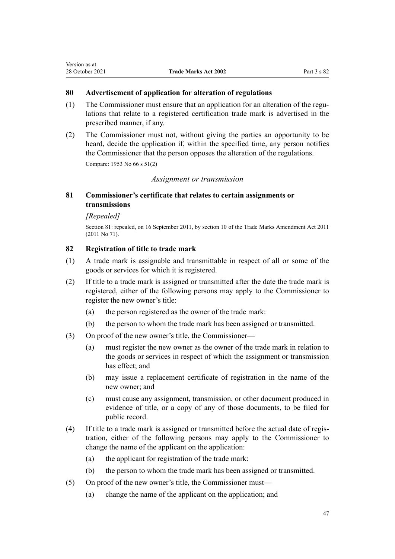## **80 Advertisement of application for alteration of regulations**

- (1) The Commissioner must ensure that an application for an alteration of the regulations that relate to a registered certification trade mark is advertised in the prescribed manner, if any.
- (2) The Commissioner must not, without giving the parties an opportunity to be heard, decide the application if, within the specified time, any person notifies the Commissioner that the person opposes the alteration of the regulations.

Compare: 1953 No 66 s 51(2)

#### *Assignment or transmission*

# **81 Commissioner's certificate that relates to certain assignments or transmissions**

#### *[Repealed]*

Section 81: repealed, on 16 September 2011, by [section 10](http://legislation.govt.nz/pdflink.aspx?id=DLM2290044) of the Trade Marks Amendment Act 2011 (2011 No 71).

## **82 Registration of title to trade mark**

- (1) A trade mark is assignable and transmittable in respect of all or some of the goods or services for which it is registered.
- (2) If title to a trade mark is assigned or transmitted after the date the trade mark is registered, either of the following persons may apply to the Commissioner to register the new owner's title:
	- (a) the person registered as the owner of the trade mark:
	- (b) the person to whom the trade mark has been assigned or transmitted.
- (3) On proof of the new owner's title, the Commissioner—
	- (a) must register the new owner as the owner of the trade mark in relation to the goods or services in respect of which the assignment or transmission has effect; and
	- (b) may issue a replacement certificate of registration in the name of the new owner; and
	- (c) must cause any assignment, transmission, or other document produced in evidence of title, or a copy of any of those documents, to be filed for public record.
- (4) If title to a trade mark is assigned or transmitted before the actual date of regis‐ tration, either of the following persons may apply to the Commissioner to change the name of the applicant on the application:
	- (a) the applicant for registration of the trade mark:
	- (b) the person to whom the trade mark has been assigned or transmitted.
- (5) On proof of the new owner's title, the Commissioner must—
	- (a) change the name of the applicant on the application; and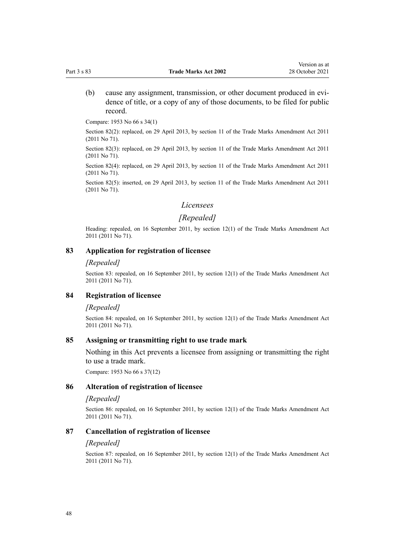(b) cause any assignment, transmission, or other document produced in evidence of title, or a copy of any of those documents, to be filed for public record.

Compare: 1953 No 66 s 34(1)

Section 82(2): replaced, on 29 April 2013, by [section 11](http://legislation.govt.nz/pdflink.aspx?id=DLM2290045) of the Trade Marks Amendment Act 2011 (2011 No 71).

Section 82(3): replaced, on 29 April 2013, by [section 11](http://legislation.govt.nz/pdflink.aspx?id=DLM2290045) of the Trade Marks Amendment Act 2011 (2011 No 71).

Section 82(4): replaced, on 29 April 2013, by [section 11](http://legislation.govt.nz/pdflink.aspx?id=DLM2290045) of the Trade Marks Amendment Act 2011 (2011 No 71).

Section 82(5): inserted, on 29 April 2013, by [section 11](http://legislation.govt.nz/pdflink.aspx?id=DLM2290045) of the Trade Marks Amendment Act 2011 (2011 No 71).

#### *Licensees*

# *[Repealed]*

Heading: repealed, on 16 September 2011, by [section 12\(1\)](http://legislation.govt.nz/pdflink.aspx?id=DLM2290046) of the Trade Marks Amendment Act 2011 (2011 No 71).

#### **83 Application for registration of licensee**

#### *[Repealed]*

Section 83: repealed, on 16 September 2011, by [section 12\(1\)](http://legislation.govt.nz/pdflink.aspx?id=DLM2290046) of the Trade Marks Amendment Act 2011 (2011 No 71).

#### **84 Registration of licensee**

#### *[Repealed]*

Section 84: repealed, on 16 September 2011, by [section 12\(1\)](http://legislation.govt.nz/pdflink.aspx?id=DLM2290046) of the Trade Marks Amendment Act 2011 (2011 No 71).

#### **85 Assigning or transmitting right to use trade mark**

Nothing in this Act prevents a licensee from assigning or transmitting the right to use a trade mark.

Compare: 1953 No 66 s 37(12)

#### **86 Alteration of registration of licensee**

#### *[Repealed]*

Section 86: repealed, on 16 September 2011, by [section 12\(1\)](http://legislation.govt.nz/pdflink.aspx?id=DLM2290046) of the Trade Marks Amendment Act 2011 (2011 No 71).

#### **87 Cancellation of registration of licensee**

#### *[Repealed]*

Section 87: repealed, on 16 September 2011, by [section 12\(1\)](http://legislation.govt.nz/pdflink.aspx?id=DLM2290046) of the Trade Marks Amendment Act 2011 (2011 No 71).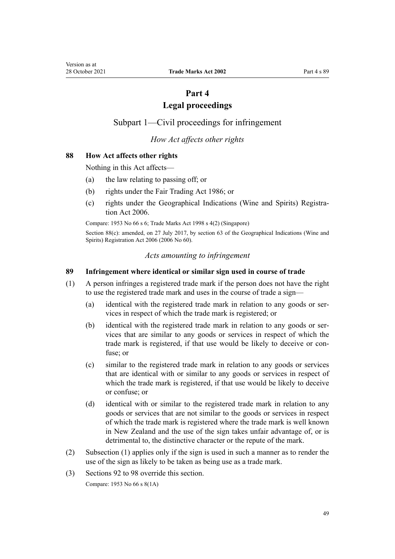# **Part 4**

# **Legal proceedings**

# <span id="page-48-0"></span>Subpart 1—Civil proceedings for infringement

# *How Act affects other rights*

## **88 How Act affects other rights**

Nothing in this Act affects—

- (a) the law relating to passing off; or
- (b) rights under the [Fair Trading Act 1986](http://legislation.govt.nz/pdflink.aspx?id=DLM96438); or
- (c) rights under the [Geographical Indications \(Wine and Spirits\) Registra‐](http://legislation.govt.nz/pdflink.aspx?id=DLM390755) [tion Act 2006](http://legislation.govt.nz/pdflink.aspx?id=DLM390755).

Compare: 1953 No 66 s 6; Trade Marks Act 1998 s 4(2) (Singapore)

Section 88(c): amended, on 27 July 2017, by [section 63](http://legislation.govt.nz/pdflink.aspx?id=DLM390893) of the Geographical Indications (Wine and Spirits) Registration Act 2006 (2006 No 60).

#### *Acts amounting to infringement*

#### **89 Infringement where identical or similar sign used in course of trade**

- (1) A person infringes a registered trade mark if the person does not have the right to use the registered trade mark and uses in the course of trade a sign—
	- (a) identical with the registered trade mark in relation to any goods or services in respect of which the trade mark is registered; or
	- (b) identical with the registered trade mark in relation to any goods or services that are similar to any goods or services in respect of which the trade mark is registered, if that use would be likely to deceive or con‐ fuse; or
	- (c) similar to the registered trade mark in relation to any goods or services that are identical with or similar to any goods or services in respect of which the trade mark is registered, if that use would be likely to deceive or confuse; or
	- (d) identical with or similar to the registered trade mark in relation to any goods or services that are not similar to the goods or services in respect of which the trade mark is registered where the trade mark is well known in New Zealand and the use of the sign takes unfair advantage of, or is detrimental to, the distinctive character or the repute of the mark.
- (2) Subsection (1) applies only if the sign is used in such a manner as to render the use of the sign as likely to be taken as being use as a trade mark.
- (3) [Sections 92 to 98](#page-50-0) override this section.

```
Compare: 1953 No 66 s 8(1A)
```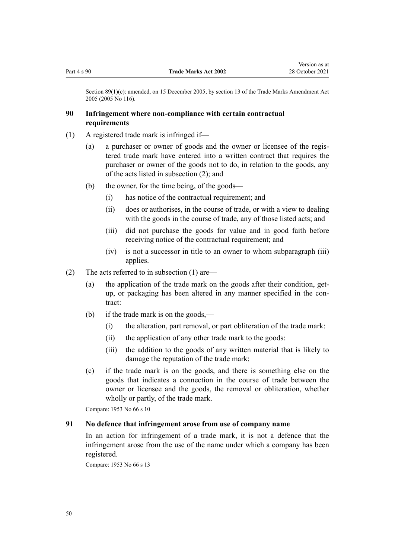Section 89(1)(c): amended, on 15 December 2005, by [section 13](http://legislation.govt.nz/pdflink.aspx?id=DLM362647) of the Trade Marks Amendment Act 2005 (2005 No 116).

# **90 Infringement where non-compliance with certain contractual requirements**

- (1) A registered trade mark is infringed if—
	- (a) a purchaser or owner of goods and the owner or licensee of the regis‐ tered trade mark have entered into a written contract that requires the purchaser or owner of the goods not to do, in relation to the goods, any of the acts listed in subsection (2); and
	- (b) the owner, for the time being, of the goods—
		- (i) has notice of the contractual requirement; and
		- (ii) does or authorises, in the course of trade, or with a view to dealing with the goods in the course of trade, any of those listed acts; and
		- (iii) did not purchase the goods for value and in good faith before receiving notice of the contractual requirement; and
		- (iv) is not a successor in title to an owner to whom subparagraph (iii) applies.
- (2) The acts referred to in subsection (1) are—
	- (a) the application of the trade mark on the goods after their condition, getup, or packaging has been altered in any manner specified in the contract:
	- (b) if the trade mark is on the goods,—
		- (i) the alteration, part removal, or part obliteration of the trade mark:
		- (ii) the application of any other trade mark to the goods:
		- (iii) the addition to the goods of any written material that is likely to damage the reputation of the trade mark:
	- (c) if the trade mark is on the goods, and there is something else on the goods that indicates a connection in the course of trade between the owner or licensee and the goods, the removal or obliteration, whether wholly or partly, of the trade mark.

Compare: 1953 No 66 s 10

#### **91 No defence that infringement arose from use of company name**

In an action for infringement of a trade mark, it is not a defence that the infringement arose from the use of the name under which a company has been registered.

Compare: 1953 No 66 s 13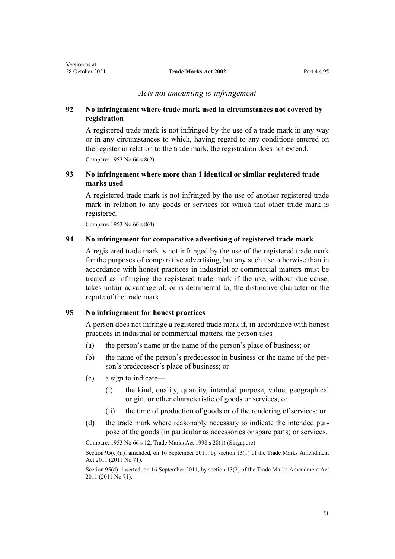# *Acts not amounting to infringement*

## <span id="page-50-0"></span>**92 No infringement where trade mark used in circumstances not covered by registration**

A registered trade mark is not infringed by the use of a trade mark in any way or in any circumstances to which, having regard to any conditions entered on the register in relation to the trade mark, the registration does not extend. Compare: 1953 No 66 s 8(2)

# **93 No infringement where more than 1 identical or similar registered trade marks used**

A registered trade mark is not infringed by the use of another registered trade mark in relation to any goods or services for which that other trade mark is registered.

Compare: 1953 No 66 s 8(4)

#### **94 No infringement for comparative advertising of registered trade mark**

A registered trade mark is not infringed by the use of the registered trade mark for the purposes of comparative advertising, but any such use otherwise than in accordance with honest practices in industrial or commercial matters must be treated as infringing the registered trade mark if the use, without due cause, takes unfair advantage of, or is detrimental to, the distinctive character or the repute of the trade mark.

## **95 No infringement for honest practices**

A person does not infringe a registered trade mark if, in accordance with honest practices in industrial or commercial matters, the person uses—

- (a) the person's name or the name of the person's place of business; or
- (b) the name of the person's predecessor in business or the name of the per‐ son's predecessor's place of business; or
- (c) a sign to indicate—
	- (i) the kind, quality, quantity, intended purpose, value, geographical origin, or other characteristic of goods or services; or
	- (ii) the time of production of goods or of the rendering of services; or
- (d) the trade mark where reasonably necessary to indicate the intended purpose of the goods (in particular as accessories or spare parts) or services.

Compare: 1953 No 66 s 12; Trade Marks Act 1998 s 28(1) (Singapore)

Section 95(c)(ii): amended, on 16 September 2011, by [section 13\(1\)](http://legislation.govt.nz/pdflink.aspx?id=DLM2290047) of the Trade Marks Amendment Act 2011 (2011 No 71).

Section 95(d): inserted, on 16 September 2011, by [section 13\(2\)](http://legislation.govt.nz/pdflink.aspx?id=DLM2290047) of the Trade Marks Amendment Act 2011 (2011 No 71).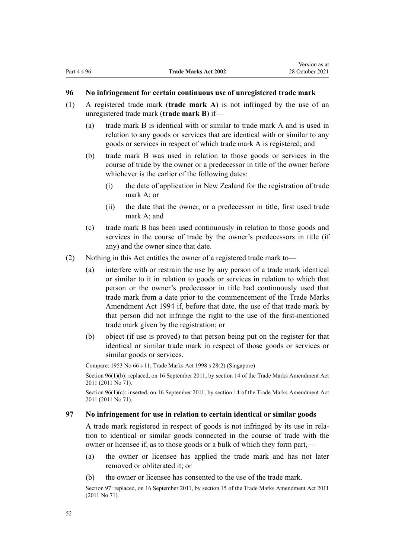#### <span id="page-51-0"></span>**96 No infringement for certain continuous use of unregistered trade mark**

- (1) A registered trade mark (**trade mark A**) is not infringed by the use of an unregistered trade mark (**trade mark B**) if—
	- (a) trade mark B is identical with or similar to trade mark A and is used in relation to any goods or services that are identical with or similar to any goods or services in respect of which trade mark A is registered; and
	- (b) trade mark B was used in relation to those goods or services in the course of trade by the owner or a predecessor in title of the owner before whichever is the earlier of the following dates:
		- (i) the date of application in New Zealand for the registration of trade mark A; or
		- (ii) the date that the owner, or a predecessor in title, first used trade mark A; and
	- (c) trade mark B has been used continuously in relation to those goods and services in the course of trade by the owner's predecessors in title (if any) and the owner since that date.
- (2) Nothing in this Act entitles the owner of a registered trade mark to—
	- (a) interfere with or restrain the use by any person of a trade mark identical or similar to it in relation to goods or services in relation to which that person or the owner's predecessor in title had continuously used that trade mark from a date prior to the commencement of the Trade Marks Amendment Act 1994 if, before that date, the use of that trade mark by that person did not infringe the right to the use of the first-mentioned trade mark given by the registration; or
	- (b) object (if use is proved) to that person being put on the register for that identical or similar trade mark in respect of those goods or services or similar goods or services.

Compare: 1953 No 66 s 11; Trade Marks Act 1998 s 28(2) (Singapore)

Section 96(1)(b): replaced, on 16 September 2011, by [section 14](http://legislation.govt.nz/pdflink.aspx?id=DLM2353604) of the Trade Marks Amendment Act 2011 (2011 No 71).

Section 96(1)(c): inserted, on 16 September 2011, by [section 14](http://legislation.govt.nz/pdflink.aspx?id=DLM2353604) of the Trade Marks Amendment Act 2011 (2011 No 71).

#### **97 No infringement for use in relation to certain identical or similar goods**

A trade mark registered in respect of goods is not infringed by its use in rela‐ tion to identical or similar goods connected in the course of trade with the owner or licensee if, as to those goods or a bulk of which they form part,—

- (a) the owner or licensee has applied the trade mark and has not later removed or obliterated it; or
- (b) the owner or licensee has consented to the use of the trade mark.

Section 97: replaced, on 16 September 2011, by [section 15](http://legislation.govt.nz/pdflink.aspx?id=DLM2290048) of the Trade Marks Amendment Act 2011 (2011 No 71).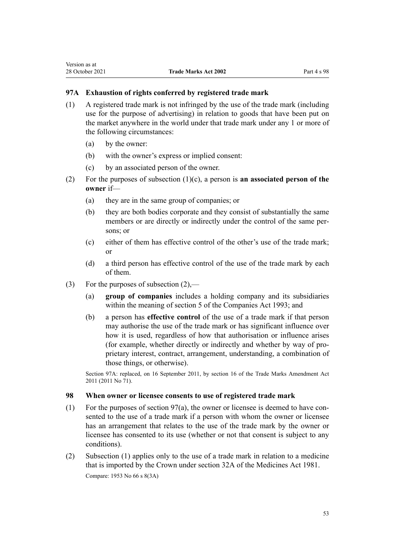## **97A Exhaustion of rights conferred by registered trade mark**

- (1) A registered trade mark is not infringed by the use of the trade mark (including use for the purpose of advertising) in relation to goods that have been put on the market anywhere in the world under that trade mark under any 1 or more of the following circumstances:
	- (a) by the owner:
	- (b) with the owner's express or implied consent:
	- (c) by an associated person of the owner.
- (2) For the purposes of subsection (1)(c), a person is **an associated person of the owner** if—
	- (a) they are in the same group of companies; or
	- (b) they are both bodies corporate and they consist of substantially the same members or are directly or indirectly under the control of the same persons; or
	- (c) either of them has effective control of the other's use of the trade mark; or
	- (d) a third person has effective control of the use of the trade mark by each of them.
- (3) For the purposes of subsection  $(2)$ ,—
	- (a) **group of companies** includes a holding company and its subsidiaries within the meaning of [section 5](http://legislation.govt.nz/pdflink.aspx?id=DLM319999) of the Companies Act 1993; and
	- (b) a person has **effective control** of the use of a trade mark if that person may authorise the use of the trade mark or has significant influence over how it is used, regardless of how that authorisation or influence arises (for example, whether directly or indirectly and whether by way of pro‐ prietary interest, contract, arrangement, understanding, a combination of those things, or otherwise).

Section 97A: replaced, on 16 September 2011, by [section 16](http://legislation.govt.nz/pdflink.aspx?id=DLM2290050) of the Trade Marks Amendment Act 2011 (2011 No 71).

#### **98 When owner or licensee consents to use of registered trade mark**

- (1) For the purposes of section  $97(a)$ , the owner or licensee is deemed to have consented to the use of a trade mark if a person with whom the owner or licensee has an arrangement that relates to the use of the trade mark by the owner or licensee has consented to its use (whether or not that consent is subject to any conditions).
- (2) Subsection (1) applies only to the use of a trade mark in relation to a medicine that is imported by the Crown under [section 32A](http://legislation.govt.nz/pdflink.aspx?id=DLM55435) of the Medicines Act 1981. Compare: 1953 No 66 s 8(3A)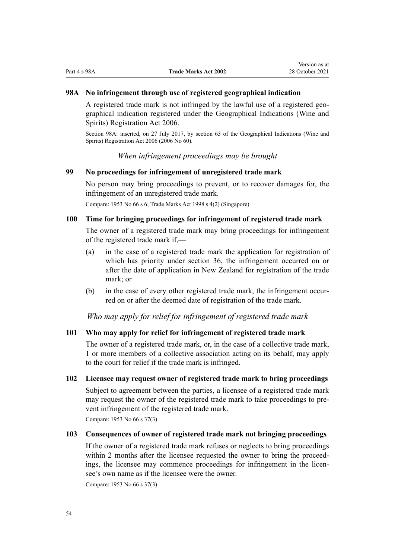## <span id="page-53-0"></span>**98A No infringement through use of registered geographical indication**

A registered trade mark is not infringed by the lawful use of a registered geo‐ graphical indication registered under the [Geographical Indications \(Wine and](http://legislation.govt.nz/pdflink.aspx?id=DLM390755) [Spirits\) Registration Act 2006.](http://legislation.govt.nz/pdflink.aspx?id=DLM390755)

Section 98A: inserted, on 27 July 2017, by [section 63](http://legislation.govt.nz/pdflink.aspx?id=DLM390893) of the Geographical Indications (Wine and Spirits) Registration Act 2006 (2006 No 60).

*When infringement proceedings may be brought*

#### **99 No proceedings for infringement of unregistered trade mark**

No person may bring proceedings to prevent, or to recover damages for, the infringement of an unregistered trade mark.

Compare: 1953 No 66 s 6; Trade Marks Act 1998 s 4(2) (Singapore)

## **100 Time for bringing proceedings for infringement of registered trade mark**

The owner of a registered trade mark may bring proceedings for infringement of the registered trade mark if,—

- (a) in the case of a registered trade mark the application for registration of which has priority under [section 36,](#page-32-0) the infringement occurred on or after the date of application in New Zealand for registration of the trade mark; or
- (b) in the case of every other registered trade mark, the infringement occurred on or after the deemed date of registration of the trade mark.

*Who may apply for relief for infringement of registered trade mark*

#### **101 Who may apply for relief for infringement of registered trade mark**

The owner of a registered trade mark, or, in the case of a collective trade mark, 1 or more members of a collective association acting on its behalf, may apply to the court for relief if the trade mark is infringed.

#### **102 Licensee may request owner of registered trade mark to bring proceedings**

Subject to agreement between the parties, a licensee of a registered trade mark may request the owner of the registered trade mark to take proceedings to prevent infringement of the registered trade mark.

Compare: 1953 No 66 s 37(3)

#### **103 Consequences of owner of registered trade mark not bringing proceedings**

If the owner of a registered trade mark refuses or neglects to bring proceedings within 2 months after the licensee requested the owner to bring the proceedings, the licensee may commence proceedings for infringement in the licensee's own name as if the licensee were the owner.

Compare: 1953 No 66 s 37(3)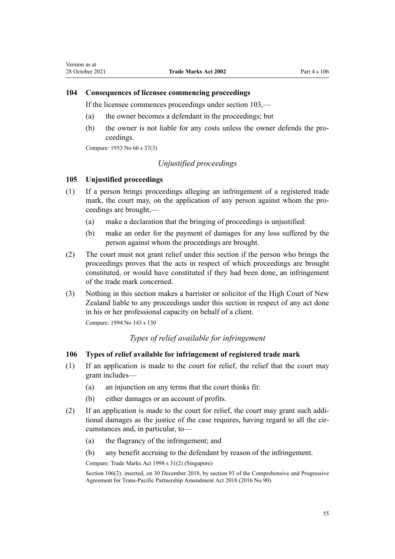## **104 Consequences of licensee commencing proceedings**

If the licensee commences proceedings under [section 103,](#page-53-0)—

- (a) the owner becomes a defendant in the proceedings; but
- (b) the owner is not liable for any costs unless the owner defends the proceedings.

Compare: 1953 No 66 s 37(3)

# *Unjustified proceedings*

#### **105 Unjustified proceedings**

- (1) If a person brings proceedings alleging an infringement of a registered trade mark, the court may, on the application of any person against whom the proceedings are brought,—
	- (a) make a declaration that the bringing of proceedings is unjustified:
	- (b) make an order for the payment of damages for any loss suffered by the person against whom the proceedings are brought.
- (2) The court must not grant relief under this section if the person who brings the proceedings proves that the acts in respect of which proceedings are brought constituted, or would have constituted if they had been done, an infringement of the trade mark concerned.
- (3) Nothing in this section makes a barrister or solicitor of the High Court of New Zealand liable to any proceedings under this section in respect of any act done in his or her professional capacity on behalf of a client.

Compare: 1994 No 143 [s 130](http://legislation.govt.nz/pdflink.aspx?id=DLM346600)

# *Types of relief available for infringement*

# **106 Types of relief available for infringement of registered trade mark**

- (1) If an application is made to the court for relief, the relief that the court may grant includes—
	- (a) an injunction on any terms that the court thinks fit:
	- (b) either damages or an account of profits.
- (2) If an application is made to the court for relief, the court may grant such addi‐ tional damages as the justice of the case requires, having regard to all the circumstances and, in particular, to—
	- (a) the flagrancy of the infringement; and
	- (b) any benefit accruing to the defendant by reason of the infringement.

Compare: Trade Marks Act 1998 s 31(2) (Singapore)

Section 106(2): inserted, on 30 December 2018, by [section 93](http://legislation.govt.nz/pdflink.aspx?id=DLM6838428) of the Comprehensive and Progressive Agreement for Trans-Pacific Partnership Amendment Act 2018 (2016 No 90).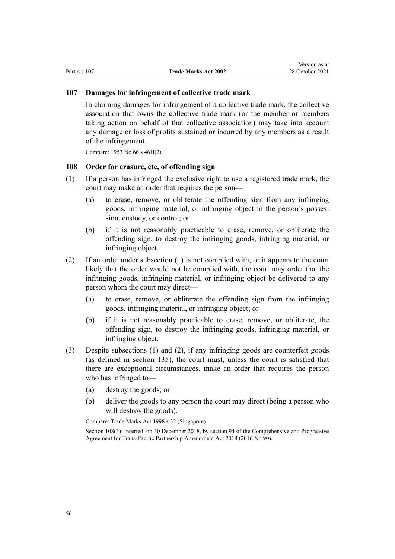## **107 Damages for infringement of collective trade mark**

In claiming damages for infringement of a collective trade mark, the collective association that owns the collective trade mark (or the member or members taking action on behalf of that collective association) may take into account any damage or loss of profits sustained or incurred by any members as a result of the infringement.

Compare: 1953 No 66 s 46H(2)

#### **108 Order for erasure, etc, of offending sign**

- (1) If a person has infringed the exclusive right to use a registered trade mark, the court may make an order that requires the person—
	- (a) to erase, remove, or obliterate the offending sign from any infringing goods, infringing material, or infringing object in the person's posses‐ sion, custody, or control; or
	- (b) if it is not reasonably practicable to erase, remove, or obliterate the offending sign, to destroy the infringing goods, infringing material, or infringing object.
- (2) If an order under subsection (1) is not complied with, or it appears to the court likely that the order would not be complied with, the court may order that the infringing goods, infringing material, or infringing object be delivered to any person whom the court may direct—
	- (a) to erase, remove, or obliterate the offending sign from the infringing goods, infringing material, or infringing object; or
	- (b) if it is not reasonably practicable to erase, remove, or obliterate, the offending sign, to destroy the infringing goods, infringing material, or infringing object.
- (3) Despite subsections (1) and (2), if any infringing goods are counterfeit goods (as defined in [section 135\)](#page-81-0), the court must, unless the court is satisfied that there are exceptional circumstances, make an order that requires the person who has infringed to—
	- (a) destroy the goods; or
	- (b) deliver the goods to any person the court may direct (being a person who will destroy the goods).

Compare: Trade Marks Act 1998 s 32 (Singapore)

Section 108(3): inserted, on 30 December 2018, by [section 94](http://legislation.govt.nz/pdflink.aspx?id=DLM6838429) of the Comprehensive and Progressive Agreement for Trans-Pacific Partnership Amendment Act 2018 (2016 No 90).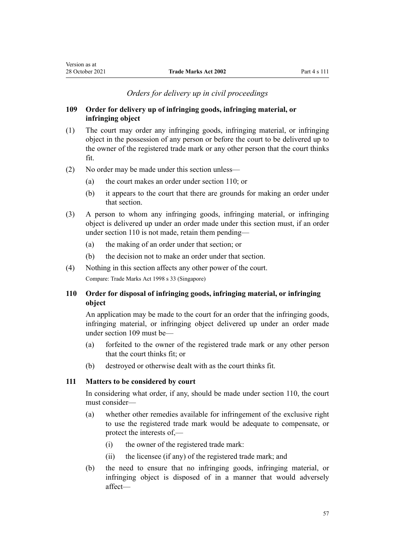# *Orders for delivery up in civil proceedings*

# <span id="page-56-0"></span>**109 Order for delivery up of infringing goods, infringing material, or infringing object**

- (1) The court may order any infringing goods, infringing material, or infringing object in the possession of any person or before the court to be delivered up to the owner of the registered trade mark or any other person that the court thinks fit.
- (2) No order may be made under this section unless—
	- (a) the court makes an order under section 110; or
	- (b) it appears to the court that there are grounds for making an order under that section.
- (3) A person to whom any infringing goods, infringing material, or infringing object is delivered up under an order made under this section must, if an order under section 110 is not made, retain them pending—
	- (a) the making of an order under that section; or
	- (b) the decision not to make an order under that section.
- (4) Nothing in this section affects any other power of the court. Compare: Trade Marks Act 1998 s 33 (Singapore)

# **110 Order for disposal of infringing goods, infringing material, or infringing object**

An application may be made to the court for an order that the infringing goods, infringing material, or infringing object delivered up under an order made under section 109 must be—

- (a) forfeited to the owner of the registered trade mark or any other person that the court thinks fit; or
- (b) destroyed or otherwise dealt with as the court thinks fit.

#### **111 Matters to be considered by court**

In considering what order, if any, should be made under section 110, the court must consider—

- (a) whether other remedies available for infringement of the exclusive right to use the registered trade mark would be adequate to compensate, or protect the interests of,—
	- (i) the owner of the registered trade mark:
	- (ii) the licensee (if any) of the registered trade mark; and
- (b) the need to ensure that no infringing goods, infringing material, or infringing object is disposed of in a manner that would adversely affect—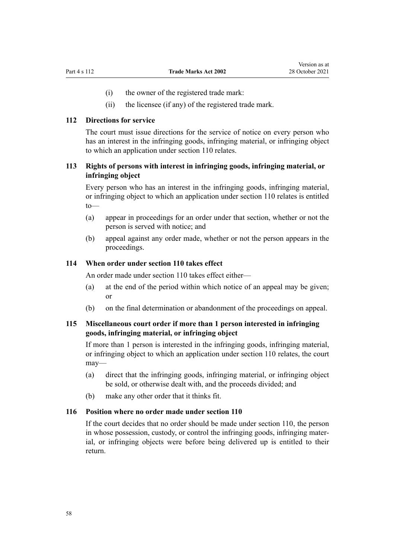- (i) the owner of the registered trade mark:
- (ii) the licensee (if any) of the registered trade mark.

#### **112 Directions for service**

The court must issue directions for the service of notice on every person who has an interest in the infringing goods, infringing material, or infringing object to which an application under [section 110](#page-56-0) relates.

# **113 Rights of persons with interest in infringing goods, infringing material, or infringing object**

Every person who has an interest in the infringing goods, infringing material, or infringing object to which an application under [section 110](#page-56-0) relates is entitled to—

- (a) appear in proceedings for an order under that section, whether or not the person is served with notice; and
- (b) appeal against any order made, whether or not the person appears in the proceedings.

#### **114 When order under section 110 takes effect**

An order made under [section 110](#page-56-0) takes effect either—

- (a) at the end of the period within which notice of an appeal may be given; or
- (b) on the final determination or abandonment of the proceedings on appeal.

# **115 Miscellaneous court order if more than 1 person interested in infringing goods, infringing material, or infringing object**

If more than 1 person is interested in the infringing goods, infringing material, or infringing object to which an application under [section 110](#page-56-0) relates, the court may—

- (a) direct that the infringing goods, infringing material, or infringing object be sold, or otherwise dealt with, and the proceeds divided; and
- (b) make any other order that it thinks fit.

#### **116 Position where no order made under section 110**

If the court decides that no order should be made under [section 110](#page-56-0), the person in whose possession, custody, or control the infringing goods, infringing material, or infringing objects were before being delivered up is entitled to their return.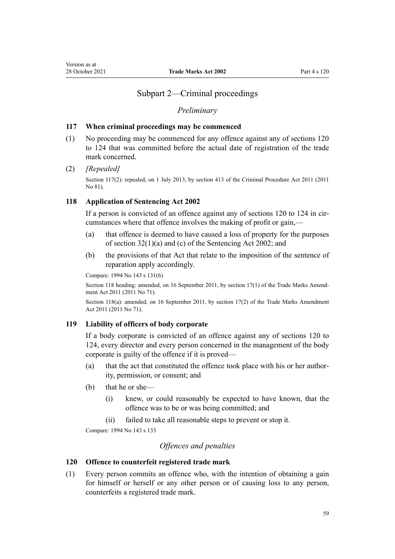# Subpart 2—Criminal proceedings

# *Preliminary*

#### <span id="page-58-0"></span>**117 When criminal proceedings may be commenced**

(1) No proceeding may be commenced for any offence against any of sections 120 to 124 that was committed before the actual date of registration of the trade mark concerned.

#### (2) *[Repealed]*

Section 117(2): repealed, on 1 July 2013, by [section 413](http://legislation.govt.nz/pdflink.aspx?id=DLM3360714) of the Criminal Procedure Act 2011 (2011 No 81).

# **118 Application of Sentencing Act 2002**

If a person is convicted of an offence against any of sections 120 to 124 in circumstances where that offence involves the making of profit or gain,—

- (a) that offence is deemed to have caused a loss of property for the purposes of [section 32\(1\)\(a\) and \(c\)](http://legislation.govt.nz/pdflink.aspx?id=DLM135596) of the Sentencing Act 2002; and
- (b) the provisions of that Act that relate to the imposition of the sentence of reparation apply accordingly.

Compare: 1994 No 143 [s 131\(6\)](http://legislation.govt.nz/pdflink.aspx?id=DLM346602)

Section 118 heading: amended, on 16 September 2011, by [section 17\(1\)](http://legislation.govt.nz/pdflink.aspx?id=DLM2290054) of the Trade Marks Amendment Act 2011 (2011 No 71).

Section 118(a): amended, on 16 September 2011, by [section 17\(2\)](http://legislation.govt.nz/pdflink.aspx?id=DLM2290054) of the Trade Marks Amendment Act 2011 (2011 No 71).

#### **119 Liability of officers of body corporate**

If a body corporate is convicted of an offence against any of sections 120 to 124, every director and every person concerned in the management of the body corporate is guilty of the offence if it is proved—

- (a) that the act that constituted the offence took place with his or her author‐ ity, permission, or consent; and
- (b) that he or she—
	- (i) knew, or could reasonably be expected to have known, that the offence was to be or was being committed; and
	- (ii) failed to take all reasonable steps to prevent or stop it.

Compare: 1994 No 143 [s 133](http://legislation.govt.nz/pdflink.aspx?id=DLM346611)

## *Offences and penalties*

# **120 Offence to counterfeit registered trade mark**

(1) Every person commits an offence who, with the intention of obtaining a gain for himself or herself or any other person or of causing loss to any person, counterfeits a registered trade mark.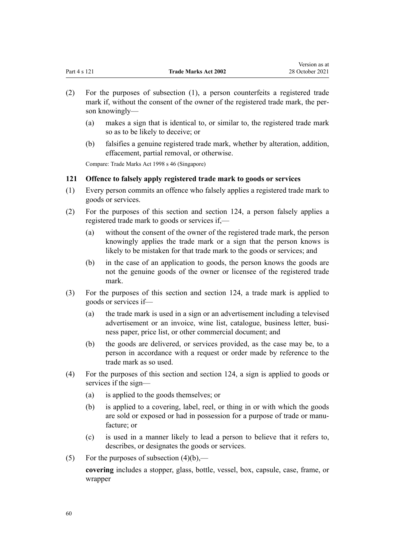<span id="page-59-0"></span>

| 28 October 2021<br>Part 4 s 121<br><b>Trade Marks Act 2002</b> |  |
|----------------------------------------------------------------|--|

Version as at

- (2) For the purposes of subsection (1), a person counterfeits a registered trade mark if, without the consent of the owner of the registered trade mark, the person knowingly—
	- (a) makes a sign that is identical to, or similar to, the registered trade mark so as to be likely to deceive; or
	- (b) falsifies a genuine registered trade mark, whether by alteration, addition, effacement, partial removal, or otherwise.

Compare: Trade Marks Act 1998 s 46 (Singapore)

## **121 Offence to falsely apply registered trade mark to goods or services**

- (1) Every person commits an offence who falsely applies a registered trade mark to goods or services.
- (2) For the purposes of this section and [section 124,](#page-60-0) a person falsely applies a registered trade mark to goods or services if,—
	- (a) without the consent of the owner of the registered trade mark, the person knowingly applies the trade mark or a sign that the person knows is likely to be mistaken for that trade mark to the goods or services; and
	- (b) in the case of an application to goods, the person knows the goods are not the genuine goods of the owner or licensee of the registered trade mark.
- (3) For the purposes of this section and [section 124,](#page-60-0) a trade mark is applied to goods or services if—
	- (a) the trade mark is used in a sign or an advertisement including a televised advertisement or an invoice, wine list, catalogue, business letter, business paper, price list, or other commercial document; and
	- (b) the goods are delivered, or services provided, as the case may be, to a person in accordance with a request or order made by reference to the trade mark as so used.
- (4) For the purposes of this section and [section 124](#page-60-0), a sign is applied to goods or services if the sign—
	- (a) is applied to the goods themselves; or
	- (b) is applied to a covering, label, reel, or thing in or with which the goods are sold or exposed or had in possession for a purpose of trade or manu‐ facture; or
	- (c) is used in a manner likely to lead a person to believe that it refers to, describes, or designates the goods or services.
- (5) For the purposes of subsection  $(4)(b)$ ,—

**covering** includes a stopper, glass, bottle, vessel, box, capsule, case, frame, or wrapper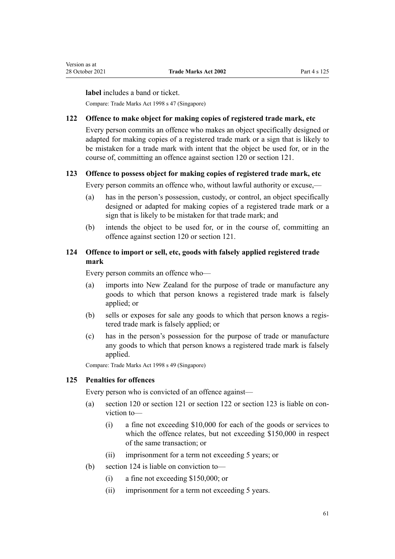<span id="page-60-0"></span>**label** includes a band or ticket.

Compare: Trade Marks Act 1998 s 47 (Singapore)

#### **122 Offence to make object for making copies of registered trade mark, etc**

Every person commits an offence who makes an object specifically designed or adapted for making copies of a registered trade mark or a sign that is likely to be mistaken for a trade mark with intent that the object be used for, or in the course of, committing an offence against [section 120](#page-58-0) or [section 121](#page-59-0).

#### **123 Offence to possess object for making copies of registered trade mark, etc**

Every person commits an offence who, without lawful authority or excuse,—

- (a) has in the person's possession, custody, or control, an object specifically designed or adapted for making copies of a registered trade mark or a sign that is likely to be mistaken for that trade mark; and
- (b) intends the object to be used for, or in the course of, committing an offence against [section 120](#page-58-0) or [section 121.](#page-59-0)

## **124 Offence to import or sell, etc, goods with falsely applied registered trade mark**

Every person commits an offence who—

- (a) imports into New Zealand for the purpose of trade or manufacture any goods to which that person knows a registered trade mark is falsely applied; or
- (b) sells or exposes for sale any goods to which that person knows a regis‐ tered trade mark is falsely applied; or
- (c) has in the person's possession for the purpose of trade or manufacture any goods to which that person knows a registered trade mark is falsely applied.

Compare: Trade Marks Act 1998 s 49 (Singapore)

#### **125 Penalties for offences**

Every person who is convicted of an offence against—

- (a) [section 120](#page-58-0) or [section 121](#page-59-0) or section 122 or section 123 is liable on con‐ viction to—
	- (i) a fine not exceeding \$10,000 for each of the goods or services to which the offence relates, but not exceeding \$150,000 in respect of the same transaction; or
	- (ii) imprisonment for a term not exceeding 5 years; or
- (b) section 124 is liable on conviction to—
	- (i) a fine not exceeding \$150,000; or
	- (ii) imprisonment for a term not exceeding 5 years.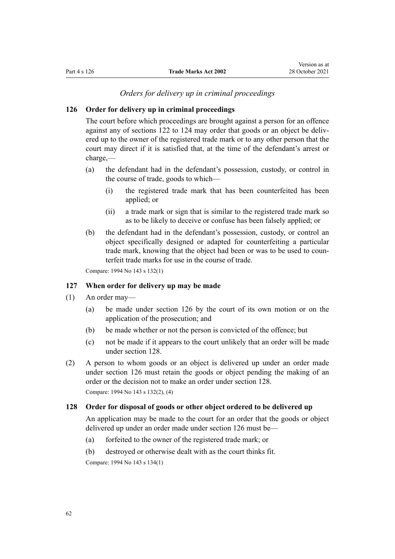#### *Orders for delivery up in criminal proceedings*

#### <span id="page-61-0"></span>**126 Order for delivery up in criminal proceedings**

The court before which proceedings are brought against a person for an offence against any of [sections 122 to 124](#page-60-0) may order that goods or an object be delivered up to the owner of the registered trade mark or to any other person that the court may direct if it is satisfied that, at the time of the defendant's arrest or charge,—

- (a) the defendant had in the defendant's possession, custody, or control in the course of trade, goods to which—
	- (i) the registered trade mark that has been counterfeited has been applied; or
	- (ii) a trade mark or sign that is similar to the registered trade mark so as to be likely to deceive or confuse has been falsely applied; or
- (b) the defendant had in the defendant's possession, custody, or control an object specifically designed or adapted for counterfeiting a particular trade mark, knowing that the object had been or was to be used to counterfeit trade marks for use in the course of trade.

Compare: 1994 No 143 [s 132\(1\)](http://legislation.govt.nz/pdflink.aspx?id=DLM346610)

#### **127 When order for delivery up may be made**

- (1) An order may—
	- (a) be made under section 126 by the court of its own motion or on the application of the prosecution; and
	- (b) be made whether or not the person is convicted of the offence; but
	- (c) not be made if it appears to the court unlikely that an order will be made under section 128.
- (2) A person to whom goods or an object is delivered up under an order made under section 126 must retain the goods or object pending the making of an order or the decision not to make an order under section 128.

Compare: 1994 No 143 [s 132\(2\), \(4\)](http://legislation.govt.nz/pdflink.aspx?id=DLM346610)

#### **128 Order for disposal of goods or other object ordered to be delivered up**

An application may be made to the court for an order that the goods or object delivered up under an order made under section 126 must be—

- (a) forfeited to the owner of the registered trade mark; or
- (b) destroyed or otherwise dealt with as the court thinks fit.

Compare: 1994 No 143 [s 134\(1\)](http://legislation.govt.nz/pdflink.aspx?id=DLM346615)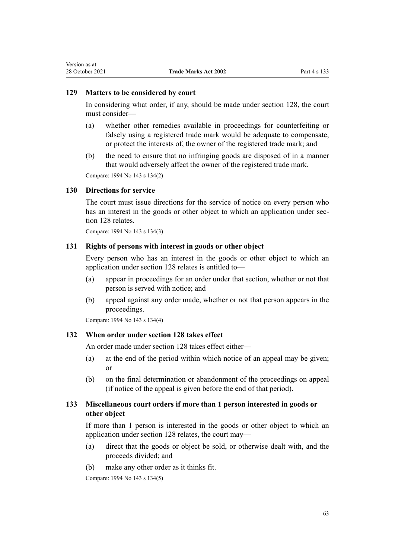Version as at

#### **129 Matters to be considered by court**

In considering what order, if any, should be made under [section 128](#page-61-0), the court must consider—

- (a) whether other remedies available in proceedings for counterfeiting or falsely using a registered trade mark would be adequate to compensate, or protect the interests of, the owner of the registered trade mark; and
- (b) the need to ensure that no infringing goods are disposed of in a manner that would adversely affect the owner of the registered trade mark.

Compare: 1994 No 143 [s 134\(2\)](http://legislation.govt.nz/pdflink.aspx?id=DLM346615)

#### **130 Directions for service**

The court must issue directions for the service of notice on every person who has an interest in the goods or other object to which an application under sec[tion 128](#page-61-0) relates.

Compare: 1994 No 143 [s 134\(3\)](http://legislation.govt.nz/pdflink.aspx?id=DLM346615)

#### **131 Rights of persons with interest in goods or other object**

Every person who has an interest in the goods or other object to which an application under [section 128](#page-61-0) relates is entitled to—

- (a) appear in proceedings for an order under that section, whether or not that person is served with notice; and
- (b) appeal against any order made, whether or not that person appears in the proceedings.

Compare: 1994 No 143 [s 134\(4\)](http://legislation.govt.nz/pdflink.aspx?id=DLM346615)

## **132 When order under section 128 takes effect**

An order made under [section 128](#page-61-0) takes effect either—

- (a) at the end of the period within which notice of an appeal may be given; or
- (b) on the final determination or abandonment of the proceedings on appeal (if notice of the appeal is given before the end of that period).

# **133 Miscellaneous court orders if more than 1 person interested in goods or other object**

If more than 1 person is interested in the goods or other object to which an application under [section 128](#page-61-0) relates, the court may—

- (a) direct that the goods or object be sold, or otherwise dealt with, and the proceeds divided; and
- (b) make any other order as it thinks fit.

Compare: 1994 No 143 [s 134\(5\)](http://legislation.govt.nz/pdflink.aspx?id=DLM346615)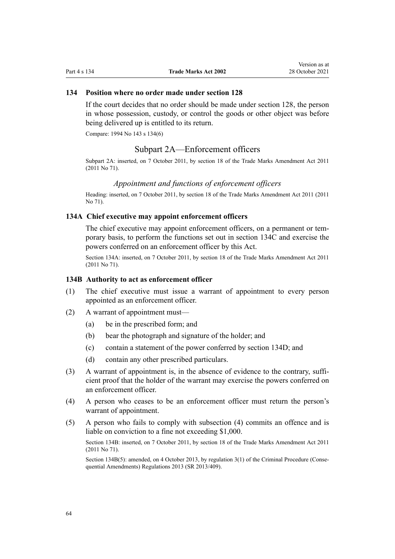## **134 Position where no order made under section 128**

If the court decides that no order should be made under [section 128](#page-61-0), the person in whose possession, custody, or control the goods or other object was before being delivered up is entitled to its return.

Compare: 1994 No 143 [s 134\(6\)](http://legislation.govt.nz/pdflink.aspx?id=DLM346615)

#### Subpart 2A—Enforcement officers

Subpart 2A: inserted, on 7 October 2011, by [section 18](http://legislation.govt.nz/pdflink.aspx?id=DLM2290055) of the Trade Marks Amendment Act 2011 (2011 No 71).

#### *Appointment and functions of enforcement officers*

Heading: inserted, on 7 October 2011, by [section 18](http://legislation.govt.nz/pdflink.aspx?id=DLM2290055) of the Trade Marks Amendment Act 2011 (2011 No 71).

#### **134A Chief executive may appoint enforcement officers**

The chief executive may appoint enforcement officers, on a permanent or temporary basis, to perform the functions set out in [section 134C](#page-64-0) and exercise the powers conferred on an enforcement officer by this Act.

Section 134A: inserted, on 7 October 2011, by [section 18](http://legislation.govt.nz/pdflink.aspx?id=DLM2290055) of the Trade Marks Amendment Act 2011 (2011 No 71).

#### **134B Authority to act as enforcement officer**

- (1) The chief executive must issue a warrant of appointment to every person appointed as an enforcement officer.
- (2) A warrant of appointment must—
	- (a) be in the prescribed form; and
	- (b) bear the photograph and signature of the holder; and
	- (c) contain a statement of the power conferred by [section 134D](#page-64-0); and
	- (d) contain any other prescribed particulars.
- (3) A warrant of appointment is, in the absence of evidence to the contrary, sufficient proof that the holder of the warrant may exercise the powers conferred on an enforcement officer.
- (4) A person who ceases to be an enforcement officer must return the person's warrant of appointment.
- (5) A person who fails to comply with subsection (4) commits an offence and is liable on conviction to a fine not exceeding \$1,000.

Section 134B: inserted, on 7 October 2011, by [section 18](http://legislation.govt.nz/pdflink.aspx?id=DLM2290055) of the Trade Marks Amendment Act 2011 (2011 No 71).

Section 134B(5): amended, on 4 October 2013, by [regulation 3\(1\)](http://legislation.govt.nz/pdflink.aspx?id=DLM5642106) of the Criminal Procedure (Consequential Amendments) Regulations 2013 (SR 2013/409).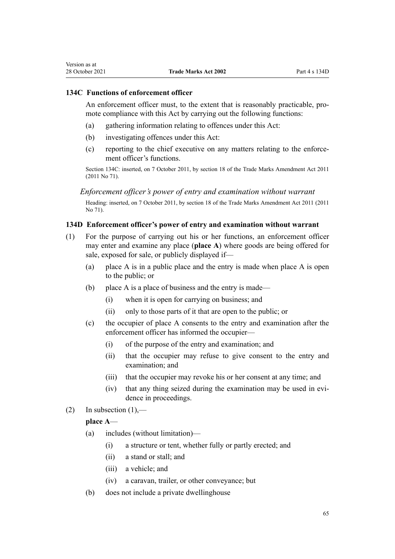# <span id="page-64-0"></span>**134C Functions of enforcement officer**

An enforcement officer must, to the extent that is reasonably practicable, promote compliance with this Act by carrying out the following functions:

- (a) gathering information relating to offences under this Act:
- (b) investigating offences under this Act:
- (c) reporting to the chief executive on any matters relating to the enforce‐ ment officer's functions.

Section 134C: inserted, on 7 October 2011, by [section 18](http://legislation.govt.nz/pdflink.aspx?id=DLM2290055) of the Trade Marks Amendment Act 2011 (2011 No 71).

*Enforcement officer's power of entry and examination without warrant*

Heading: inserted, on 7 October 2011, by [section 18](http://legislation.govt.nz/pdflink.aspx?id=DLM2290055) of the Trade Marks Amendment Act 2011 (2011 No 71).

## **134D Enforcement officer's power of entry and examination without warrant**

- (1) For the purpose of carrying out his or her functions, an enforcement officer may enter and examine any place (**place A**) where goods are being offered for sale, exposed for sale, or publicly displayed if—
	- (a) place A is in a public place and the entry is made when place A is open to the public; or
	- (b) place A is a place of business and the entry is made—
		- (i) when it is open for carrying on business; and
		- (ii) only to those parts of it that are open to the public; or
	- (c) the occupier of place A consents to the entry and examination after the enforcement officer has informed the occupier—
		- (i) of the purpose of the entry and examination; and
		- (ii) that the occupier may refuse to give consent to the entry and examination; and
		- (iii) that the occupier may revoke his or her consent at any time; and
		- (iv) that any thing seized during the examination may be used in evidence in proceedings.
- (2) In subsection  $(1)$ ,—

# **place A**—

- (a) includes (without limitation)—
	- (i) a structure or tent, whether fully or partly erected; and
	- (ii) a stand or stall; and
	- (iii) a vehicle; and
	- (iv) a caravan, trailer, or other conveyance; but
- (b) does not include a private dwellinghouse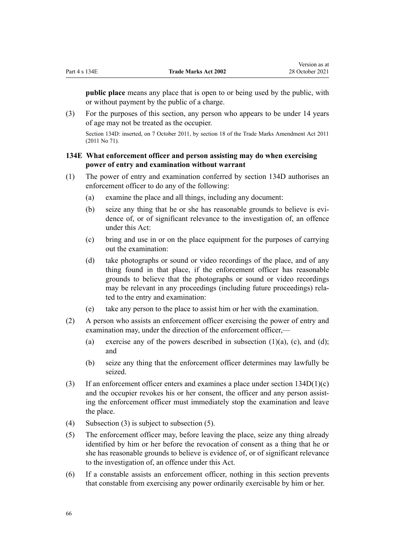**public place** means any place that is open to or being used by the public, with or without payment by the public of a charge.

(3) For the purposes of this section, any person who appears to be under 14 years of age may not be treated as the occupier.

Section 134D: inserted, on 7 October 2011, by [section 18](http://legislation.govt.nz/pdflink.aspx?id=DLM2290055) of the Trade Marks Amendment Act 2011 (2011 No 71).

# **134E What enforcement officer and person assisting may do when exercising power of entry and examination without warrant**

- (1) The power of entry and examination conferred by [section 134D](#page-64-0) authorises an enforcement officer to do any of the following:
	- (a) examine the place and all things, including any document:
	- (b) seize any thing that he or she has reasonable grounds to believe is evidence of, or of significant relevance to the investigation of, an offence under this Act:
	- (c) bring and use in or on the place equipment for the purposes of carrying out the examination:
	- (d) take photographs or sound or video recordings of the place, and of any thing found in that place, if the enforcement officer has reasonable grounds to believe that the photographs or sound or video recordings may be relevant in any proceedings (including future proceedings) rela‐ ted to the entry and examination:
	- (e) take any person to the place to assist him or her with the examination.
- (2) A person who assists an enforcement officer exercising the power of entry and examination may, under the direction of the enforcement officer,—
	- (a) exercise any of the powers described in subsection  $(1)(a)$ ,  $(c)$ , and  $(d)$ ; and
	- (b) seize any thing that the enforcement officer determines may lawfully be seized.
- (3) If an enforcement officer enters and examines a place under section  $134D(1)(c)$ and the occupier revokes his or her consent, the officer and any person assisting the enforcement officer must immediately stop the examination and leave the place.
- (4) Subsection (3) is subject to subsection (5).
- (5) The enforcement officer may, before leaving the place, seize any thing already identified by him or her before the revocation of consent as a thing that he or she has reasonable grounds to believe is evidence of, or of significant relevance to the investigation of, an offence under this Act.
- (6) If a constable assists an enforcement officer, nothing in this section prevents that constable from exercising any power ordinarily exercisable by him or her.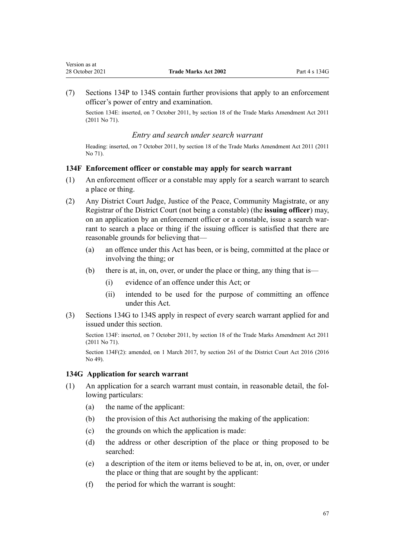<span id="page-66-0"></span>Version as at

(7) [Sections 134P to 134S](#page-72-0) contain further provisions that apply to an enforcement officer's power of entry and examination.

Section 134E: inserted, on 7 October 2011, by [section 18](http://legislation.govt.nz/pdflink.aspx?id=DLM2290055) of the Trade Marks Amendment Act 2011 (2011 No 71).

#### *Entry and search under search warrant*

Heading: inserted, on 7 October 2011, by [section 18](http://legislation.govt.nz/pdflink.aspx?id=DLM2290055) of the Trade Marks Amendment Act 2011 (2011 No 71).

## **134F Enforcement officer or constable may apply for search warrant**

- (1) An enforcement officer or a constable may apply for a search warrant to search a place or thing.
- (2) Any District Court Judge, Justice of the Peace, Community Magistrate, or any Registrar of the District Court (not being a constable) (the **issuing officer**) may, on an application by an enforcement officer or a constable, issue a search warrant to search a place or thing if the issuing officer is satisfied that there are reasonable grounds for believing that—
	- (a) an offence under this Act has been, or is being, committed at the place or involving the thing; or
	- (b) there is at, in, on, over, or under the place or thing, any thing that is—
		- (i) evidence of an offence under this Act; or
		- (ii) intended to be used for the purpose of committing an offence under this Act.
- (3) Sections 134G to 134S apply in respect of every search warrant applied for and issued under this section.

Section 134F: inserted, on 7 October 2011, by [section 18](http://legislation.govt.nz/pdflink.aspx?id=DLM2290055) of the Trade Marks Amendment Act 2011 (2011 No 71).

Section 134F(2): amended, on 1 March 2017, by [section 261](http://legislation.govt.nz/pdflink.aspx?id=DLM6942680) of the District Court Act 2016 (2016 No 49).

#### **134G Application for search warrant**

- (1) An application for a search warrant must contain, in reasonable detail, the fol‐ lowing particulars:
	- (a) the name of the applicant:
	- (b) the provision of this Act authorising the making of the application:
	- (c) the grounds on which the application is made:
	- (d) the address or other description of the place or thing proposed to be searched:
	- (e) a description of the item or items believed to be at, in, on, over, or under the place or thing that are sought by the applicant:
	- (f) the period for which the warrant is sought: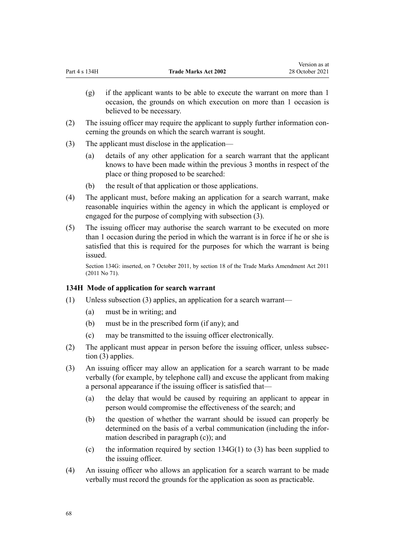- (g) if the applicant wants to be able to execute the warrant on more than 1 occasion, the grounds on which execution on more than 1 occasion is believed to be necessary.
- (2) The issuing officer may require the applicant to supply further information con‐ cerning the grounds on which the search warrant is sought.
- (3) The applicant must disclose in the application—
	- (a) details of any other application for a search warrant that the applicant knows to have been made within the previous 3 months in respect of the place or thing proposed to be searched:
	- (b) the result of that application or those applications.
- (4) The applicant must, before making an application for a search warrant, make reasonable inquiries within the agency in which the applicant is employed or engaged for the purpose of complying with subsection (3).
- (5) The issuing officer may authorise the search warrant to be executed on more than 1 occasion during the period in which the warrant is in force if he or she is satisfied that this is required for the purposes for which the warrant is being issued.

Section 134G: inserted, on 7 October 2011, by [section 18](http://legislation.govt.nz/pdflink.aspx?id=DLM2290055) of the Trade Marks Amendment Act 2011 (2011 No 71).

## **134H Mode of application for search warrant**

- (1) Unless subsection (3) applies, an application for a search warrant—
	- (a) must be in writing; and
	- (b) must be in the prescribed form (if any); and
	- (c) may be transmitted to the issuing officer electronically.
- (2) The applicant must appear in person before the issuing officer, unless subsec‐ tion (3) applies.
- (3) An issuing officer may allow an application for a search warrant to be made verbally (for example, by telephone call) and excuse the applicant from making a personal appearance if the issuing officer is satisfied that—
	- (a) the delay that would be caused by requiring an applicant to appear in person would compromise the effectiveness of the search; and
	- (b) the question of whether the warrant should be issued can properly be determined on the basis of a verbal communication (including the infor‐ mation described in paragraph (c)); and
	- (c) the information required by section  $134G(1)$  to (3) has been supplied to the issuing officer.
- (4) An issuing officer who allows an application for a search warrant to be made verbally must record the grounds for the application as soon as practicable.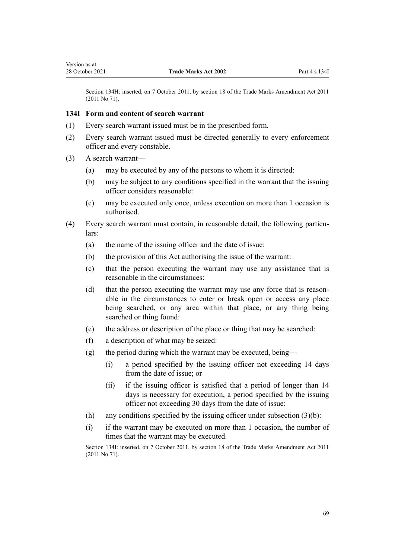<span id="page-68-0"></span>Section 134H: inserted, on 7 October 2011, by [section 18](http://legislation.govt.nz/pdflink.aspx?id=DLM2290055) of the Trade Marks Amendment Act 2011 (2011 No 71).

## **134I Form and content of search warrant**

- (1) Every search warrant issued must be in the prescribed form.
- (2) Every search warrant issued must be directed generally to every enforcement officer and every constable.
- (3) A search warrant—
	- (a) may be executed by any of the persons to whom it is directed:
	- (b) may be subject to any conditions specified in the warrant that the issuing officer considers reasonable:
	- (c) may be executed only once, unless execution on more than 1 occasion is authorised.
- (4) Every search warrant must contain, in reasonable detail, the following particu‐ lars:
	- (a) the name of the issuing officer and the date of issue:
	- (b) the provision of this Act authorising the issue of the warrant:
	- (c) that the person executing the warrant may use any assistance that is reasonable in the circumstances:
	- (d) that the person executing the warrant may use any force that is reasonable in the circumstances to enter or break open or access any place being searched, or any area within that place, or any thing being searched or thing found:
	- (e) the address or description of the place or thing that may be searched:
	- (f) a description of what may be seized:
	- (g) the period during which the warrant may be executed, being—
		- (i) a period specified by the issuing officer not exceeding 14 days from the date of issue; or
		- (ii) if the issuing officer is satisfied that a period of longer than 14 days is necessary for execution, a period specified by the issuing officer not exceeding 30 days from the date of issue:
	- (h) any conditions specified by the issuing officer under subsection  $(3)(b)$ :
	- (i) if the warrant may be executed on more than 1 occasion, the number of times that the warrant may be executed.

Section 134I: inserted, on 7 October 2011, by [section 18](http://legislation.govt.nz/pdflink.aspx?id=DLM2290055) of the Trade Marks Amendment Act 2011 (2011 No 71).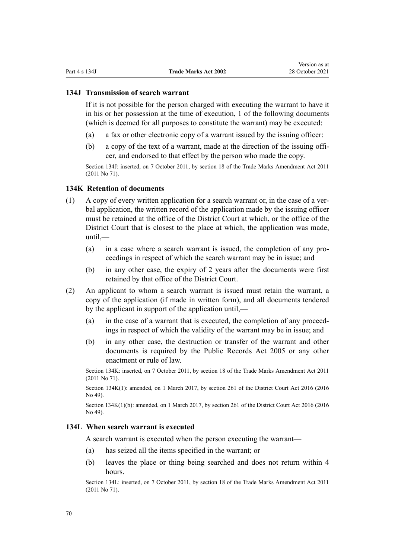#### **134J Transmission of search warrant**

If it is not possible for the person charged with executing the warrant to have it in his or her possession at the time of execution, 1 of the following documents (which is deemed for all purposes to constitute the warrant) may be executed:

- (a) a fax or other electronic copy of a warrant issued by the issuing officer:
- (b) a copy of the text of a warrant, made at the direction of the issuing offi‐ cer, and endorsed to that effect by the person who made the copy.

Section 134J: inserted, on 7 October 2011, by [section 18](http://legislation.govt.nz/pdflink.aspx?id=DLM2290055) of the Trade Marks Amendment Act 2011 (2011 No 71).

#### **134K Retention of documents**

- $(1)$  A copy of every written application for a search warrant or, in the case of a verbal application, the written record of the application made by the issuing officer must be retained at the office of the District Court at which, or the office of the District Court that is closest to the place at which, the application was made, until,—
	- (a) in a case where a search warrant is issued, the completion of any pro‐ ceedings in respect of which the search warrant may be in issue; and
	- (b) in any other case, the expiry of 2 years after the documents were first retained by that office of the District Court.
- (2) An applicant to whom a search warrant is issued must retain the warrant, a copy of the application (if made in written form), and all documents tendered by the applicant in support of the application until,—
	- (a) in the case of a warrant that is executed, the completion of any proceed‐ ings in respect of which the validity of the warrant may be in issue; and
	- (b) in any other case, the destruction or transfer of the warrant and other documents is required by the [Public Records Act 2005](http://legislation.govt.nz/pdflink.aspx?id=DLM345528) or any other enactment or rule of law.

Section 134K: inserted, on 7 October 2011, by [section 18](http://legislation.govt.nz/pdflink.aspx?id=DLM2290055) of the Trade Marks Amendment Act 2011 (2011 No 71).

Section 134K(1): amended, on 1 March 2017, by [section 261](http://legislation.govt.nz/pdflink.aspx?id=DLM6942680) of the District Court Act 2016 (2016 No 49).

Section 134K(1)(b): amended, on 1 March 2017, by [section 261](http://legislation.govt.nz/pdflink.aspx?id=DLM6942680) of the District Court Act 2016 (2016 No 49).

#### **134L When search warrant is executed**

A search warrant is executed when the person executing the warrant—

- (a) has seized all the items specified in the warrant; or
- (b) leaves the place or thing being searched and does not return within 4 hours.

Section 134L: inserted, on 7 October 2011, by [section 18](http://legislation.govt.nz/pdflink.aspx?id=DLM2290055) of the Trade Marks Amendment Act 2011 (2011 No 71).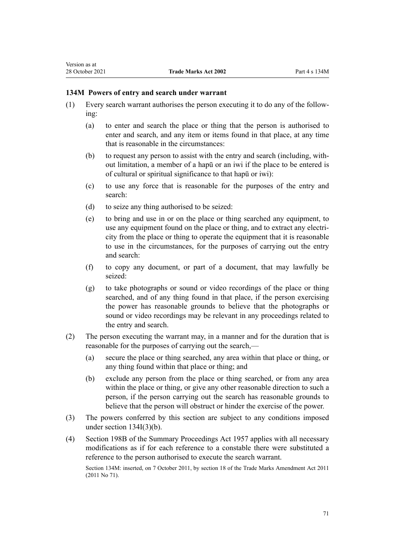## **134M Powers of entry and search under warrant**

- (1) Every search warrant authorises the person executing it to do any of the follow‐ ing:
	- (a) to enter and search the place or thing that the person is authorised to enter and search, and any item or items found in that place, at any time that is reasonable in the circumstances:
	- (b) to request any person to assist with the entry and search (including, with‐ out limitation, a member of a hapū or an iwi if the place to be entered is of cultural or spiritual significance to that hapū or iwi):
	- (c) to use any force that is reasonable for the purposes of the entry and search:
	- (d) to seize any thing authorised to be seized:
	- (e) to bring and use in or on the place or thing searched any equipment, to use any equipment found on the place or thing, and to extract any electricity from the place or thing to operate the equipment that it is reasonable to use in the circumstances, for the purposes of carrying out the entry and search:
	- (f) to copy any document, or part of a document, that may lawfully be seized:
	- (g) to take photographs or sound or video recordings of the place or thing searched, and of any thing found in that place, if the person exercising the power has reasonable grounds to believe that the photographs or sound or video recordings may be relevant in any proceedings related to the entry and search.
- (2) The person executing the warrant may, in a manner and for the duration that is reasonable for the purposes of carrying out the search,—
	- (a) secure the place or thing searched, any area within that place or thing, or any thing found within that place or thing; and
	- (b) exclude any person from the place or thing searched, or from any area within the place or thing, or give any other reasonable direction to such a person, if the person carrying out the search has reasonable grounds to believe that the person will obstruct or hinder the exercise of the power.
- (3) The powers conferred by this section are subject to any conditions imposed under [section 134I\(3\)\(b\).](#page-68-0)
- (4) [Section 198B](http://legislation.govt.nz/pdflink.aspx?id=DLM314016) of the Summary Proceedings Act 1957 applies with all necessary modifications as if for each reference to a constable there were substituted a reference to the person authorised to execute the search warrant.

Section 134M: inserted, on 7 October 2011, by [section 18](http://legislation.govt.nz/pdflink.aspx?id=DLM2290055) of the Trade Marks Amendment Act 2011 (2011 No 71).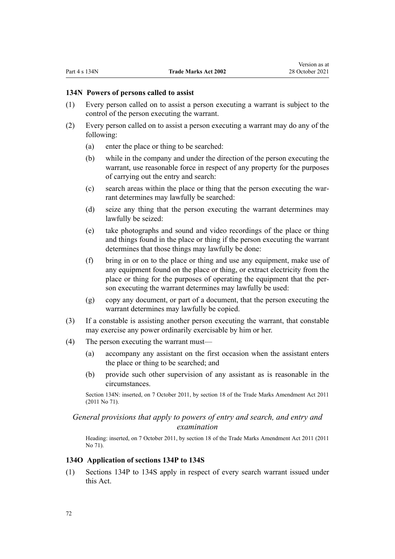#### **134N Powers of persons called to assist**

- (1) Every person called on to assist a person executing a warrant is subject to the control of the person executing the warrant.
- (2) Every person called on to assist a person executing a warrant may do any of the following:
	- (a) enter the place or thing to be searched:
	- (b) while in the company and under the direction of the person executing the warrant, use reasonable force in respect of any property for the purposes of carrying out the entry and search:
	- (c) search areas within the place or thing that the person executing the war‐ rant determines may lawfully be searched:
	- (d) seize any thing that the person executing the warrant determines may lawfully be seized:
	- (e) take photographs and sound and video recordings of the place or thing and things found in the place or thing if the person executing the warrant determines that those things may lawfully be done:
	- (f) bring in or on to the place or thing and use any equipment, make use of any equipment found on the place or thing, or extract electricity from the place or thing for the purposes of operating the equipment that the per‐ son executing the warrant determines may lawfully be used:
	- (g) copy any document, or part of a document, that the person executing the warrant determines may lawfully be copied.
- (3) If a constable is assisting another person executing the warrant, that constable may exercise any power ordinarily exercisable by him or her.
- (4) The person executing the warrant must—
	- (a) accompany any assistant on the first occasion when the assistant enters the place or thing to be searched; and
	- (b) provide such other supervision of any assistant as is reasonable in the circumstances.

Section 134N: inserted, on 7 October 2011, by [section 18](http://legislation.govt.nz/pdflink.aspx?id=DLM2290055) of the Trade Marks Amendment Act 2011 (2011 No 71).

# *General provisions that apply to powers of entry and search, and entry and examination*

Heading: inserted, on 7 October 2011, by [section 18](http://legislation.govt.nz/pdflink.aspx?id=DLM2290055) of the Trade Marks Amendment Act 2011 (2011 No 71).

#### **134O Application of sections 134P to 134S**

(1) [Sections 134P to 134S](#page-72-0) apply in respect of every search warrant issued under this Act.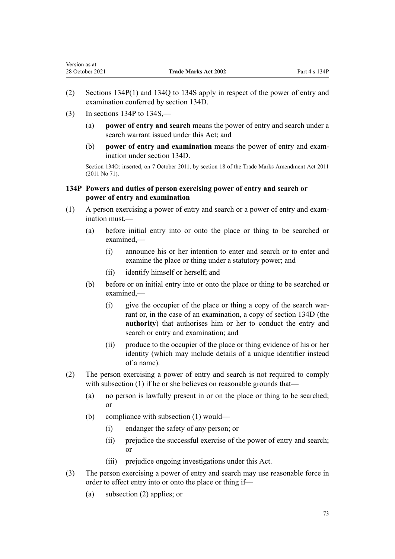$(3)$  In sections 134P to 134S,—

<span id="page-72-0"></span>Version as at

- (a) **power of entry and search** means the power of entry and search under a search warrant issued under this Act; and
- (b) **power of entry and examination** means the power of entry and exam‐ ination under [section 134D](#page-64-0).

Section 134O: inserted, on 7 October 2011, by [section 18](http://legislation.govt.nz/pdflink.aspx?id=DLM2290055) of the Trade Marks Amendment Act 2011 (2011 No 71).

# **134P Powers and duties of person exercising power of entry and search or power of entry and examination**

- (1) A person exercising a power of entry and search or a power of entry and exam‐ ination must,—
	- (a) before initial entry into or onto the place or thing to be searched or examined,—
		- (i) announce his or her intention to enter and search or to enter and examine the place or thing under a statutory power; and
		- (ii) identify himself or herself; and
	- (b) before or on initial entry into or onto the place or thing to be searched or examined,—
		- (i) give the occupier of the place or thing a copy of the search warrant or, in the case of an examination, a copy of [section 134D](#page-64-0) (the **authority**) that authorises him or her to conduct the entry and search or entry and examination; and
		- (ii) produce to the occupier of the place or thing evidence of his or her identity (which may include details of a unique identifier instead of a name).
- (2) The person exercising a power of entry and search is not required to comply with subsection (1) if he or she believes on reasonable grounds that—
	- (a) no person is lawfully present in or on the place or thing to be searched; or
	- (b) compliance with subsection (1) would—
		- (i) endanger the safety of any person; or
		- (ii) prejudice the successful exercise of the power of entry and search; or
		- (iii) prejudice ongoing investigations under this Act.
- (3) The person exercising a power of entry and search may use reasonable force in order to effect entry into or onto the place or thing if—
	- (a) subsection (2) applies; or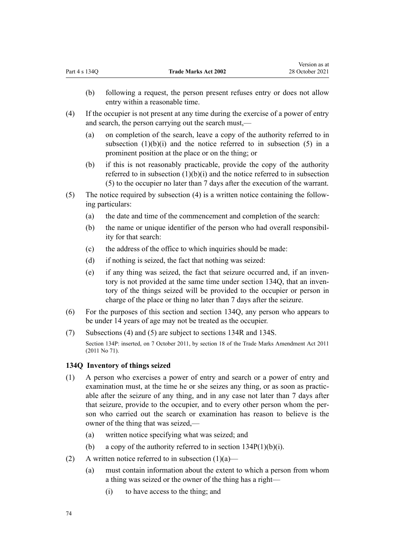- <span id="page-73-0"></span>(b) following a request, the person present refuses entry or does not allow entry within a reasonable time.
- (4) If the occupier is not present at any time during the exercise of a power of entry and search, the person carrying out the search must,—
	- (a) on completion of the search, leave a copy of the authority referred to in subsection  $(1)(b)(i)$  and the notice referred to in subsection  $(5)$  in a prominent position at the place or on the thing; or
	- (b) if this is not reasonably practicable, provide the copy of the authority referred to in subsection  $(1)(b)(i)$  and the notice referred to in subsection (5) to the occupier no later than 7 days after the execution of the warrant.
- (5) The notice required by subsection (4) is a written notice containing the follow‐ ing particulars:
	- (a) the date and time of the commencement and completion of the search:
	- (b) the name or unique identifier of the person who had overall responsibil‐ ity for that search:
	- (c) the address of the office to which inquiries should be made:
	- (d) if nothing is seized, the fact that nothing was seized:
	- (e) if any thing was seized, the fact that seizure occurred and, if an inven‐ tory is not provided at the same time under section 134Q, that an inventory of the things seized will be provided to the occupier or person in charge of the place or thing no later than 7 days after the seizure.
- (6) For the purposes of this section and section 134Q, any person who appears to be under 14 years of age may not be treated as the occupier.
- (7) Subsections (4) and (5) are subject to [sections 134R](#page-74-0) and [134S](#page-75-0).

Section 134P: inserted, on 7 October 2011, by [section 18](http://legislation.govt.nz/pdflink.aspx?id=DLM2290055) of the Trade Marks Amendment Act 2011 (2011 No 71).

#### **134Q Inventory of things seized**

- (1) A person who exercises a power of entry and search or a power of entry and examination must, at the time he or she seizes any thing, or as soon as practicable after the seizure of any thing, and in any case not later than 7 days after that seizure, provide to the occupier, and to every other person whom the per‐ son who carried out the search or examination has reason to believe is the owner of the thing that was seized,—
	- (a) written notice specifying what was seized; and
	- (b) a copy of the authority referred to in section  $134P(1)(b)(i)$ .
- (2) A written notice referred to in subsection  $(1)(a)$ 
	- (a) must contain information about the extent to which a person from whom a thing was seized or the owner of the thing has a right—
		- (i) to have access to the thing; and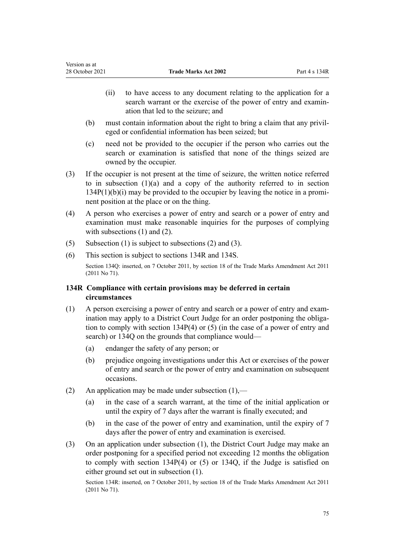- (ii) to have access to any document relating to the application for a search warrant or the exercise of the power of entry and examination that led to the seizure; and
- (b) must contain information about the right to bring a claim that any privil‐ eged or confidential information has been seized; but
- (c) need not be provided to the occupier if the person who carries out the search or examination is satisfied that none of the things seized are owned by the occupier.
- (3) If the occupier is not present at the time of seizure, the written notice referred to in sub[section](#page-72-0)  $(1)(a)$  and a copy of the authority referred to in section  $134P(1)(b)(i)$  may be provided to the occupier by leaving the notice in a prominent position at the place or on the thing.
- (4) A person who exercises a power of entry and search or a power of entry and examination must make reasonable inquiries for the purposes of complying with subsections (1) and (2).
- (5) Subsection (1) is subject to subsections (2) and (3).

<span id="page-74-0"></span>Version as at

(6) This section is subject to sections 134R and [134S.](#page-75-0)

Section 134Q: inserted, on 7 October 2011, by [section 18](http://legislation.govt.nz/pdflink.aspx?id=DLM2290055) of the Trade Marks Amendment Act 2011 (2011 No 71).

# **134R Compliance with certain provisions may be deferred in certain circumstances**

- (1) A person exercising a power of entry and search or a power of entry and exam‐ ination may apply to a District Court Judge for an order postponing the obligation to comply with [section 134P\(4\) or \(5\)](#page-72-0) (in the case of a power of entry and search) or [134Q](#page-73-0) on the grounds that compliance would—
	- (a) endanger the safety of any person; or
	- (b) prejudice ongoing investigations under this Act or exercises of the power of entry and search or the power of entry and examination on subsequent occasions.
- (2) An application may be made under subsection  $(1)$ ,—
	- (a) in the case of a search warrant, at the time of the initial application or until the expiry of 7 days after the warrant is finally executed; and
	- (b) in the case of the power of entry and examination, until the expiry of 7 days after the power of entry and examination is exercised.
- (3) On an application under subsection (1), the District Court Judge may make an order postponing for a specified period not exceeding 12 months the obligation to comply with [section 134P\(4\) or \(5\)](#page-72-0) or [134Q](#page-73-0), if the Judge is satisfied on either ground set out in subsection (1).

Section 134R: inserted, on 7 October 2011, by [section 18](http://legislation.govt.nz/pdflink.aspx?id=DLM2290055) of the Trade Marks Amendment Act 2011 (2011 No 71).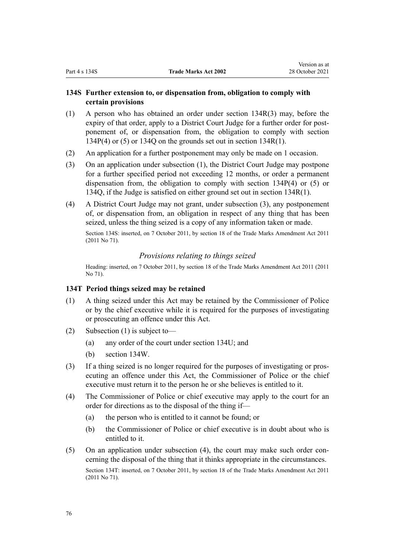# <span id="page-75-0"></span>**134S Further extension to, or dispensation from, obligation to comply with certain provisions**

- (1) A person who has obtained an order under [section 134R\(3\)](#page-74-0) may, before the expiry of that order, apply to a District Court Judge for a further order for postponement of, or dispensation from, the obligation to comply with [section](#page-72-0) [134P\(4\) or \(5\)](#page-72-0) or [134Q](#page-73-0) on the grounds set out i[n section 134R\(1\).](#page-74-0)
- (2) An application for a further postponement may only be made on 1 occasion.
- (3) On an application under subsection (1), the District Court Judge may postpone for a further specified period not exceeding 12 months, or order a permanent dispensation from, the obligation to comply with [section 134P\(4\) or \(5\)](#page-72-0) or [134Q,](#page-73-0) if the Judge is satisfied on either ground set out in [section 134R\(1\)](#page-74-0).
- (4) A District Court Judge may not grant, under subsection (3), any postponement of, or dispensation from, an obligation in respect of any thing that has been seized, unless the thing seized is a copy of any information taken or made.

Section 134S: inserted, on 7 October 2011, by [section 18](http://legislation.govt.nz/pdflink.aspx?id=DLM2290055) of the Trade Marks Amendment Act 2011 (2011 No 71).

#### *Provisions relating to things seized*

Heading: inserted, on 7 October 2011, by [section 18](http://legislation.govt.nz/pdflink.aspx?id=DLM2290055) of the Trade Marks Amendment Act 2011 (2011 No 71).

#### **134T Period things seized may be retained**

- (1) A thing seized under this Act may be retained by the Commissioner of Police or by the chief executive while it is required for the purposes of investigating or prosecuting an offence under this Act.
- (2) Subsection (1) is subject to—
	- (a) any order of the court under [section 134U;](#page-76-0) and
	- (b) [section 134W.](#page-77-0)
- (3) If a thing seized is no longer required for the purposes of investigating or pros‐ ecuting an offence under this Act, the Commissioner of Police or the chief executive must return it to the person he or she believes is entitled to it.
- (4) The Commissioner of Police or chief executive may apply to the court for an order for directions as to the disposal of the thing if—
	- (a) the person who is entitled to it cannot be found; or
	- (b) the Commissioner of Police or chief executive is in doubt about who is entitled to it.
- (5) On an application under subsection (4), the court may make such order con‐ cerning the disposal of the thing that it thinks appropriate in the circumstances. Section 134T: inserted, on 7 October 2011, by [section 18](http://legislation.govt.nz/pdflink.aspx?id=DLM2290055) of the Trade Marks Amendment Act 2011 (2011 No 71).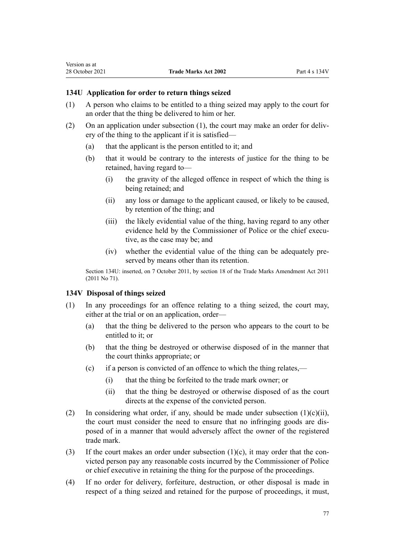# <span id="page-76-0"></span>**134U Application for order to return things seized**

- (1) A person who claims to be entitled to a thing seized may apply to the court for an order that the thing be delivered to him or her.
- (2) On an application under subsection (1), the court may make an order for deliv‐ ery of the thing to the applicant if it is satisfied—
	- (a) that the applicant is the person entitled to it; and
	- (b) that it would be contrary to the interests of justice for the thing to be retained, having regard to—
		- (i) the gravity of the alleged offence in respect of which the thing is being retained; and
		- (ii) any loss or damage to the applicant caused, or likely to be caused, by retention of the thing; and
		- (iii) the likely evidential value of the thing, having regard to any other evidence held by the Commissioner of Police or the chief executive, as the case may be; and
		- (iv) whether the evidential value of the thing can be adequately preserved by means other than its retention.

Section 134U: inserted, on 7 October 2011, by [section 18](http://legislation.govt.nz/pdflink.aspx?id=DLM2290055) of the Trade Marks Amendment Act 2011 (2011 No 71).

#### **134V Disposal of things seized**

- (1) In any proceedings for an offence relating to a thing seized, the court may, either at the trial or on an application, order—
	- (a) that the thing be delivered to the person who appears to the court to be entitled to it; or
	- (b) that the thing be destroyed or otherwise disposed of in the manner that the court thinks appropriate; or
	- (c) if a person is convicted of an offence to which the thing relates,—
		- (i) that the thing be forfeited to the trade mark owner; or
		- (ii) that the thing be destroyed or otherwise disposed of as the court directs at the expense of the convicted person.
- (2) In considering what order, if any, should be made under subsection  $(1)(c)(ii)$ , the court must consider the need to ensure that no infringing goods are dis‐ posed of in a manner that would adversely affect the owner of the registered trade mark.
- (3) If the court makes an order under subsection  $(1)(c)$ , it may order that the convicted person pay any reasonable costs incurred by the Commissioner of Police or chief executive in retaining the thing for the purpose of the proceedings.
- (4) If no order for delivery, forfeiture, destruction, or other disposal is made in respect of a thing seized and retained for the purpose of proceedings, it must,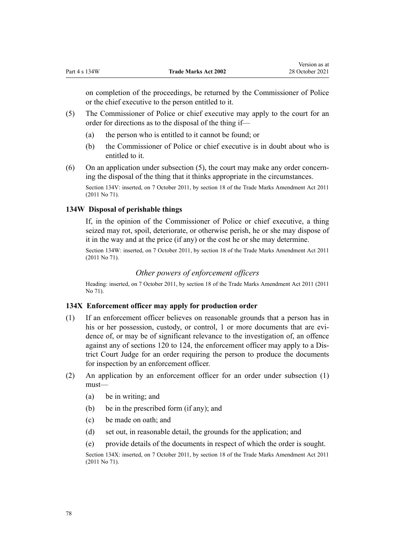<span id="page-77-0"></span>on completion of the proceedings, be returned by the Commissioner of Police or the chief executive to the person entitled to it.

- (5) The Commissioner of Police or chief executive may apply to the court for an order for directions as to the disposal of the thing if—
	- (a) the person who is entitled to it cannot be found; or
	- (b) the Commissioner of Police or chief executive is in doubt about who is entitled to it.
- (6) On an application under subsection  $(5)$ , the court may make any order concerning the disposal of the thing that it thinks appropriate in the circumstances.

Section 134V: inserted, on 7 October 2011, by [section 18](http://legislation.govt.nz/pdflink.aspx?id=DLM2290055) of the Trade Marks Amendment Act 2011 (2011 No 71).

# **134W Disposal of perishable things**

If, in the opinion of the Commissioner of Police or chief executive, a thing seized may rot, spoil, deteriorate, or otherwise perish, he or she may dispose of it in the way and at the price (if any) or the cost he or she may determine.

Section 134W: inserted, on 7 October 2011, by [section 18](http://legislation.govt.nz/pdflink.aspx?id=DLM2290055) of the Trade Marks Amendment Act 2011 (2011 No 71).

# *Other powers of enforcement officers*

Heading: inserted, on 7 October 2011, by [section 18](http://legislation.govt.nz/pdflink.aspx?id=DLM2290055) of the Trade Marks Amendment Act 2011 (2011 No 71).

### **134X Enforcement officer may apply for production order**

- (1) If an enforcement officer believes on reasonable grounds that a person has in his or her possession, custody, or control, 1 or more documents that are evidence of, or may be of significant relevance to the investigation of, an offence against any of [sections 120 to 124](#page-58-0), the enforcement officer may apply to a Dis‐ trict Court Judge for an order requiring the person to produce the documents for inspection by an enforcement officer.
- (2) An application by an enforcement officer for an order under subsection (1) must—
	- (a) be in writing; and
	- (b) be in the prescribed form (if any); and
	- (c) be made on oath; and
	- (d) set out, in reasonable detail, the grounds for the application; and
	- (e) provide details of the documents in respect of which the order is sought.

Section 134X: inserted, on 7 October 2011, by [section 18](http://legislation.govt.nz/pdflink.aspx?id=DLM2290055) of the Trade Marks Amendment Act 2011 (2011 No 71).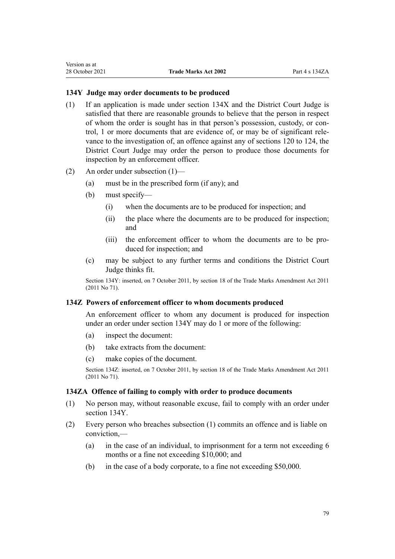## <span id="page-78-0"></span>**134Y Judge may order documents to be produced**

- (1) If an application is made under [section 134X](#page-77-0) and the District Court Judge is satisfied that there are reasonable grounds to believe that the person in respect of whom the order is sought has in that person's possession, custody, or con‐ trol, 1 or more documents that are evidence of, or may be of significant rele‐ vance to the investigation of, an offence against any of [sections 120 to 124](#page-58-0), the District Court Judge may order the person to produce those documents for inspection by an enforcement officer.
- (2) An order under subsection (1)—
	- (a) must be in the prescribed form (if any); and
	- (b) must specify—
		- (i) when the documents are to be produced for inspection; and
		- (ii) the place where the documents are to be produced for inspection; and
		- (iii) the enforcement officer to whom the documents are to be produced for inspection; and
	- (c) may be subject to any further terms and conditions the District Court Judge thinks fit.

Section 134Y: inserted, on 7 October 2011, by [section 18](http://legislation.govt.nz/pdflink.aspx?id=DLM2290055) of the Trade Marks Amendment Act 2011 (2011 No 71).

### **134Z Powers of enforcement officer to whom documents produced**

An enforcement officer to whom any document is produced for inspection under an order under section 134Y may do 1 or more of the following:

- (a) inspect the document:
- (b) take extracts from the document:
- (c) make copies of the document.

Section 134Z: inserted, on 7 October 2011, by [section 18](http://legislation.govt.nz/pdflink.aspx?id=DLM2290055) of the Trade Marks Amendment Act 2011 (2011 No 71).

## **134ZA Offence of failing to comply with order to produce documents**

- (1) No person may, without reasonable excuse, fail to comply with an order under section 134Y.
- (2) Every person who breaches subsection (1) commits an offence and is liable on conviction,—
	- (a) in the case of an individual, to imprisonment for a term not exceeding 6 months or a fine not exceeding \$10,000; and
	- (b) in the case of a body corporate, to a fine not exceeding \$50,000.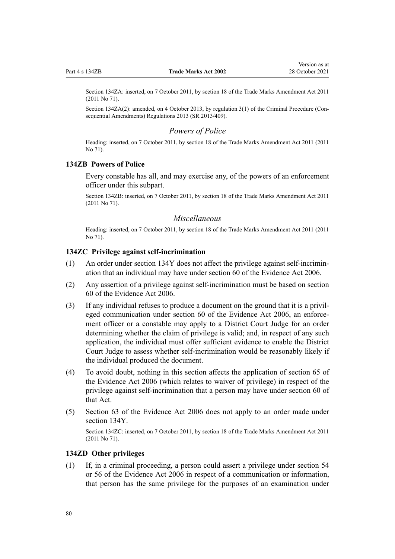Section 134ZA: inserted, on 7 October 2011, by [section 18](http://legislation.govt.nz/pdflink.aspx?id=DLM2290055) of the Trade Marks Amendment Act 2011 (2011 No 71).

Section 134ZA(2): amended, on 4 October 2013, by [regulation 3\(1\)](http://legislation.govt.nz/pdflink.aspx?id=DLM5642106) of the Criminal Procedure (Consequential Amendments) Regulations 2013 (SR 2013/409).

#### *Powers of Police*

Heading: inserted, on 7 October 2011, by [section 18](http://legislation.govt.nz/pdflink.aspx?id=DLM2290055) of the Trade Marks Amendment Act 2011 (2011 No 71).

#### **134ZB Powers of Police**

Every constable has all, and may exercise any, of the powers of an enforcement officer under this subpart.

Section 134ZB: inserted, on 7 October 2011, by [section 18](http://legislation.govt.nz/pdflink.aspx?id=DLM2290055) of the Trade Marks Amendment Act 2011 (2011 No 71).

#### *Miscellaneous*

Heading: inserted, on 7 October 2011, by [section 18](http://legislation.govt.nz/pdflink.aspx?id=DLM2290055) of the Trade Marks Amendment Act 2011 (2011 No 71).

## **134ZC Privilege against self-incrimination**

- (1) An order under [section 134Y](#page-78-0) does not affect the privilege against self-incrimin‐ ation that an individual may have under [section 60](http://legislation.govt.nz/pdflink.aspx?id=DLM393672) of the Evidence Act 2006.
- (2) Any assertion of a privilege against self-incrimination must be based on [section](http://legislation.govt.nz/pdflink.aspx?id=DLM393672) [60](http://legislation.govt.nz/pdflink.aspx?id=DLM393672) of the Evidence Act 2006.
- (3) If any individual refuses to produce a document on the ground that it is a privil‐ eged communication under [section 60](http://legislation.govt.nz/pdflink.aspx?id=DLM393672) of the Evidence Act 2006, an enforcement officer or a constable may apply to a District Court Judge for an order determining whether the claim of privilege is valid; and, in respect of any such application, the individual must offer sufficient evidence to enable the District Court Judge to assess whether self-incrimination would be reasonably likely if the individual produced the document.
- (4) To avoid doubt, nothing in this section affects the application of [section 65](http://legislation.govt.nz/pdflink.aspx?id=DLM393677) of the Evidence Act 2006 (which relates to waiver of privilege) in respect of the privilege against self-incrimination that a person may have under [section 60](http://legislation.govt.nz/pdflink.aspx?id=DLM393672) of that Act.
- (5) [Section 63](http://legislation.govt.nz/pdflink.aspx?id=DLM393675) of the Evidence Act 2006 does not apply to an order made under [section 134Y](#page-78-0).

Section 134ZC: inserted, on 7 October 2011, by [section 18](http://legislation.govt.nz/pdflink.aspx?id=DLM2290055) of the Trade Marks Amendment Act 2011 (2011 No 71).

## **134ZD Other privileges**

(1) If, in a criminal proceeding, a person could assert a privilege under [section 54](http://legislation.govt.nz/pdflink.aspx?id=DLM393659) or [56](http://legislation.govt.nz/pdflink.aspx?id=DLM393663) of the Evidence Act 2006 in respect of a communication or information, that person has the same privilege for the purposes of an examination under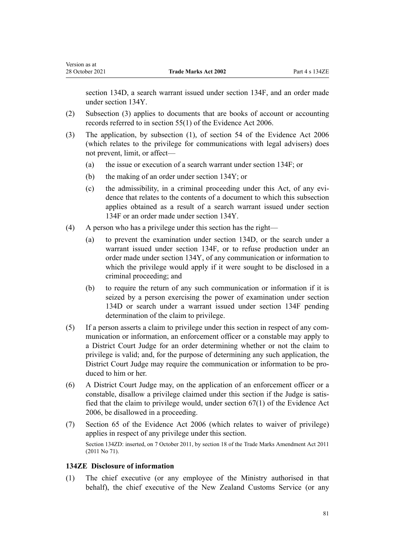[section 134D](#page-64-0), a search warrant issued under [section 134F](#page-66-0), and an order made under [section 134Y](#page-78-0).

- (2) Subsection (3) applies to documents that are books of account or accounting records referred to in [section 55\(1\)](http://legislation.govt.nz/pdflink.aspx?id=DLM393662) of the Evidence Act 2006.
- (3) The application, by subsection (1), of [section 54](http://legislation.govt.nz/pdflink.aspx?id=DLM393659) of the Evidence Act 2006 (which relates to the privilege for communications with legal advisers) does not prevent, limit, or affect—
	- (a) the issue or execution of a search warrant under [section 134F;](#page-66-0) or
	- (b) the making of an order under [section 134Y;](#page-78-0) or
	- (c) the admissibility, in a criminal proceeding under this Act, of any evidence that relates to the contents of a document to which this subsection applies obtained as a result of a search warrant issued under [section](#page-66-0) [134F](#page-66-0) or an order made under [section 134Y.](#page-78-0)
- (4) A person who has a privilege under this section has the right—
	- (a) to prevent the examination under [section 134D,](#page-64-0) or the search under a warrant issued under [section 134F](#page-66-0), or to refuse production under an order made under [section 134Y,](#page-78-0) of any communication or information to which the privilege would apply if it were sought to be disclosed in a criminal proceeding; and
	- (b) to require the return of any such communication or information if it is seized by a person exercising the power of examination under [section](#page-64-0) [134D](#page-64-0) or search under a warrant issued under [section 134F](#page-66-0) pending determination of the claim to privilege.
- $(5)$  If a person asserts a claim to privilege under this section in respect of any communication or information, an enforcement officer or a constable may apply to a District Court Judge for an order determining whether or not the claim to privilege is valid; and, for the purpose of determining any such application, the District Court Judge may require the communication or information to be pro‐ duced to him or her.
- (6) A District Court Judge may, on the application of an enforcement officer or a constable, disallow a privilege claimed under this section if the Judge is satisfied that the claim to privilege would, under [section 67\(1\)](http://legislation.govt.nz/pdflink.aspx?id=DLM393679) of the Evidence Act 2006, be disallowed in a proceeding.
- (7) [Section 65](http://legislation.govt.nz/pdflink.aspx?id=DLM393677) of the Evidence Act 2006 (which relates to waiver of privilege) applies in respect of any privilege under this section. Section 134ZD: inserted, on 7 October 2011, by [section 18](http://legislation.govt.nz/pdflink.aspx?id=DLM2290055) of the Trade Marks Amendment Act 2011 (2011 No 71).

#### **134ZE Disclosure of information**

(1) The chief executive (or any employee of the Ministry authorised in that behalf), the chief executive of the New Zealand Customs Service (or any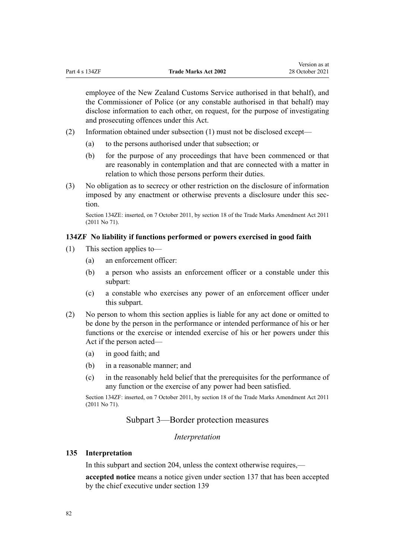employee of the New Zealand Customs Service authorised in that behalf), and the Commissioner of Police (or any constable authorised in that behalf) may disclose information to each other, on request, for the purpose of investigating and prosecuting offences under this Act.

- (2) Information obtained under subsection (1) must not be disclosed except—
	- (a) to the persons authorised under that subsection; or
	- (b) for the purpose of any proceedings that have been commenced or that are reasonably in contemplation and that are connected with a matter in relation to which those persons perform their duties.
- (3) No obligation as to secrecy or other restriction on the disclosure of information imposed by any enactment or otherwise prevents a disclosure under this section.

Section 134ZE: inserted, on 7 October 2011, by [section 18](http://legislation.govt.nz/pdflink.aspx?id=DLM2290055) of the Trade Marks Amendment Act 2011 (2011 No 71).

### **134ZF No liability if functions performed or powers exercised in good faith**

- (1) This section applies to—
	- (a) an enforcement officer:
	- (b) a person who assists an enforcement officer or a constable under this subpart:
	- (c) a constable who exercises any power of an enforcement officer under this subpart.
- (2) No person to whom this section applies is liable for any act done or omitted to be done by the person in the performance or intended performance of his or her functions or the exercise or intended exercise of his or her powers under this Act if the person acted—
	- (a) in good faith; and
	- (b) in a reasonable manner; and
	- (c) in the reasonably held belief that the prerequisites for the performance of any function or the exercise of any power had been satisfied.

Section 134ZF: inserted, on 7 October 2011, by [section 18](http://legislation.govt.nz/pdflink.aspx?id=DLM2290055) of the Trade Marks Amendment Act 2011 (2011 No 71).

# Subpart 3—Border protection measures

#### *Interpretation*

## **135 Interpretation**

In this subpart and [section 204](#page-118-0), unless the context otherwise requires,—

**accepted notice** means a notice given under [section 137](#page-84-0) that has been accepted by the chief executive under [section 139](#page-85-0)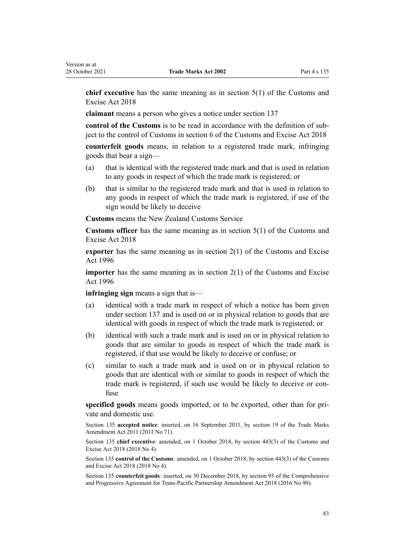**chief executive** has the same meaning as in [section 5\(1\)](http://legislation.govt.nz/pdflink.aspx?id=DLM7038971) of the Customs and Excise Act 2018

**claimant** means a person who gives a notice under [section 137](#page-84-0)

**control of the Customs** is to be read in accordance with the definition of sub‐ ject to the control of Customs in [section 6](http://legislation.govt.nz/pdflink.aspx?id=DLM7039191) of the Customs and Excise Act 2018

**counterfeit goods** means, in relation to a registered trade mark, infringing goods that bear a sign—

- (a) that is identical with the registered trade mark and that is used in relation to any goods in respect of which the trade mark is registered; or
- (b) that is similar to the registered trade mark and that is used in relation to any goods in respect of which the trade mark is registered, if use of the sign would be likely to deceive

**Customs** means the New Zealand Customs Service

**Customs officer** has the same meaning as in [section 5\(1\)](http://legislation.govt.nz/pdflink.aspx?id=DLM7038971) of the Customs and Excise Act 2018

**exporter** has the same meaning as in [section 2\(1\)](http://legislation.govt.nz/pdflink.aspx?id=DLM377342) of the Customs and Excise Act 1996

**importer** has the same meaning as in [section 2\(1\)](http://legislation.govt.nz/pdflink.aspx?id=DLM377342) of the Customs and Excise Act 1996

**infringing sign** means a sign that is—

- (a) identical with a trade mark in respect of which a notice has been given under [section 137](#page-84-0) and is used on or in physical relation to goods that are identical with goods in respect of which the trade mark is registered; or
- (b) identical with such a trade mark and is used on or in physical relation to goods that are similar to goods in respect of which the trade mark is registered, if that use would be likely to deceive or confuse; or
- (c) similar to such a trade mark and is used on or in physical relation to goods that are identical with or similar to goods in respect of which the trade mark is registered, if such use would be likely to deceive or con‐ fuse

specified goods means goods imported, or to be exported, other than for private and domestic use.

Section 135 **accepted notice**: inserted, on 16 September 2011, by [section 19](http://legislation.govt.nz/pdflink.aspx?id=DLM2290099) of the Trade Marks Amendment Act 2011 (2011 No 71).

Section 135 **chief executive**: amended, on 1 October 2018, by [section 443\(3\)](http://legislation.govt.nz/pdflink.aspx?id=DLM7039957) of the Customs and Excise Act 2018 (2018 No 4).

Section 135 **control of the Customs**: amended, on 1 October 2018, by [section 443\(3\)](http://legislation.govt.nz/pdflink.aspx?id=DLM7039957) of the Customs and Excise Act 2018 (2018 No 4).

Section 135 **counterfeit goods**: inserted, on 30 December 2018, by [section 95](http://legislation.govt.nz/pdflink.aspx?id=DLM6838430) of the Comprehensive and Progressive Agreement for Trans-Pacific Partnership Amendment Act 2018 (2016 No 90).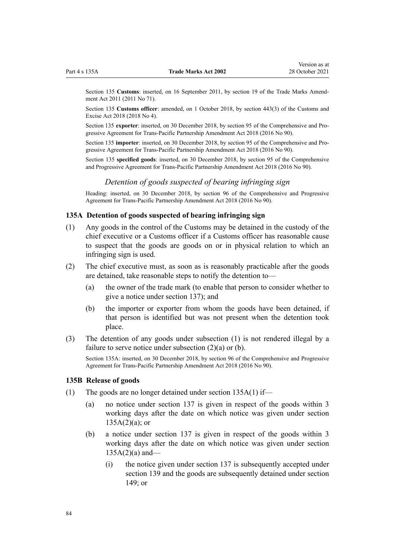<span id="page-83-0"></span>Section 135 **Customs**: inserted, on 16 September 2011, by [section 19](http://legislation.govt.nz/pdflink.aspx?id=DLM2290099) of the Trade Marks Amendment Act 2011 (2011 No 71).

Section 135 **Customs officer**: amended, on 1 October 2018, by [section 443\(3\)](http://legislation.govt.nz/pdflink.aspx?id=DLM7039957) of the Customs and Excise Act 2018 (2018 No 4).

Section 135 **exporter**: inserted, on 30 December 2018, by [section 95](http://legislation.govt.nz/pdflink.aspx?id=DLM6838430) of the Comprehensive and Progressive Agreement for Trans-Pacific Partnership Amendment Act 2018 (2016 No 90).

Section 135 **importer**: inserted, on 30 December 2018, by [section 95](http://legislation.govt.nz/pdflink.aspx?id=DLM6838430) of the Comprehensive and Progressive Agreement for Trans-Pacific Partnership Amendment Act 2018 (2016 No 90).

Section 135 **specified goods**: inserted, on 30 December 2018, by [section 95](http://legislation.govt.nz/pdflink.aspx?id=DLM6838430) of the Comprehensive and Progressive Agreement for Trans-Pacific Partnership Amendment Act 2018 (2016 No 90).

## *Detention of goods suspected of bearing infringing sign*

Heading: inserted, on 30 December 2018, by [section 96](http://legislation.govt.nz/pdflink.aspx?id=DLM6838439) of the Comprehensive and Progressive Agreement for Trans-Pacific Partnership Amendment Act 2018 (2016 No 90).

## **135A Detention of goods suspected of bearing infringing sign**

- (1) Any goods in the control of the Customs may be detained in the custody of the chief executive or a Customs officer if a Customs officer has reasonable cause to suspect that the goods are goods on or in physical relation to which an infringing sign is used.
- (2) The chief executive must, as soon as is reasonably practicable after the goods are detained, take reasonable steps to notify the detention to—
	- (a) the owner of the trade mark (to enable that person to consider whether to give a notice under [section 137\)](#page-84-0); and
	- (b) the importer or exporter from whom the goods have been detained, if that person is identified but was not present when the detention took place.
- (3) The detention of any goods under subsection (1) is not rendered illegal by a failure to serve notice under subsection (2)(a) or (b).

Section 135A: inserted, on 30 December 2018, by [section 96](http://legislation.govt.nz/pdflink.aspx?id=DLM6838439) of the Comprehensive and Progressive Agreement for Trans-Pacific Partnership Amendment Act 2018 (2016 No 90).

#### **135B Release of goods**

- (1) The goods are no longer detained under section  $135A(1)$  if—
	- (a) no notice under [section 137](#page-84-0) is given in respect of the goods within 3 working days after the date on which notice was given under section  $135A(2)(a)$ ; or
	- (b) a notice under [section 137](#page-84-0) is given in respect of the goods within 3 working days after the date on which notice was given under section  $135A(2)(a)$  and—
		- (i) the notice given under [section 137](#page-84-0) is subsequently accepted under [section 139](#page-85-0) and the goods are subsequently detained under [section](#page-89-0) [149](#page-89-0); or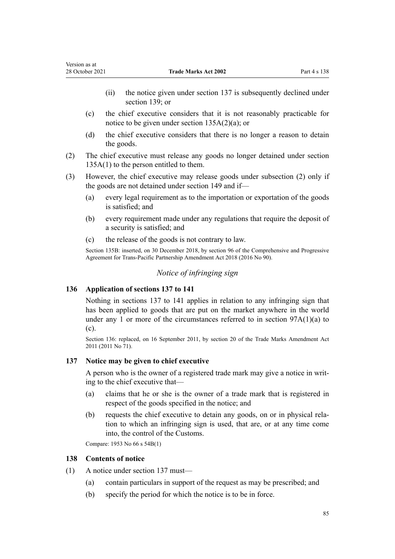- <span id="page-84-0"></span>(ii) the notice given under section 137 is subsequently declined under [section 139;](#page-85-0) or
- (c) the chief executive considers that it is not reasonably practicable for notice to be given under [section 135A\(2\)\(a\)](#page-83-0); or
- (d) the chief executive considers that there is no longer a reason to detain the goods.
- (2) The chief executive must release any goods no longer detained under [section](#page-83-0) [135A\(1\)](#page-83-0) to the person entitled to them.
- (3) However, the chief executive may release goods under subsection (2) only if the goods are not detained under [section 149](#page-89-0) and if—
	- (a) every legal requirement as to the importation or exportation of the goods is satisfied; and
	- (b) every requirement made under any regulations that require the deposit of a security is satisfied; and
	- (c) the release of the goods is not contrary to law.

Section 135B: inserted, on 30 December 2018, by [section 96](http://legislation.govt.nz/pdflink.aspx?id=DLM6838439) of the Comprehensive and Progressive Agreement for Trans-Pacific Partnership Amendment Act 2018 (2016 No 90).

# *Notice of infringing sign*

# **136 Application of sections 137 to 141**

Nothing in sections 137 to 141 applies in relation to any infringing sign that has been applied to goods that are put on the market anywhere in the world under any 1 or more of the circumstances referred to in section  $97A(1)(a)$  to [\(c\).](#page-52-0)

Section 136: replaced, on 16 September 2011, by [section 20](http://legislation.govt.nz/pdflink.aspx?id=DLM2353611) of the Trade Marks Amendment Act 2011 (2011 No 71).

#### **137 Notice may be given to chief executive**

A person who is the owner of a registered trade mark may give a notice in writ‐ ing to the chief executive that—

- (a) claims that he or she is the owner of a trade mark that is registered in respect of the goods specified in the notice; and
- (b) requests the chief executive to detain any goods, on or in physical rela‐ tion to which an infringing sign is used, that are, or at any time come into, the control of the Customs.

Compare: 1953 No 66 s 54B(1)

#### **138 Contents of notice**

- (1) A notice under section 137 must—
	- (a) contain particulars in support of the request as may be prescribed; and
	- (b) specify the period for which the notice is to be in force.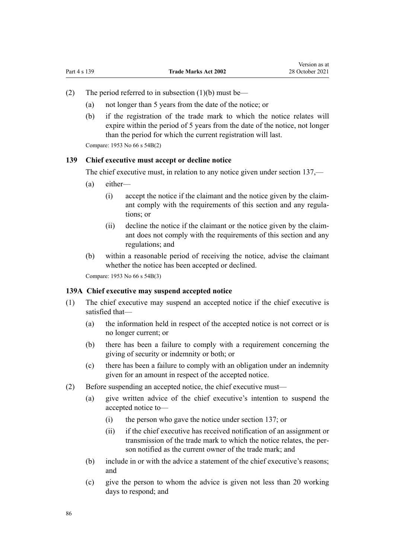- <span id="page-85-0"></span>(2) The period referred to in subsection  $(1)(b)$  must be—
	- (a) not longer than 5 years from the date of the notice; or
	- (b) if the registration of the trade mark to which the notice relates will expire within the period of 5 years from the date of the notice, not longer than the period for which the current registration will last.

Compare: 1953 No 66 s 54B(2)

#### **139 Chief executive must accept or decline notice**

The chief executive must, in relation to any notice given under [section 137](#page-84-0),—

- (a) either—
	- (i) accept the notice if the claimant and the notice given by the claim‐ ant comply with the requirements of this section and any regulations; or
	- (ii) decline the notice if the claimant or the notice given by the claim‐ ant does not comply with the requirements of this section and any regulations; and
- (b) within a reasonable period of receiving the notice, advise the claimant whether the notice has been accepted or declined.

Compare: 1953 No 66 s 54B(3)

#### **139A Chief executive may suspend accepted notice**

- (1) The chief executive may suspend an accepted notice if the chief executive is satisfied that—
	- (a) the information held in respect of the accepted notice is not correct or is no longer current; or
	- (b) there has been a failure to comply with a requirement concerning the giving of security or indemnity or both; or
	- (c) there has been a failure to comply with an obligation under an indemnity given for an amount in respect of the accepted notice.
- (2) Before suspending an accepted notice, the chief executive must—
	- (a) give written advice of the chief executive's intention to suspend the accepted notice to—
		- (i) the person who gave the notice under [section 137;](#page-84-0) or
		- (ii) if the chief executive has received notification of an assignment or transmission of the trade mark to which the notice relates, the per‐ son notified as the current owner of the trade mark; and
	- (b) include in or with the advice a statement of the chief executive's reasons; and
	- (c) give the person to whom the advice is given not less than 20 working days to respond; and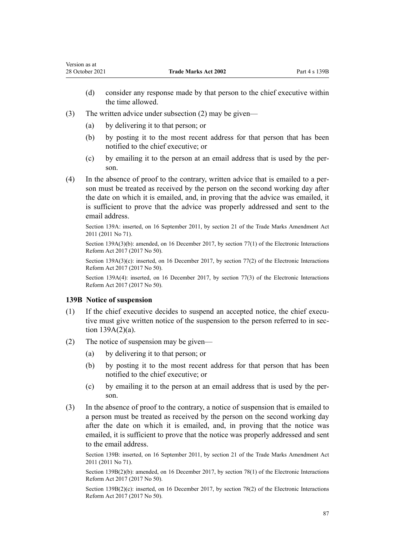- (d) consider any response made by that person to the chief executive within the time allowed.
- (3) The written advice under subsection (2) may be given—
	- (a) by delivering it to that person; or
	- (b) by posting it to the most recent address for that person that has been notified to the chief executive; or
	- (c) by emailing it to the person at an email address that is used by the per‐ son.
- (4) In the absence of proof to the contrary, written advice that is emailed to a per‐ son must be treated as received by the person on the second working day after the date on which it is emailed, and, in proving that the advice was emailed, it is sufficient to prove that the advice was properly addressed and sent to the email address.

Section 139A: inserted, on 16 September 2011, by [section 21](http://legislation.govt.nz/pdflink.aspx?id=DLM2290104) of the Trade Marks Amendment Act 2011 (2011 No 71).

Section 139A(3)(b): amended, on 16 December 2017, by [section 77\(1\)](http://legislation.govt.nz/pdflink.aspx?id=DLM6962240) of the Electronic Interactions Reform Act 2017 (2017 No 50).

Section 139A(3)(c): inserted, on 16 December 2017, by [section 77\(2\)](http://legislation.govt.nz/pdflink.aspx?id=DLM6962240) of the Electronic Interactions Reform Act 2017 (2017 No 50).

Section 139A(4): inserted, on 16 December 2017, by [section 77\(3\)](http://legislation.govt.nz/pdflink.aspx?id=DLM6962240) of the Electronic Interactions Reform Act 2017 (2017 No 50).

#### **139B Notice of suspension**

- $(1)$  If the chief executive decides to suspend an accepted notice, the chief executive must give written notice of the suspension to the person referred to in sec[tion 139A\(2\)\(a\).](#page-85-0)
- (2) The notice of suspension may be given—
	- (a) by delivering it to that person; or
	- (b) by posting it to the most recent address for that person that has been notified to the chief executive; or
	- (c) by emailing it to the person at an email address that is used by the per‐ son.
- (3) In the absence of proof to the contrary, a notice of suspension that is emailed to a person must be treated as received by the person on the second working day after the date on which it is emailed, and, in proving that the notice was emailed, it is sufficient to prove that the notice was properly addressed and sent to the email address.

Section 139B: inserted, on 16 September 2011, by [section 21](http://legislation.govt.nz/pdflink.aspx?id=DLM2290104) of the Trade Marks Amendment Act 2011 (2011 No 71).

Section 139B(2)(b): amended, on 16 December 2017, by [section 78\(1\)](http://legislation.govt.nz/pdflink.aspx?id=DLM6962241) of the Electronic Interactions Reform Act 2017 (2017 No 50).

Section 139B(2)(c): inserted, on 16 December 2017, by [section 78\(2\)](http://legislation.govt.nz/pdflink.aspx?id=DLM6962241) of the Electronic Interactions Reform Act 2017 (2017 No 50).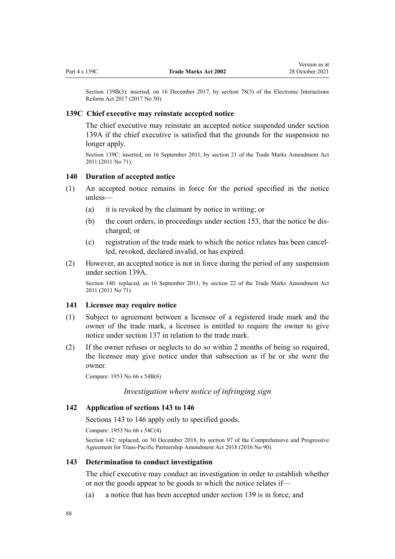<span id="page-87-0"></span>Section 139B(3): inserted, on 16 December 2017, by [section 78\(3\)](http://legislation.govt.nz/pdflink.aspx?id=DLM6962241) of the Electronic Interactions Reform Act 2017 (2017 No 50).

#### **139C Chief executive may reinstate accepted notice**

The chief executive may reinstate an accepted notice suspended under [section](#page-85-0) [139A](#page-85-0) if the chief executive is satisfied that the grounds for the suspension no longer apply.

Section 139C: inserted, on 16 September 2011, by [section 21](http://legislation.govt.nz/pdflink.aspx?id=DLM2290104) of the Trade Marks Amendment Act 2011 (2011 No 71).

#### **140 Duration of accepted notice**

- (1) An accepted notice remains in force for the period specified in the notice unless—
	- (a) it is revoked by the claimant by notice in writing; or
	- (b) the court orders, in proceedings under [section 153](#page-90-0), that the notice be dis‐ charged; or
	- (c) registration of the trade mark to which the notice relates has been cancel‐ led, revoked, declared invalid, or has expired.
- (2) However, an accepted notice is not in force during the period of any suspension under [section 139A](#page-85-0).

Section 140: replaced, on 16 September 2011, by [section 22](http://legislation.govt.nz/pdflink.aspx?id=DLM2290108) of the Trade Marks Amendment Act 2011 (2011 No 71).

#### **141 Licensee may require notice**

- (1) Subject to agreement between a licensee of a registered trade mark and the owner of the trade mark, a licensee is entitled to require the owner to give notice under [section 137](#page-84-0) in relation to the trade mark.
- (2) If the owner refuses or neglects to do so within 2 months of being so required, the licensee may give notice under that subsection as if he or she were the owner.

Compare: 1953 No 66 s 54B(6)

## *Investigation where notice of infringing sign*

### **142 Application of sections 143 to 146**

Sections 143 to 146 apply only to specified goods.

Compare: 1953 No 66 s 54C(4)

Section 142: replaced, on 30 December 2018, by [section 97](http://legislation.govt.nz/pdflink.aspx?id=DLM6838443) of the Comprehensive and Progressive Agreement for Trans-Pacific Partnership Amendment Act 2018 (2016 No 90).

#### **143 Determination to conduct investigation**

The chief executive may conduct an investigation in order to establish whether or not the goods appear to be goods to which the notice relates if—

(a) a notice that has been accepted under [section 139](#page-85-0) is in force; and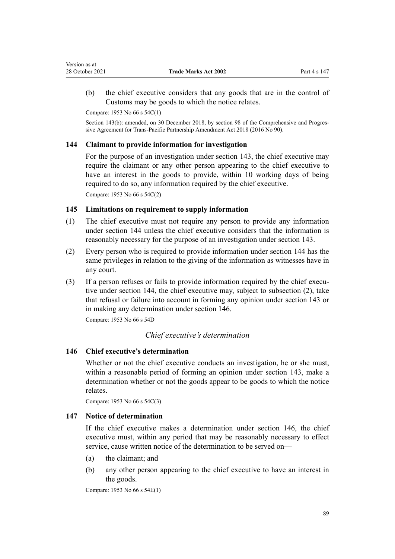<span id="page-88-0"></span>(b) the chief executive considers that any goods that are in the control of Customs may be goods to which the notice relates.

Compare: 1953 No 66 s 54C(1)

Section 143(b): amended, on 30 December 2018, by [section 98](http://legislation.govt.nz/pdflink.aspx?id=DLM6838445) of the Comprehensive and Progressive Agreement for Trans-Pacific Partnership Amendment Act 2018 (2016 No 90).

# **144 Claimant to provide information for investigation**

For the purpose of an investigation under [section 143,](#page-87-0) the chief executive may require the claimant or any other person appearing to the chief executive to have an interest in the goods to provide, within 10 working days of being required to do so, any information required by the chief executive. Compare: 1953 No 66 s 54C(2)

# **145 Limitations on requirement to supply information**

- (1) The chief executive must not require any person to provide any information under section 144 unless the chief executive considers that the information is reasonably necessary for the purpose of an investigation under [section 143](#page-87-0).
- (2) Every person who is required to provide information under section 144 has the same privileges in relation to the giving of the information as witnesses have in any court.
- (3) If a person refuses or fails to provide information required by the chief executive under section 144, the chief executive may, subject to subsection (2), take that refusal or failure into account in forming any opinion under [section 143](#page-87-0) or in making any determination under section 146.

Compare: 1953 No 66 s 54D

# *Chief executive's determination*

### **146 Chief executive's determination**

Whether or not the chief executive conducts an investigation, he or she must, within a reasonable period of forming an opinion under [section 143](#page-87-0), make a determination whether or not the goods appear to be goods to which the notice relates.

Compare: 1953 No 66 s 54C(3)

### **147 Notice of determination**

If the chief executive makes a determination under section 146, the chief executive must, within any period that may be reasonably necessary to effect service, cause written notice of the determination to be served on—

- (a) the claimant; and
- (b) any other person appearing to the chief executive to have an interest in the goods.

Compare: 1953 No 66 s 54E(1)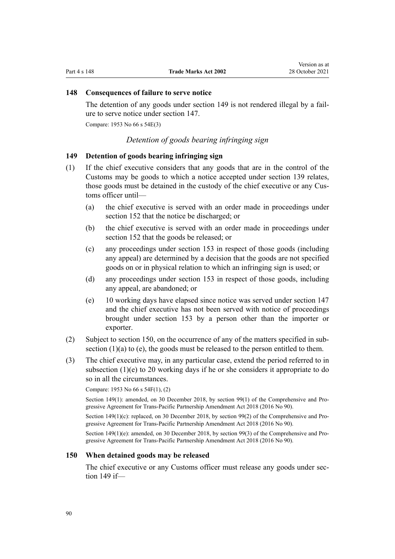# <span id="page-89-0"></span>**148 Consequences of failure to serve notice**

The detention of any goods under section 149 is not rendered illegal by a failure to serve notice under [section 147](#page-88-0).

Compare: 1953 No 66 s 54E(3)

## *Detention of goods bearing infringing sign*

## **149 Detention of goods bearing infringing sign**

- (1) If the chief executive considers that any goods that are in the control of the Customs may be goods to which a notice accepted under [section 139](#page-85-0) relates, those goods must be detained in the custody of the chief executive or any Customs officer until—
	- (a) the chief executive is served with an order made in proceedings under [section 152](#page-90-0) that the notice be discharged; or
	- (b) the chief executive is served with an order made in proceedings under [section 152](#page-90-0) that the goods be released; or
	- (c) any proceedings under [section 153](#page-90-0) in respect of those goods (including any appeal) are determined by a decision that the goods are not specified goods on or in physical relation to which an infringing sign is used; or
	- (d) any proceedings under [section 153](#page-90-0) in respect of those goods, including any appeal, are abandoned; or
	- (e) 10 working days have elapsed since notice was served under [section 147](#page-88-0) and the chief executive has not been served with notice of proceedings brought under [section 153](#page-90-0) by a person other than the importer or exporter.
- (2) Subject to section 150, on the occurrence of any of the matters specified in sub‐ section  $(1)(a)$  to  $(e)$ , the goods must be released to the person entitled to them.
- (3) The chief executive may, in any particular case, extend the period referred to in subsection (1)(e) to 20 working days if he or she considers it appropriate to do so in all the circumstances.

Compare: 1953 No 66 s 54F(1), (2)

Section 149(1): amended, on 30 December 2018, by [section 99\(1\)](http://legislation.govt.nz/pdflink.aspx?id=DLM6838446) of the Comprehensive and Progressive Agreement for Trans-Pacific Partnership Amendment Act 2018 (2016 No 90).

Section 149(1)(c): replaced, on 30 December 2018, by [section 99\(2\)](http://legislation.govt.nz/pdflink.aspx?id=DLM6838446) of the Comprehensive and Progressive Agreement for Trans-Pacific Partnership Amendment Act 2018 (2016 No 90).

Section 149(1)(e): amended, on 30 December 2018, by [section 99\(3\)](http://legislation.govt.nz/pdflink.aspx?id=DLM6838446) of the Comprehensive and Progressive Agreement for Trans-Pacific Partnership Amendment Act 2018 (2016 No 90).

#### **150 When detained goods may be released**

The chief executive or any Customs officer must release any goods under section 149 if—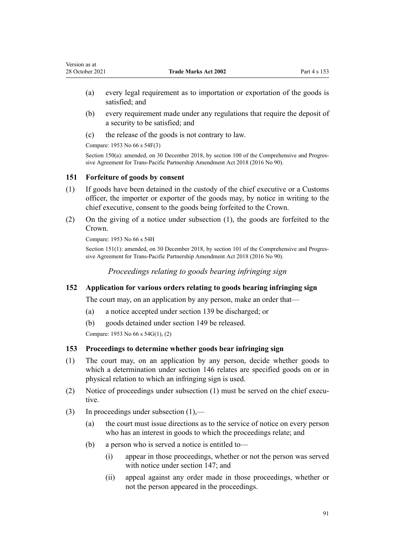- <span id="page-90-0"></span>(a) every legal requirement as to importation or exportation of the goods is satisfied; and
- (b) every requirement made under any regulations that require the deposit of a security to be satisfied; and
- (c) the release of the goods is not contrary to law.

Compare: 1953 No 66 s 54F(3)

Section 150(a): amended, on 30 December 2018, by [section 100](http://legislation.govt.nz/pdflink.aspx?id=DLM6838447) of the Comprehensive and Progressive Agreement for Trans-Pacific Partnership Amendment Act 2018 (2016 No 90).

# **151 Forfeiture of goods by consent**

- (1) If goods have been detained in the custody of the chief executive or a Customs officer, the importer or exporter of the goods may, by notice in writing to the chief executive, consent to the goods being forfeited to the Crown.
- (2) On the giving of a notice under subsection (1), the goods are forfeited to the Crown.

Compare: 1953 No 66 s 54H

Section 151(1): amended, on 30 December 2018, by [section 101](http://legislation.govt.nz/pdflink.aspx?id=DLM6838448) of the Comprehensive and Progressive Agreement for Trans-Pacific Partnership Amendment Act 2018 (2016 No 90).

*Proceedings relating to goods bearing infringing sign*

# **152 Application for various orders relating to goods bearing infringing sign**

The court may, on an application by any person, make an order that—

- (a) a notice accepted under [section 139](#page-85-0) be discharged; or
- (b) goods detained under [section 149](#page-89-0) be released.

Compare: 1953 No 66 s 54G(1), (2)

## **153 Proceedings to determine whether goods bear infringing sign**

- (1) The court may, on an application by any person, decide whether goods to which a determination under [section 146](#page-88-0) relates are specified goods on or in physical relation to which an infringing sign is used.
- (2) Notice of proceedings under subsection  $(1)$  must be served on the chief executive.
- (3) In proceedings under subsection (1),—
	- (a) the court must issue directions as to the service of notice on every person who has an interest in goods to which the proceedings relate; and
	- (b) a person who is served a notice is entitled to—
		- (i) appear in those proceedings, whether or not the person was served with notice under [section 147](#page-88-0); and
		- (ii) appeal against any order made in those proceedings, whether or not the person appeared in the proceedings.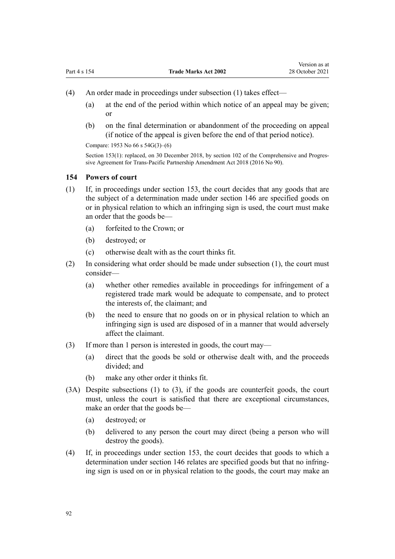- (4) An order made in proceedings under subsection (1) takes effect—
	- (a) at the end of the period within which notice of an appeal may be given; or
	- (b) on the final determination or abandonment of the proceeding on appeal (if notice of the appeal is given before the end of that period notice).

Compare: 1953 No 66 s 54G(3)–(6)

Section 153(1): replaced, on 30 December 2018, by [section 102](http://legislation.govt.nz/pdflink.aspx?id=DLM6838449) of the Comprehensive and Progressive Agreement for Trans-Pacific Partnership Amendment Act 2018 (2016 No 90).

#### **154 Powers of court**

- (1) If, in proceedings under [section 153,](#page-90-0) the court decides that any goods that are the subject of a determination made under [section 146](#page-88-0) are specified goods on or in physical relation to which an infringing sign is used, the court must make an order that the goods be—
	- (a) forfeited to the Crown; or
	- (b) destroyed; or
	- (c) otherwise dealt with as the court thinks fit.
- (2) In considering what order should be made under subsection (1), the court must consider—
	- (a) whether other remedies available in proceedings for infringement of a registered trade mark would be adequate to compensate, and to protect the interests of, the claimant; and
	- (b) the need to ensure that no goods on or in physical relation to which an infringing sign is used are disposed of in a manner that would adversely affect the claimant.
- (3) If more than 1 person is interested in goods, the court may—
	- (a) direct that the goods be sold or otherwise dealt with, and the proceeds divided; and
	- (b) make any other order it thinks fit.
- (3A) Despite subsections (1) to (3), if the goods are counterfeit goods, the court must, unless the court is satisfied that there are exceptional circumstances, make an order that the goods be—
	- (a) destroyed; or
	- (b) delivered to any person the court may direct (being a person who will destroy the goods).
- (4) If, in proceedings under [section 153,](#page-90-0) the court decides that goods to which a determination under [section 146](#page-88-0) relates are specified goods but that no infringing sign is used on or in physical relation to the goods, the court may make an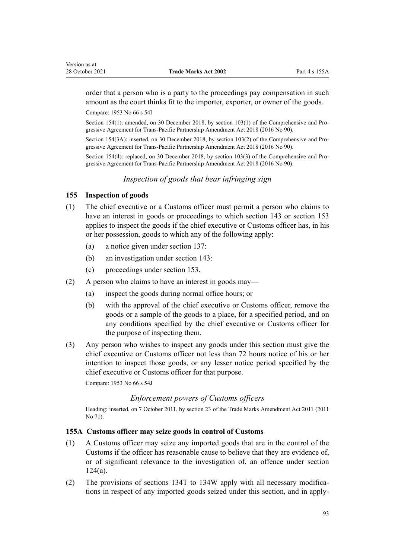<span id="page-92-0"></span>order that a person who is a party to the proceedings pay compensation in such amount as the court thinks fit to the importer, exporter, or owner of the goods.

Compare: 1953 No 66 s 54I

Section 154(1): amended, on 30 December 2018, by [section 103\(1\)](http://legislation.govt.nz/pdflink.aspx?id=DLM6838450) of the Comprehensive and Progressive Agreement for Trans-Pacific Partnership Amendment Act 2018 (2016 No 90).

Section 154(3A): inserted, on 30 December 2018, by [section 103\(2\)](http://legislation.govt.nz/pdflink.aspx?id=DLM6838450) of the Comprehensive and Progressive Agreement for Trans-Pacific Partnership Amendment Act 2018 (2016 No 90).

Section 154(4): replaced, on 30 December 2018, by [section 103\(3\)](http://legislation.govt.nz/pdflink.aspx?id=DLM6838450) of the Comprehensive and Progressive Agreement for Trans-Pacific Partnership Amendment Act 2018 (2016 No 90).

*Inspection of goods that bear infringing sign*

# **155 Inspection of goods**

- (1) The chief executive or a Customs officer must permit a person who claims to have an interest in goods or proceedings to which [section 143](#page-87-0) or [section 153](#page-90-0) applies to inspect the goods if the chief executive or Customs officer has, in his or her possession, goods to which any of the following apply:
	- (a) a notice given under [section 137](#page-84-0):
	- (b) an investigation under [section 143:](#page-87-0)
	- (c) proceedings under [section 153](#page-90-0).
- (2) A person who claims to have an interest in goods may—
	- (a) inspect the goods during normal office hours; or
	- (b) with the approval of the chief executive or Customs officer, remove the goods or a sample of the goods to a place, for a specified period, and on any conditions specified by the chief executive or Customs officer for the purpose of inspecting them.
- (3) Any person who wishes to inspect any goods under this section must give the chief executive or Customs officer not less than 72 hours notice of his or her intention to inspect those goods, or any lesser notice period specified by the chief executive or Customs officer for that purpose.

Compare: 1953 No 66 s 54J

## *Enforcement powers of Customs officers*

Heading: inserted, on 7 October 2011, by [section 23](http://legislation.govt.nz/pdflink.aspx?id=DLM2290110) of the Trade Marks Amendment Act 2011 (2011 No 71).

## **155A Customs officer may seize goods in control of Customs**

- (1) A Customs officer may seize any imported goods that are in the control of the Customs if the officer has reasonable cause to believe that they are evidence of, or of significant relevance to the investigation of, an offence under [section](#page-60-0) [124\(a\)](#page-60-0).
- (2) The provisions of [sections 134T to 134W](#page-75-0) apply with all necessary modifications in respect of any imported goods seized under this section, and in apply‐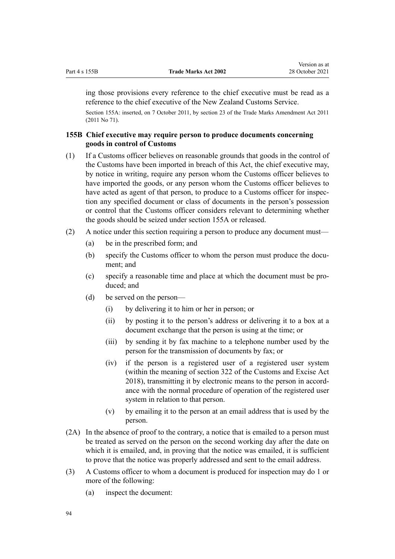<span id="page-93-0"></span>ing those provisions every reference to the chief executive must be read as a reference to the chief executive of the New Zealand Customs Service.

Section 155A: inserted, on 7 October 2011, by [section 23](http://legislation.govt.nz/pdflink.aspx?id=DLM2290110) of the Trade Marks Amendment Act 2011 (2011 No 71).

# **155B Chief executive may require person to produce documents concerning goods in control of Customs**

- (1) If a Customs officer believes on reasonable grounds that goods in the control of the Customs have been imported in breach of this Act, the chief executive may, by notice in writing, require any person whom the Customs officer believes to have imported the goods, or any person whom the Customs officer believes to have acted as agent of that person, to produce to a Customs officer for inspection any specified document or class of documents in the person's possession or control that the Customs officer considers relevant to determining whether the goods should be seized under [section 155A](#page-92-0) or released.
- (2) A notice under this section requiring a person to produce any document must—
	- (a) be in the prescribed form; and
	- (b) specify the Customs officer to whom the person must produce the document; and
	- (c) specify a reasonable time and place at which the document must be pro‐ duced; and
	- (d) be served on the person—
		- (i) by delivering it to him or her in person; or
		- (ii) by posting it to the person's address or delivering it to a box at a document exchange that the person is using at the time; or
		- (iii) by sending it by fax machine to a telephone number used by the person for the transmission of documents by fax; or
		- (iv) if the person is a registered user of a registered user system (within the meaning of [section 322](http://legislation.govt.nz/pdflink.aspx?id=DLM7039763) of the Customs and Excise Act 2018), transmitting it by electronic means to the person in accord‐ ance with the normal procedure of operation of the registered user system in relation to that person.
		- (v) by emailing it to the person at an email address that is used by the person.
- (2A) In the absence of proof to the contrary, a notice that is emailed to a person must be treated as served on the person on the second working day after the date on which it is emailed, and, in proving that the notice was emailed, it is sufficient to prove that the notice was properly addressed and sent to the email address.
- (3) A Customs officer to whom a document is produced for inspection may do 1 or more of the following:
	- (a) inspect the document: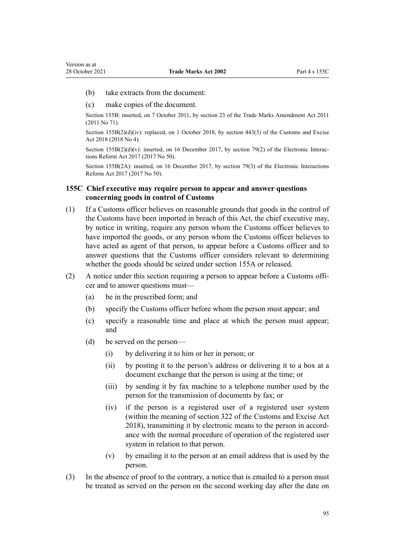- <span id="page-94-0"></span>(b) take extracts from the document:
- (c) make copies of the document.

Section 155B: inserted, on 7 October 2011, by [section 23](http://legislation.govt.nz/pdflink.aspx?id=DLM2290110) of the Trade Marks Amendment Act 2011 (2011 No 71).

Section 155B(2)(d)(iv): replaced, on 1 October 2018, by [section 443\(3\)](http://legislation.govt.nz/pdflink.aspx?id=DLM7039957) of the Customs and Excise Act 2018 (2018 No 4).

Section  $155B(2)(d)(v)$ : inserted, on 16 December 2017, by [section 79\(2\)](http://legislation.govt.nz/pdflink.aspx?id=DLM6962242) of the Electronic Interactions Reform Act 2017 (2017 No 50).

Section 155B(2A): inserted, on 16 December 2017, by [section 79\(3\)](http://legislation.govt.nz/pdflink.aspx?id=DLM6962242) of the Electronic Interactions Reform Act 2017 (2017 No 50).

## **155C Chief executive may require person to appear and answer questions concerning goods in control of Customs**

- (1) If a Customs officer believes on reasonable grounds that goods in the control of the Customs have been imported in breach of this Act, the chief executive may, by notice in writing, require any person whom the Customs officer believes to have imported the goods, or any person whom the Customs officer believes to have acted as agent of that person, to appear before a Customs officer and to answer questions that the Customs officer considers relevant to determining whether the goods should be seized under [section 155A](#page-92-0) or released.
- (2) A notice under this section requiring a person to appear before a Customs offi‐ cer and to answer questions must-
	- (a) be in the prescribed form; and
	- (b) specify the Customs officer before whom the person must appear; and
	- (c) specify a reasonable time and place at which the person must appear; and
	- (d) be served on the person—
		- (i) by delivering it to him or her in person; or
		- (ii) by posting it to the person's address or delivering it to a box at a document exchange that the person is using at the time; or
		- (iii) by sending it by fax machine to a telephone number used by the person for the transmission of documents by fax; or
		- (iv) if the person is a registered user of a registered user system (within the meaning of [section 322](http://legislation.govt.nz/pdflink.aspx?id=DLM7039763) of the Customs and Excise Act 2018), transmitting it by electronic means to the person in accord‐ ance with the normal procedure of operation of the registered user system in relation to that person.
		- (v) by emailing it to the person at an email address that is used by the person.
- (3) In the absence of proof to the contrary, a notice that is emailed to a person must be treated as served on the person on the second working day after the date on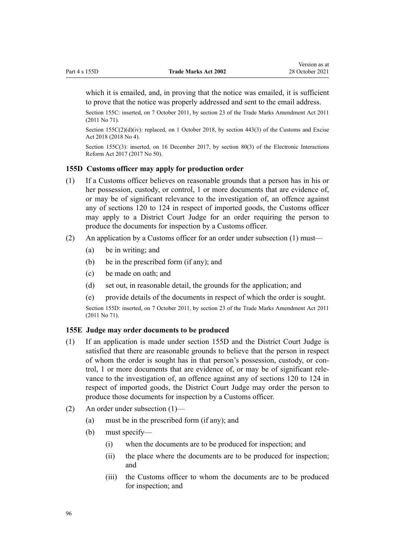<span id="page-95-0"></span>which it is emailed, and, in proving that the notice was emailed, it is sufficient to prove that the notice was properly addressed and sent to the email address.

Section 155C: inserted, on 7 October 2011, by [section 23](http://legislation.govt.nz/pdflink.aspx?id=DLM2290110) of the Trade Marks Amendment Act 2011 (2011 No 71).

Section 155C(2)(d)(iv): replaced, on 1 October 2018, by [section 443\(3\)](http://legislation.govt.nz/pdflink.aspx?id=DLM7039957) of the Customs and Excise Act 2018 (2018 No 4).

Section 155C(3): inserted, on 16 December 2017, by [section 80\(3\)](http://legislation.govt.nz/pdflink.aspx?id=DLM6962243) of the Electronic Interactions Reform Act 2017 (2017 No 50).

#### **155D Customs officer may apply for production order**

- (1) If a Customs officer believes on reasonable grounds that a person has in his or her possession, custody, or control, 1 or more documents that are evidence of, or may be of significant relevance to the investigation of, an offence against any of [sections 120 to 124](#page-58-0) in respect of imported goods, the Customs officer may apply to a District Court Judge for an order requiring the person to produce the documents for inspection by a Customs officer.
- (2) An application by a Customs officer for an order under subsection (1) must—
	- (a) be in writing; and
	- (b) be in the prescribed form (if any); and
	- (c) be made on oath; and
	- (d) set out, in reasonable detail, the grounds for the application; and
	- (e) provide details of the documents in respect of which the order is sought.

Section 155D: inserted, on 7 October 2011, by [section 23](http://legislation.govt.nz/pdflink.aspx?id=DLM2290110) of the Trade Marks Amendment Act 2011 (2011 No 71).

#### **155E Judge may order documents to be produced**

- (1) If an application is made under section 155D and the District Court Judge is satisfied that there are reasonable grounds to believe that the person in respect of whom the order is sought has in that person's possession, custody, or con‐ trol, 1 or more documents that are evidence of, or may be of significant rele‐ vance to the investigation of, an offence against any of [sections 120 to 124](#page-58-0) in respect of imported goods, the District Court Judge may order the person to produce those documents for inspection by a Customs officer.
- (2) An order under subsection (1)—
	- (a) must be in the prescribed form (if any); and
	- (b) must specify—
		- (i) when the documents are to be produced for inspection; and
		- (ii) the place where the documents are to be produced for inspection; and
		- (iii) the Customs officer to whom the documents are to be produced for inspection; and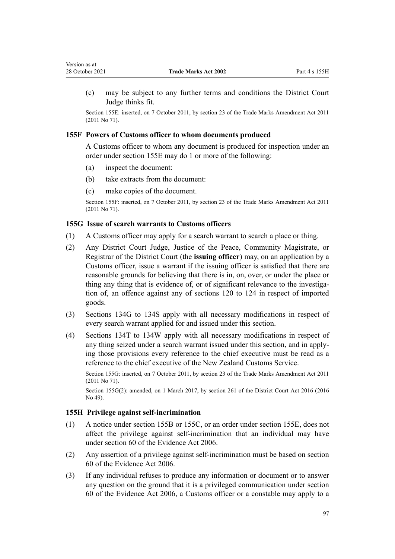<span id="page-96-0"></span>(c) may be subject to any further terms and conditions the District Court Judge thinks fit.

Section 155E: inserted, on 7 October 2011, by [section 23](http://legislation.govt.nz/pdflink.aspx?id=DLM2290110) of the Trade Marks Amendment Act 2011 (2011 No 71).

## **155F Powers of Customs officer to whom documents produced**

A Customs officer to whom any document is produced for inspection under an order under [section 155E](#page-95-0) may do 1 or more of the following:

- (a) inspect the document:
- (b) take extracts from the document:
- (c) make copies of the document.

Section 155F: inserted, on 7 October 2011, by [section 23](http://legislation.govt.nz/pdflink.aspx?id=DLM2290110) of the Trade Marks Amendment Act 2011 (2011 No 71).

#### **155G Issue of search warrants to Customs officers**

- (1) A Customs officer may apply for a search warrant to search a place or thing.
- (2) Any District Court Judge, Justice of the Peace, Community Magistrate, or Registrar of the District Court (the **issuing officer**) may, on an application by a Customs officer, issue a warrant if the issuing officer is satisfied that there are reasonable grounds for believing that there is in, on, over, or under the place or thing any thing that is evidence of, or of significant relevance to the investigation of, an offence against any of [sections 120 to 124](#page-58-0) in respect of imported goods.
- (3) [Sections 134G to 134S](#page-66-0) apply with all necessary modifications in respect of every search warrant applied for and issued under this section.
- (4) [Sections 134T to 134W](#page-75-0) apply with all necessary modifications in respect of any thing seized under a search warrant issued under this section, and in apply‐ ing those provisions every reference to the chief executive must be read as a reference to the chief executive of the New Zealand Customs Service.

Section 155G: inserted, on 7 October 2011, by [section 23](http://legislation.govt.nz/pdflink.aspx?id=DLM2290110) of the Trade Marks Amendment Act 2011 (2011 No 71).

Section 155G(2): amended, on 1 March 2017, by [section 261](http://legislation.govt.nz/pdflink.aspx?id=DLM6942680) of the District Court Act 2016 (2016 No 49).

# **155H Privilege against self-incrimination**

- (1) A notice under [section 155B](#page-93-0) or [155C](#page-94-0), or an order under [section 155E](#page-95-0), does not affect the privilege against self-incrimination that an individual may have under [section 60](http://legislation.govt.nz/pdflink.aspx?id=DLM393672) of the Evidence Act 2006.
- (2) Any assertion of a privilege against self-incrimination must be based on [section](http://legislation.govt.nz/pdflink.aspx?id=DLM393672) [60](http://legislation.govt.nz/pdflink.aspx?id=DLM393672) of the Evidence Act 2006.
- (3) If any individual refuses to produce any information or document or to answer any question on the ground that it is a privileged communication under [section](http://legislation.govt.nz/pdflink.aspx?id=DLM393672) [60](http://legislation.govt.nz/pdflink.aspx?id=DLM393672) of the Evidence Act 2006, a Customs officer or a constable may apply to a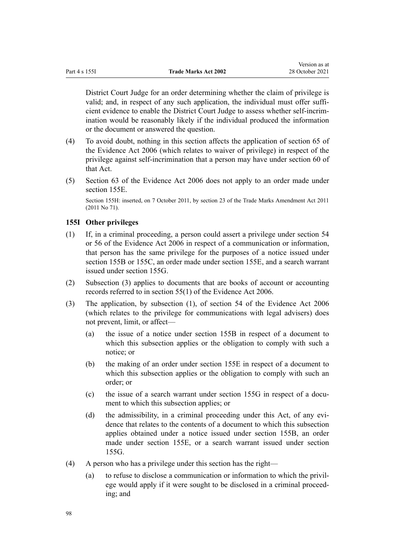District Court Judge for an order determining whether the claim of privilege is valid; and, in respect of any such application, the individual must offer sufficient evidence to enable the District Court Judge to assess whether self-incrim‐ ination would be reasonably likely if the individual produced the information or the document or answered the question.

- (4) To avoid doubt, nothing in this section affects the application of [section 65](http://legislation.govt.nz/pdflink.aspx?id=DLM393677) of the Evidence Act 2006 (which relates to waiver of privilege) in respect of the privilege against self-incrimination that a person may have under [section 60](http://legislation.govt.nz/pdflink.aspx?id=DLM393672) of that Act.
- (5) [Section 63](http://legislation.govt.nz/pdflink.aspx?id=DLM393675) of the Evidence Act 2006 does not apply to an order made under [section 155E.](#page-95-0)

Section 155H: inserted, on 7 October 2011, by [section 23](http://legislation.govt.nz/pdflink.aspx?id=DLM2290110) of the Trade Marks Amendment Act 2011 (2011 No 71).

## **155I Other privileges**

- (1) If, in a criminal proceeding, a person could assert a privilege under [section 54](http://legislation.govt.nz/pdflink.aspx?id=DLM393659) or [56](http://legislation.govt.nz/pdflink.aspx?id=DLM393663) of the Evidence Act 2006 in respect of a communication or information, that person has the same privilege for the purposes of a notice issued under [section 155B](#page-93-0) or [155C](#page-94-0), an order made under [section 155E,](#page-95-0) and a search warrant issued under [section 155G.](#page-96-0)
- (2) Subsection (3) applies to documents that are books of account or accounting records referred to in [section 55\(1\)](http://legislation.govt.nz/pdflink.aspx?id=DLM393662) of the Evidence Act 2006.
- (3) The application, by subsection (1), of section 54 of the Evidence Act 2006 (which relates to the privilege for communications with legal advisers) does not prevent, limit, or affect—
	- (a) the issue of a notice under [section 155B](#page-93-0) in respect of a document to which this subsection applies or the obligation to comply with such a notice; or
	- (b) the making of an order under [section 155E](#page-95-0) in respect of a document to which this subsection applies or the obligation to comply with such an order; or
	- (c) the issue of a search warrant under [section 155G](#page-96-0) in respect of a document to which this subsection applies; or
	- (d) the admissibility, in a criminal proceeding under this Act, of any evidence that relates to the contents of a document to which this subsection applies obtained under a notice issued under [section 155B](#page-93-0), an order made under [section 155E,](#page-95-0) or a search warrant issued under [section](#page-96-0) [155G.](#page-96-0)
- (4) A person who has a privilege under this section has the right—
	- (a) to refuse to disclose a communication or information to which the privil‐ ege would apply if it were sought to be disclosed in a criminal proceed‐ ing; and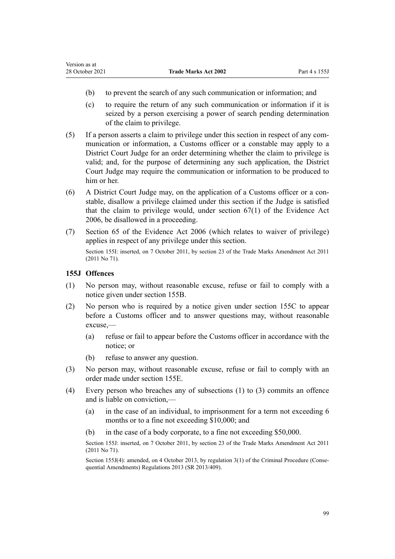- (b) to prevent the search of any such communication or information; and
- (c) to require the return of any such communication or information if it is seized by a person exercising a power of search pending determination of the claim to privilege.
- $(5)$  If a person asserts a claim to privilege under this section in respect of any communication or information, a Customs officer or a constable may apply to a District Court Judge for an order determining whether the claim to privilege is valid; and, for the purpose of determining any such application, the District Court Judge may require the communication or information to be produced to him or her.
- (6) A District Court Judge may, on the application of a Customs officer or a con‐ stable, disallow a privilege claimed under this section if the Judge is satisfied that the claim to privilege would, under [section 67\(1\)](http://legislation.govt.nz/pdflink.aspx?id=DLM393679) of the Evidence Act 2006, be disallowed in a proceeding.
- (7) [Section 65](http://legislation.govt.nz/pdflink.aspx?id=DLM393677) of the Evidence Act 2006 (which relates to waiver of privilege) applies in respect of any privilege under this section. Section 155I: inserted, on 7 October 2011, by [section 23](http://legislation.govt.nz/pdflink.aspx?id=DLM2290110) of the Trade Marks Amendment Act 2011 (2011 No 71).

# **155J Offences**

- (1) No person may, without reasonable excuse, refuse or fail to comply with a notice given under [section 155B](#page-93-0).
- (2) No person who is required by a notice given under [section 155C](#page-94-0) to appear before a Customs officer and to answer questions may, without reasonable excuse,—
	- (a) refuse or fail to appear before the Customs officer in accordance with the notice; or
	- (b) refuse to answer any question.
- (3) No person may, without reasonable excuse, refuse or fail to comply with an order made under [section 155E.](#page-95-0)
- (4) Every person who breaches any of subsections (1) to (3) commits an offence and is liable on conviction,—
	- (a) in the case of an individual, to imprisonment for a term not exceeding 6 months or to a fine not exceeding \$10,000; and
	- (b) in the case of a body corporate, to a fine not exceeding \$50,000.

Section 155J: inserted, on 7 October 2011, by [section 23](http://legislation.govt.nz/pdflink.aspx?id=DLM2290110) of the Trade Marks Amendment Act 2011 (2011 No 71).

Section 155J(4): amended, on 4 October 2013, by [regulation 3\(1\)](http://legislation.govt.nz/pdflink.aspx?id=DLM5642106) of the Criminal Procedure (Consequential Amendments) Regulations 2013 (SR 2013/409).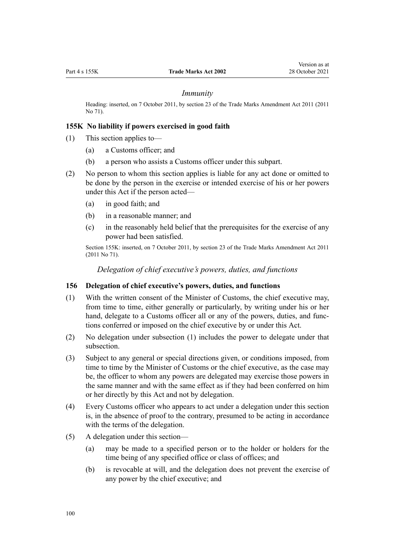#### *Immunity*

Heading: inserted, on 7 October 2011, by [section 23](http://legislation.govt.nz/pdflink.aspx?id=DLM2290110) of the Trade Marks Amendment Act 2011 (2011 No 71).

#### **155K No liability if powers exercised in good faith**

- (1) This section applies to—
	- (a) a Customs officer; and
	- (b) a person who assists a Customs officer under this subpart.
- (2) No person to whom this section applies is liable for any act done or omitted to be done by the person in the exercise or intended exercise of his or her powers under this Act if the person acted—
	- (a) in good faith; and
	- (b) in a reasonable manner; and
	- (c) in the reasonably held belief that the prerequisites for the exercise of any power had been satisfied.

Section 155K: inserted, on 7 October 2011, by [section 23](http://legislation.govt.nz/pdflink.aspx?id=DLM2290110) of the Trade Marks Amendment Act 2011 (2011 No 71).

*Delegation of chief executive's powers, duties, and functions*

#### **156 Delegation of chief executive's powers, duties, and functions**

- (1) With the written consent of the Minister of Customs, the chief executive may, from time to time, either generally or particularly, by writing under his or her hand, delegate to a Customs officer all or any of the powers, duties, and functions conferred or imposed on the chief executive by or under this Act.
- (2) No delegation under subsection (1) includes the power to delegate under that subsection.
- (3) Subject to any general or special directions given, or conditions imposed, from time to time by the Minister of Customs or the chief executive, as the case may be, the officer to whom any powers are delegated may exercise those powers in the same manner and with the same effect as if they had been conferred on him or her directly by this Act and not by delegation.
- (4) Every Customs officer who appears to act under a delegation under this section is, in the absence of proof to the contrary, presumed to be acting in accordance with the terms of the delegation.
- (5) A delegation under this section—
	- (a) may be made to a specified person or to the holder or holders for the time being of any specified office or class of offices; and
	- (b) is revocable at will, and the delegation does not prevent the exercise of any power by the chief executive; and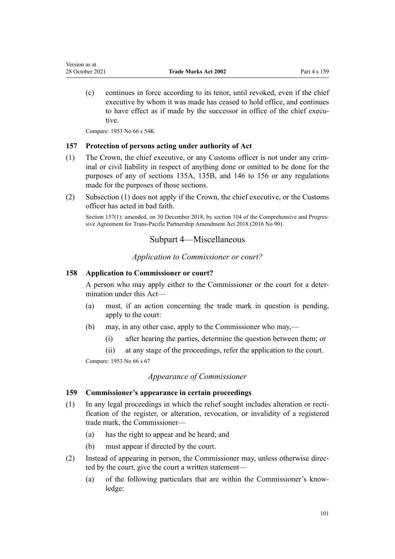(c) continues in force according to its tenor, until revoked, even if the chief executive by whom it was made has ceased to hold office, and continues to have effect as if made by the successor in office of the chief executive.

Compare: 1953 No 66 s 54K

### **157 Protection of persons acting under authority of Act**

- (1) The Crown, the chief executive, or any Customs officer is not under any crim‐ inal or civil liability in respect of anything done or omitted to be done for the purposes of any of [sections 135A](#page-83-0), [135B,](#page-83-0) and [146 to 156](#page-88-0) or any regulations made for the purposes of those sections.
- (2) Subsection (1) does not apply if the Crown, the chief executive, or the Customs officer has acted in bad faith.

Section 157(1): amended, on 30 December 2018, by [section 104](http://legislation.govt.nz/pdflink.aspx?id=DLM6838451) of the Comprehensive and Progressive Agreement for Trans-Pacific Partnership Amendment Act 2018 (2016 No 90).

# Subpart 4—Miscellaneous

*Application to Commissioner or court?*

#### **158 Application to Commissioner or court?**

A person who may apply either to the Commissioner or the court for a deter‐ mination under this Act—

- (a) must, if an action concerning the trade mark in question is pending, apply to the court:
- (b) may, in any other case, apply to the Commissioner who may,—
	- (i) after hearing the parties, determine the question between them; or
	- (ii) at any stage of the proceedings, refer the application to the court.

Compare: 1953 No 66 s 67

# *Appearance of Commissioner*

### **159 Commissioner's appearance in certain proceedings**

- $(1)$  In any legal proceedings in which the relief sought includes alteration or rectification of the register, or alteration, revocation, or invalidity of a registered trade mark, the Commissioner—
	- (a) has the right to appear and be heard; and
	- (b) must appear if directed by the court.
- (2) Instead of appearing in person, the Commissioner may, unless otherwise direc‐ ted by the court, give the court a written statement—
	- (a) of the following particulars that are within the Commissioner's know‐ ledge: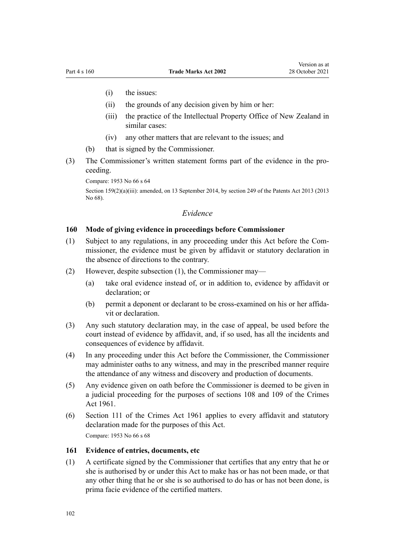- (i) the issues:
- (ii) the grounds of any decision given by him or her:
- (iii) the practice of the Intellectual Property Office of New Zealand in similar cases:
- (iv) any other matters that are relevant to the issues; and
- (b) that is signed by the Commissioner.
- (3) The Commissioner's written statement forms part of the evidence in the pro‐ ceeding.

Compare: 1953 No 66 s 64

Section 159(2)(a)(iii): amended, on 13 September 2014, by [section 249](http://legislation.govt.nz/pdflink.aspx?id=DLM1419624) of the Patents Act 2013 (2013 No 68).

# *Evidence*

#### **160 Mode of giving evidence in proceedings before Commissioner**

- (1) Subject to any regulations, in any proceeding under this Act before the Com‐ missioner, the evidence must be given by affidavit or statutory declaration in the absence of directions to the contrary.
- (2) However, despite subsection (1), the Commissioner may—
	- (a) take oral evidence instead of, or in addition to, evidence by affidavit or declaration; or
	- (b) permit a deponent or declarant to be cross-examined on his or her affida‐ vit or declaration.
- (3) Any such statutory declaration may, in the case of appeal, be used before the court instead of evidence by affidavit, and, if so used, has all the incidents and consequences of evidence by affidavit.
- (4) In any proceeding under this Act before the Commissioner, the Commissioner may administer oaths to any witness, and may in the prescribed manner require the attendance of any witness and discovery and production of documents.
- (5) Any evidence given on oath before the Commissioner is deemed to be given in a judicial proceeding for the purposes of [sections 108](http://legislation.govt.nz/pdflink.aspx?id=DLM328793) and [109](http://legislation.govt.nz/pdflink.aspx?id=DLM328796) of the Crimes Act 1961.
- (6) [Section 111](http://legislation.govt.nz/pdflink.aspx?id=DLM328799) of the Crimes Act 1961 applies to every affidavit and statutory declaration made for the purposes of this Act. Compare: 1953 No 66 s 68

#### **161 Evidence of entries, documents, etc**

(1) A certificate signed by the Commissioner that certifies that any entry that he or she is authorised by or under this Act to make has or has not been made, or that any other thing that he or she is so authorised to do has or has not been done, is prima facie evidence of the certified matters.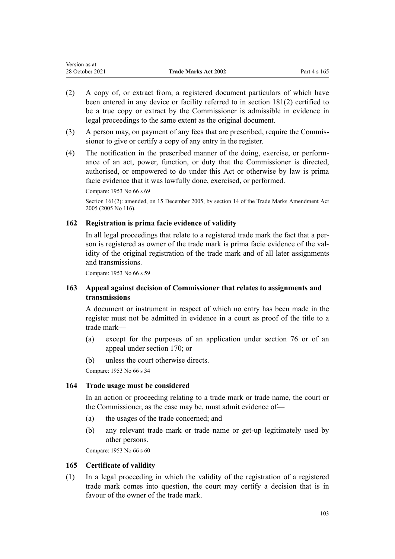- (2) A copy of, or extract from, a registered document particulars of which have been entered in any device or facility referred to in [section 181\(2\)](#page-107-0) certified to be a true copy or extract by the Commissioner is admissible in evidence in legal proceedings to the same extent as the original document.
- (3) A person may, on payment of any fees that are prescribed, require the Commis‐ sioner to give or certify a copy of any entry in the register.
- (4) The notification in the prescribed manner of the doing, exercise, or perform‐ ance of an act, power, function, or duty that the Commissioner is directed, authorised, or empowered to do under this Act or otherwise by law is prima facie evidence that it was lawfully done, exercised, or performed.

Compare: 1953 No 66 s 69

Section 161(2): amended, on 15 December 2005, by [section 14](http://legislation.govt.nz/pdflink.aspx?id=DLM362648) of the Trade Marks Amendment Act 2005 (2005 No 116).

# **162 Registration is prima facie evidence of validity**

In all legal proceedings that relate to a registered trade mark the fact that a person is registered as owner of the trade mark is prima facie evidence of the validity of the original registration of the trade mark and of all later assignments and transmissions.

Compare: 1953 No 66 s 59

# **163 Appeal against decision of Commissioner that relates to assignments and transmissions**

A document or instrument in respect of which no entry has been made in the register must not be admitted in evidence in a court as proof of the title to a trade mark—

- (a) except for the purposes of an application under [section 76](#page-44-0) or of an appeal under [section 170;](#page-104-0) or
- (b) unless the court otherwise directs.

Compare: 1953 No 66 s 34

### **164 Trade usage must be considered**

In an action or proceeding relating to a trade mark or trade name, the court or the Commissioner, as the case may be, must admit evidence of—

- (a) the usages of the trade concerned; and
- (b) any relevant trade mark or trade name or get-up legitimately used by other persons.

Compare: 1953 No 66 s 60

### **165 Certificate of validity**

(1) In a legal proceeding in which the validity of the registration of a registered trade mark comes into question, the court may certify a decision that is in favour of the owner of the trade mark.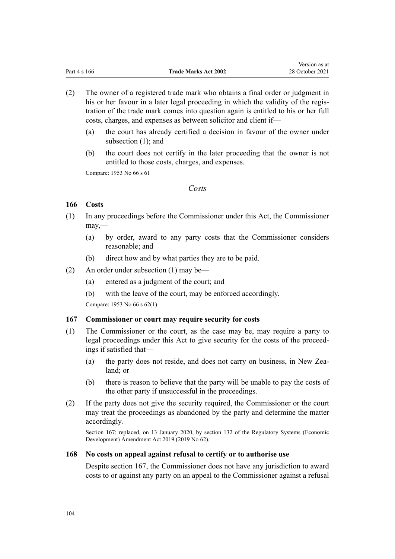Version as at

- (2) The owner of a registered trade mark who obtains a final order or judgment in his or her favour in a later legal proceeding in which the validity of the registration of the trade mark comes into question again is entitled to his or her full costs, charges, and expenses as between solicitor and client if—
	- (a) the court has already certified a decision in favour of the owner under subsection (1); and
	- (b) the court does not certify in the later proceeding that the owner is not entitled to those costs, charges, and expenses.

Compare: 1953 No 66 s 61

*Costs*

# **166 Costs**

- (1) In any proceedings before the Commissioner under this Act, the Commissioner may,—
	- (a) by order, award to any party costs that the Commissioner considers reasonable; and
	- (b) direct how and by what parties they are to be paid.
- (2) An order under subsection (1) may be—
	- (a) entered as a judgment of the court; and
	- (b) with the leave of the court, may be enforced accordingly.

Compare: 1953 No 66 s 62(1)

## **167 Commissioner or court may require security for costs**

- (1) The Commissioner or the court, as the case may be, may require a party to legal proceedings under this Act to give security for the costs of the proceed‐ ings if satisfied that—
	- (a) the party does not reside, and does not carry on business, in New Zealand; or
	- (b) there is reason to believe that the party will be unable to pay the costs of the other party if unsuccessful in the proceedings.
- (2) If the party does not give the security required, the Commissioner or the court may treat the proceedings as abandoned by the party and determine the matter accordingly.

Section 167: replaced, on 13 January 2020, by [section 132](http://legislation.govt.nz/pdflink.aspx?id=LMS85765) of the Regulatory Systems (Economic Development) Amendment Act 2019 (2019 No 62).

### **168 No costs on appeal against refusal to certify or to authorise use**

Despite section 167, the Commissioner does not have any jurisdiction to award costs to or against any party on an appeal to the Commissioner against a refusal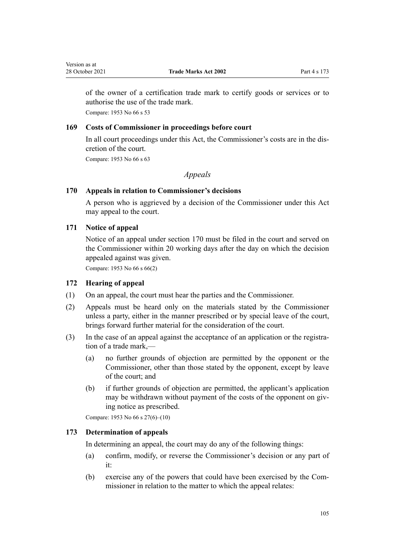<span id="page-104-0"></span>of the owner of a certification trade mark to certify goods or services or to authorise the use of the trade mark.

Compare: 1953 No 66 s 53

# **169 Costs of Commissioner in proceedings before court**

In all court proceedings under this Act, the Commissioner's costs are in the dis‐ cretion of the court.

Compare: 1953 No 66 s 63

# *Appeals*

# **170 Appeals in relation to Commissioner's decisions**

A person who is aggrieved by a decision of the Commissioner under this Act may appeal to the court.

# **171 Notice of appeal**

Notice of an appeal under section 170 must be filed in the court and served on the Commissioner within 20 working days after the day on which the decision appealed against was given.

Compare: 1953 No 66 s 66(2)

# **172 Hearing of appeal**

- (1) On an appeal, the court must hear the parties and the Commissioner.
- (2) Appeals must be heard only on the materials stated by the Commissioner unless a party, either in the manner prescribed or by special leave of the court, brings forward further material for the consideration of the court.
- (3) In the case of an appeal against the acceptance of an application or the registration of a trade mark,—
	- (a) no further grounds of objection are permitted by the opponent or the Commissioner, other than those stated by the opponent, except by leave of the court; and
	- (b) if further grounds of objection are permitted, the applicant's application may be withdrawn without payment of the costs of the opponent on giving notice as prescribed.

Compare: 1953 No 66 s 27(6)–(10)

### **173 Determination of appeals**

In determining an appeal, the court may do any of the following things:

- (a) confirm, modify, or reverse the Commissioner's decision or any part of it:
- (b) exercise any of the powers that could have been exercised by the Com‐ missioner in relation to the matter to which the appeal relates: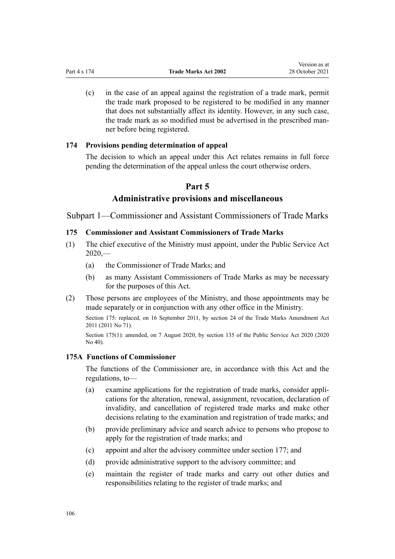(c) in the case of an appeal against the registration of a trade mark, permit the trade mark proposed to be registered to be modified in any manner that does not substantially affect its identity. However, in any such case, the trade mark as so modified must be advertised in the prescribed man‐ ner before being registered.

#### **174 Provisions pending determination of appeal**

The decision to which an appeal under this Act relates remains in full force pending the determination of the appeal unless the court otherwise orders.

# **Part 5**

# **Administrative provisions and miscellaneous**

Subpart 1—Commissioner and Assistant Commissioners of Trade Marks

#### **175 Commissioner and Assistant Commissioners of Trade Marks**

- (1) The chief executive of the Ministry must appoint, under the [Public Service Act](http://legislation.govt.nz/pdflink.aspx?id=LMS106157)  $2020 2020 -$ 
	- (a) the Commissioner of Trade Marks; and
	- (b) as many Assistant Commissioners of Trade Marks as may be necessary for the purposes of this Act.
- (2) Those persons are employees of the Ministry, and those appointments may be made separately or in conjunction with any other office in the Ministry.

Section 175: replaced, on 16 September 2011, by [section 24](http://legislation.govt.nz/pdflink.aspx?id=DLM2353613) of the Trade Marks Amendment Act 2011 (2011 No 71).

Section 175(1): amended, on 7 August 2020, by [section 135](http://legislation.govt.nz/pdflink.aspx?id=LMS176959) of the Public Service Act 2020 (2020 No 40).

# **175A Functions of Commissioner**

The functions of the Commissioner are, in accordance with this Act and the regulations, to—

- (a) examine applications for the registration of trade marks, consider appli‐ cations for the alteration, renewal, assignment, revocation, declaration of invalidity, and cancellation of registered trade marks and make other decisions relating to the examination and registration of trade marks; and
- (b) provide preliminary advice and search advice to persons who propose to apply for the registration of trade marks; and
- (c) appoint and alter the advisory committee under [section 177;](#page-107-0) and
- (d) provide administrative support to the advisory committee; and
- (e) maintain the register of trade marks and carry out other duties and responsibilities relating to the register of trade marks; and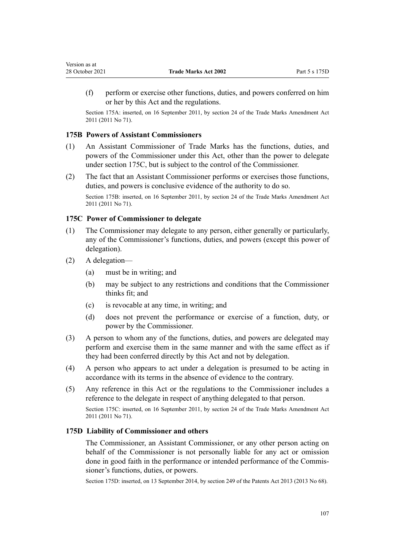(f) perform or exercise other functions, duties, and powers conferred on him or her by this Act and the regulations.

Section 175A: inserted, on 16 September 2011, by [section 24](http://legislation.govt.nz/pdflink.aspx?id=DLM2353613) of the Trade Marks Amendment Act 2011 (2011 No 71).

#### **175B Powers of Assistant Commissioners**

- (1) An Assistant Commissioner of Trade Marks has the functions, duties, and powers of the Commissioner under this Act, other than the power to delegate under section 175C, but is subject to the control of the Commissioner.
- (2) The fact that an Assistant Commissioner performs or exercises those functions, duties, and powers is conclusive evidence of the authority to do so.

Section 175B: inserted, on 16 September 2011, by [section 24](http://legislation.govt.nz/pdflink.aspx?id=DLM2353613) of the Trade Marks Amendment Act 2011 (2011 No 71).

#### **175C Power of Commissioner to delegate**

- (1) The Commissioner may delegate to any person, either generally or particularly, any of the Commissioner's functions, duties, and powers (except this power of delegation).
- (2) A delegation—
	- (a) must be in writing; and
	- (b) may be subject to any restrictions and conditions that the Commissioner thinks fit; and
	- (c) is revocable at any time, in writing; and
	- (d) does not prevent the performance or exercise of a function, duty, or power by the Commissioner.
- (3) A person to whom any of the functions, duties, and powers are delegated may perform and exercise them in the same manner and with the same effect as if they had been conferred directly by this Act and not by delegation.
- (4) A person who appears to act under a delegation is presumed to be acting in accordance with its terms in the absence of evidence to the contrary.
- (5) Any reference in this Act or the regulations to the Commissioner includes a reference to the delegate in respect of anything delegated to that person.

Section 175C: inserted, on 16 September 2011, by [section 24](http://legislation.govt.nz/pdflink.aspx?id=DLM2353613) of the Trade Marks Amendment Act 2011 (2011 No 71).

#### **175D Liability of Commissioner and others**

The Commissioner, an Assistant Commissioner, or any other person acting on behalf of the Commissioner is not personally liable for any act or omission done in good faith in the performance or intended performance of the Commis‐ sioner's functions, duties, or powers.

Section 175D: inserted, on 13 September 2014, by [section 249](http://legislation.govt.nz/pdflink.aspx?id=DLM1419624) of the Patents Act 2013 (2013 No 68).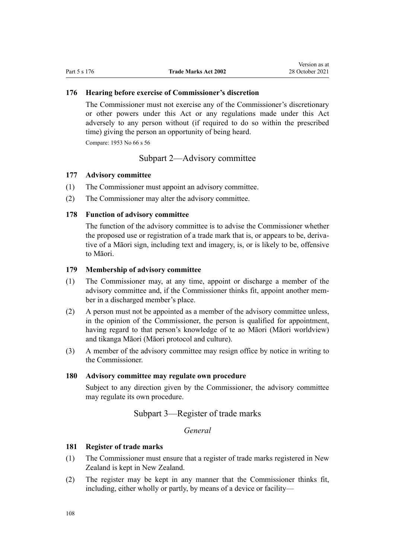### <span id="page-107-0"></span>**176 Hearing before exercise of Commissioner's discretion**

The Commissioner must not exercise any of the Commissioner's discretionary or other powers under this Act or any regulations made under this Act adversely to any person without (if required to do so within the prescribed time) giving the person an opportunity of being heard.

Compare: 1953 No 66 s 56

# Subpart 2—Advisory committee

#### **177 Advisory committee**

- (1) The Commissioner must appoint an advisory committee.
- (2) The Commissioner may alter the advisory committee.

## **178 Function of advisory committee**

The function of the advisory committee is to advise the Commissioner whether the proposed use or registration of a trade mark that is, or appears to be, derivative of a Māori sign, including text and imagery, is, or is likely to be, offensive to Māori.

#### **179 Membership of advisory committee**

- (1) The Commissioner may, at any time, appoint or discharge a member of the advisory committee and, if the Commissioner thinks fit, appoint another member in a discharged member's place.
- (2) A person must not be appointed as a member of the advisory committee unless, in the opinion of the Commissioner, the person is qualified for appointment, having regard to that person's knowledge of te ao Māori (Māori worldview) and tikanga Māori (Māori protocol and culture).
- (3) A member of the advisory committee may resign office by notice in writing to the Commissioner.

#### **180 Advisory committee may regulate own procedure**

Subject to any direction given by the Commissioner, the advisory committee may regulate its own procedure.

# Subpart 3—Register of trade marks

*General*

# **181 Register of trade marks**

- (1) The Commissioner must ensure that a register of trade marks registered in New Zealand is kept in New Zealand.
- (2) The register may be kept in any manner that the Commissioner thinks fit, including, either wholly or partly, by means of a device or facility—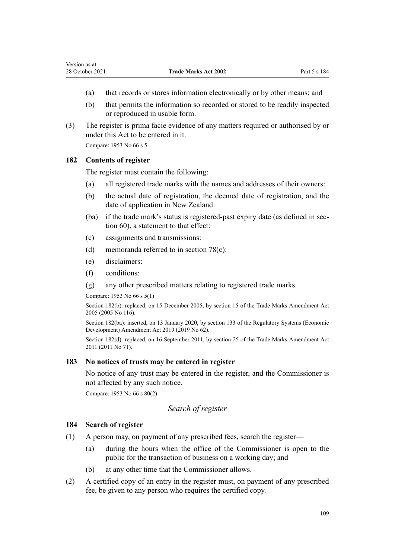- (a) that records or stores information electronically or by other means; and
- (b) that permits the information so recorded or stored to be readily inspected or reproduced in usable form.
- (3) The register is prima facie evidence of any matters required or authorised by or under this Act to be entered in it.

Compare: 1953 No 66 s 5

#### **182 Contents of register**

The register must contain the following:

- (a) all registered trade marks with the names and addresses of their owners:
- (b) the actual date of registration, the deemed date of registration, and the date of application in New Zealand:
- (ba) if the trade mark's status is registered-past expiry date (as defined in sec[tion 60](#page-39-0)), a statement to that effect:
- (c) assignments and transmissions:
- (d) memoranda referred to in [section 78\(c\):](#page-44-0)
- (e) disclaimers:
- (f) conditions:
- (g) any other prescribed matters relating to registered trade marks.

Compare: 1953 No 66 s 5(1)

Section 182(b): replaced, on 15 December 2005, by [section 15](http://legislation.govt.nz/pdflink.aspx?id=DLM362649) of the Trade Marks Amendment Act 2005 (2005 No 116).

Section 182(ba): inserted, on 13 January 2020, by [section 133](http://legislation.govt.nz/pdflink.aspx?id=LMS85766) of the Regulatory Systems (Economic Development) Amendment Act 2019 (2019 No 62).

Section 182(d): replaced, on 16 September 2011, by [section 25](http://legislation.govt.nz/pdflink.aspx?id=DLM2290126) of the Trade Marks Amendment Act 2011 (2011 No 71).

## **183 No notices of trusts may be entered in register**

No notice of any trust may be entered in the register, and the Commissioner is not affected by any such notice.

Compare: 1953 No 66 s 80(2)

## *Search of register*

#### **184 Search of register**

- (1) A person may, on payment of any prescribed fees, search the register—
	- (a) during the hours when the office of the Commissioner is open to the public for the transaction of business on a working day; and
	- (b) at any other time that the Commissioner allows.
- (2) A certified copy of an entry in the register must, on payment of any prescribed fee, be given to any person who requires the certified copy.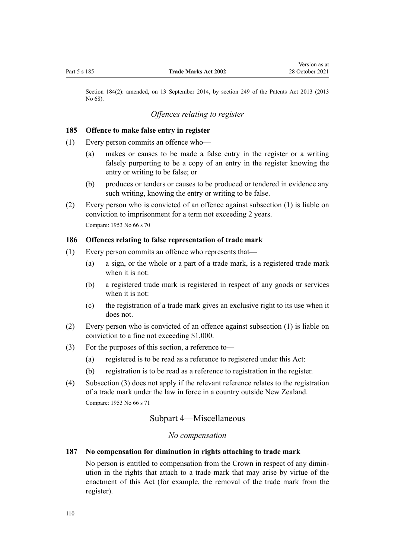Section 184(2): amended, on 13 September 2014, by [section 249](http://legislation.govt.nz/pdflink.aspx?id=DLM1419624) of the Patents Act 2013 (2013 No 68).

# *Offences relating to register*

#### **185 Offence to make false entry in register**

- (1) Every person commits an offence who—
	- (a) makes or causes to be made a false entry in the register or a writing falsely purporting to be a copy of an entry in the register knowing the entry or writing to be false; or
	- (b) produces or tenders or causes to be produced or tendered in evidence any such writing, knowing the entry or writing to be false.
- (2) Every person who is convicted of an offence against subsection (1) is liable on conviction to imprisonment for a term not exceeding 2 years. Compare: 1953 No 66 s 70

#### **186 Offences relating to false representation of trade mark**

- (1) Every person commits an offence who represents that—
	- (a) a sign, or the whole or a part of a trade mark, is a registered trade mark when it is not:
	- (b) a registered trade mark is registered in respect of any goods or services when it is not:
	- (c) the registration of a trade mark gives an exclusive right to its use when it does not.
- (2) Every person who is convicted of an offence against subsection (1) is liable on conviction to a fine not exceeding \$1,000.
- (3) For the purposes of this section, a reference to—
	- (a) registered is to be read as a reference to registered under this Act:
	- (b) registration is to be read as a reference to registration in the register.
- (4) Subsection (3) does not apply if the relevant reference relates to the registration of a trade mark under the law in force in a country outside New Zealand. Compare: 1953 No 66 s 71

# Subpart 4—Miscellaneous

## *No compensation*

### **187 No compensation for diminution in rights attaching to trade mark**

No person is entitled to compensation from the Crown in respect of any dimin‐ ution in the rights that attach to a trade mark that may arise by virtue of the enactment of this Act (for example, the removal of the trade mark from the register).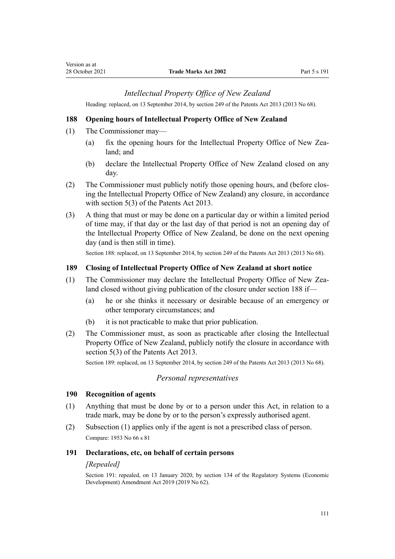## *Intellectual Property Office of New Zealand*

Heading: replaced, on 13 September 2014, by [section 249](http://legislation.govt.nz/pdflink.aspx?id=DLM1419624) of the Patents Act 2013 (2013 No 68).

## **188 Opening hours of Intellectual Property Office of New Zealand**

- (1) The Commissioner may—
	- (a) fix the opening hours for the Intellectual Property Office of New Zealand; and
	- (b) declare the Intellectual Property Office of New Zealand closed on any day.
- (2) The Commissioner must publicly notify those opening hours, and (before clos‐ ing the Intellectual Property Office of New Zealand) any closure, in accordance with [section 5\(3\)](http://legislation.govt.nz/pdflink.aspx?id=DLM1419053) of the Patents Act 2013.
- (3) A thing that must or may be done on a particular day or within a limited period of time may, if that day or the last day of that period is not an opening day of the Intellectual Property Office of New Zealand, be done on the next opening day (and is then still in time).

Section 188: replaced, on 13 September 2014, by [section 249](http://legislation.govt.nz/pdflink.aspx?id=DLM1419624) of the Patents Act 2013 (2013 No 68).

### **189 Closing of Intellectual Property Office of New Zealand at short notice**

- (1) The Commissioner may declare the Intellectual Property Office of New Zealand closed without giving publication of the closure under section 188 if—
	- (a) he or she thinks it necessary or desirable because of an emergency or other temporary circumstances; and
	- (b) it is not practicable to make that prior publication.
- (2) The Commissioner must, as soon as practicable after closing the Intellectual Property Office of New Zealand, publicly notify the closure in accordance with [section 5\(3\)](http://legislation.govt.nz/pdflink.aspx?id=DLM1419053) of the Patents Act 2013.

Section 189: replaced, on 13 September 2014, by [section 249](http://legislation.govt.nz/pdflink.aspx?id=DLM1419624) of the Patents Act 2013 (2013 No 68).

## *Personal representatives*

#### **190 Recognition of agents**

- (1) Anything that must be done by or to a person under this Act, in relation to a trade mark, may be done by or to the person's expressly authorised agent.
- (2) Subsection (1) applies only if the agent is not a prescribed class of person. Compare: 1953 No 66 s 81

#### **191 Declarations, etc, on behalf of certain persons**

#### *[Repealed]*

Section 191: repealed, on 13 January 2020, by [section 134](http://legislation.govt.nz/pdflink.aspx?id=LMS85767) of the Regulatory Systems (Economic Development) Amendment Act 2019 (2019 No 62).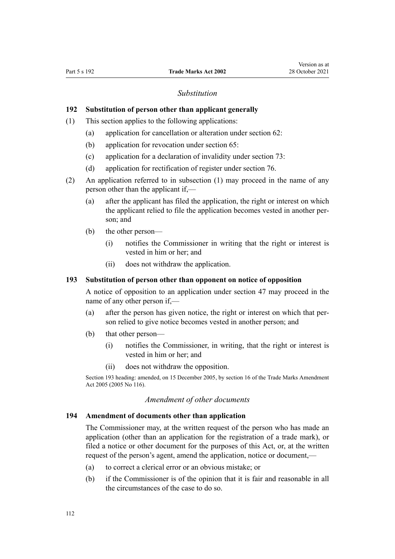#### *Substitution*

## **192 Substitution of person other than applicant generally**

- (1) This section applies to the following applications:
	- (a) application for cancellation or alteration under [section 62:](#page-39-0)
	- (b) application for revocation under [section 65:](#page-40-0)
	- (c) application for a declaration of invalidity under [section 73:](#page-43-0)
	- (d) application for rectification of register under [section 76.](#page-44-0)
- (2) An application referred to in subsection (1) may proceed in the name of any person other than the applicant if,—
	- (a) after the applicant has filed the application, the right or interest on which the applicant relied to file the application becomes vested in another per‐ son; and
	- (b) the other person—
		- (i) notifies the Commissioner in writing that the right or interest is vested in him or her; and
		- (ii) does not withdraw the application.

### **193 Substitution of person other than opponent on notice of opposition**

A notice of opposition to an application under [section 47](#page-34-0) may proceed in the name of any other person if,—

- (a) after the person has given notice, the right or interest on which that per‐ son relied to give notice becomes vested in another person; and
- (b) that other person—
	- (i) notifies the Commissioner, in writing, that the right or interest is vested in him or her; and
	- (ii) does not withdraw the opposition.

Section 193 heading: amended, on 15 December 2005, by [section 16](http://legislation.govt.nz/pdflink.aspx?id=DLM362650) of the Trade Marks Amendment Act 2005 (2005 No 116).

#### *Amendment of other documents*

#### **194 Amendment of documents other than application**

The Commissioner may, at the written request of the person who has made an application (other than an application for the registration of a trade mark), or filed a notice or other document for the purposes of this Act, or, at the written request of the person's agent, amend the application, notice or document,—

- (a) to correct a clerical error or an obvious mistake; or
- (b) if the Commissioner is of the opinion that it is fair and reasonable in all the circumstances of the case to do so.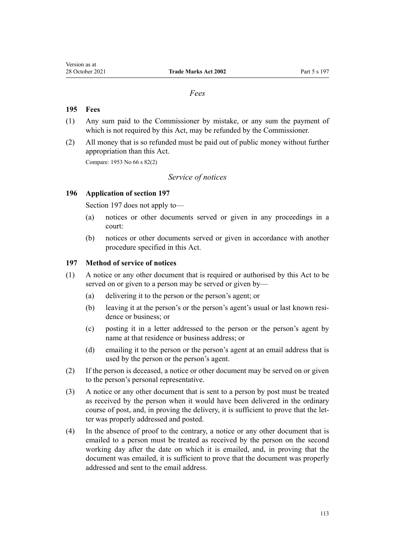### *Fees*

## **195 Fees**

- (1) Any sum paid to the Commissioner by mistake, or any sum the payment of which is not required by this Act, may be refunded by the Commissioner.
- (2) All money that is so refunded must be paid out of public money without further appropriation than this Act.

Compare: 1953 No 66 s 82(2)

## *Service of notices*

#### **196 Application of section 197**

Section 197 does not apply to—

- (a) notices or other documents served or given in any proceedings in a court:
- (b) notices or other documents served or given in accordance with another procedure specified in this Act.

## **197 Method of service of notices**

- (1) A notice or any other document that is required or authorised by this Act to be served on or given to a person may be served or given by—
	- (a) delivering it to the person or the person's agent; or
	- (b) leaving it at the person's or the person's agent's usual or last known residence or business; or
	- (c) posting it in a letter addressed to the person or the person's agent by name at that residence or business address; or
	- (d) emailing it to the person or the person's agent at an email address that is used by the person or the person's agent.
- (2) If the person is deceased, a notice or other document may be served on or given to the person's personal representative.
- (3) A notice or any other document that is sent to a person by post must be treated as received by the person when it would have been delivered in the ordinary course of post, and, in proving the delivery, it is sufficient to prove that the letter was properly addressed and posted.
- (4) In the absence of proof to the contrary, a notice or any other document that is emailed to a person must be treated as received by the person on the second working day after the date on which it is emailed, and, in proving that the document was emailed, it is sufficient to prove that the document was properly addressed and sent to the email address.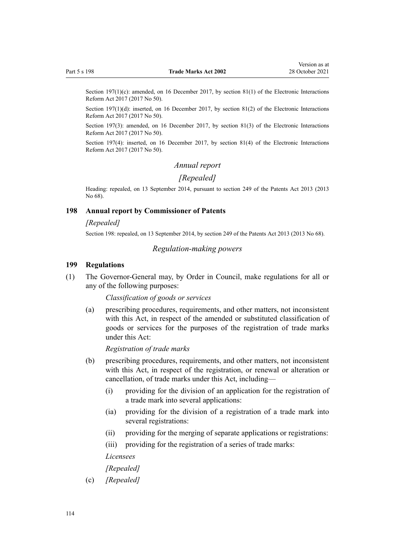Section 197(1)(c): amended, on 16 December 2017, by [section 81\(1\)](http://legislation.govt.nz/pdflink.aspx?id=DLM6962244) of the Electronic Interactions Reform Act 2017 (2017 No 50).

Section 197(1)(d): inserted, on 16 December 2017, by [section 81\(2\)](http://legislation.govt.nz/pdflink.aspx?id=DLM6962244) of the Electronic Interactions Reform Act 2017 (2017 No 50).

Section 197(3): amended, on 16 December 2017, by [section 81\(3\)](http://legislation.govt.nz/pdflink.aspx?id=DLM6962244) of the Electronic Interactions Reform Act 2017 (2017 No 50).

Section 197(4): inserted, on 16 December 2017, by [section 81\(4\)](http://legislation.govt.nz/pdflink.aspx?id=DLM6962244) of the Electronic Interactions Reform Act 2017 (2017 No 50).

#### *Annual report*

## *[Repealed]*

Heading: repealed, on 13 September 2014, pursuant to [section 249](http://legislation.govt.nz/pdflink.aspx?id=DLM1419624) of the Patents Act 2013 (2013 No 68).

#### **198 Annual report by Commissioner of Patents**

#### *[Repealed]*

Section 198: repealed, on 13 September 2014, by [section 249](http://legislation.govt.nz/pdflink.aspx?id=DLM1419624) of the Patents Act 2013 (2013 No 68).

#### *Regulation-making powers*

#### **199 Regulations**

(1) The Governor-General may, by Order in Council, make regulations for all or any of the following purposes:

*Classification of goods or services*

(a) prescribing procedures, requirements, and other matters, not inconsistent with this Act, in respect of the amended or substituted classification of goods or services for the purposes of the registration of trade marks under this Act:

*Registration of trade marks*

- (b) prescribing procedures, requirements, and other matters, not inconsistent with this Act, in respect of the registration, or renewal or alteration or cancellation, of trade marks under this Act, including—
	- (i) providing for the division of an application for the registration of a trade mark into several applications:
	- (ia) providing for the division of a registration of a trade mark into several registrations:
	- (ii) providing for the merging of separate applications or registrations:
	- (iii) providing for the registration of a series of trade marks:

*Licensees*

#### *[Repealed]*

(c) *[Repealed]*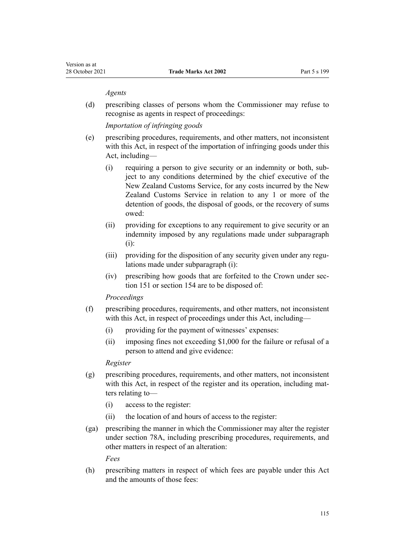#### *Agents*

(d) prescribing classes of persons whom the Commissioner may refuse to recognise as agents in respect of proceedings:

*Importation of infringing goods*

- (e) prescribing procedures, requirements, and other matters, not inconsistent with this Act, in respect of the importation of infringing goods under this Act, including—
	- (i) requiring a person to give security or an indemnity or both, sub‐ ject to any conditions determined by the chief executive of the New Zealand Customs Service, for any costs incurred by the New Zealand Customs Service in relation to any 1 or more of the detention of goods, the disposal of goods, or the recovery of sums owed:
	- (ii) providing for exceptions to any requirement to give security or an indemnity imposed by any regulations made under subparagraph (i):
	- (iii) providing for the disposition of any security given under any regulations made under subparagraph (i):
	- (iv) prescribing how goods that are forfeited to the Crown under sec[tion 151](#page-90-0) or [section 154](#page-91-0) are to be disposed of:

#### *Proceedings*

- (f) prescribing procedures, requirements, and other matters, not inconsistent with this Act, in respect of proceedings under this Act, including—
	- (i) providing for the payment of witnesses' expenses:
	- (ii) imposing fines not exceeding \$1,000 for the failure or refusal of a person to attend and give evidence:

#### *Register*

- (g) prescribing procedures, requirements, and other matters, not inconsistent with this Act, in respect of the register and its operation, including matters relating to—
	- (i) access to the register:
	- (ii) the location of and hours of access to the register:
- (ga) prescribing the manner in which the Commissioner may alter the register under [section 78A,](#page-45-0) including prescribing procedures, requirements, and other matters in respect of an alteration:

*Fees*

(h) prescribing matters in respect of which fees are payable under this Act and the amounts of those fees: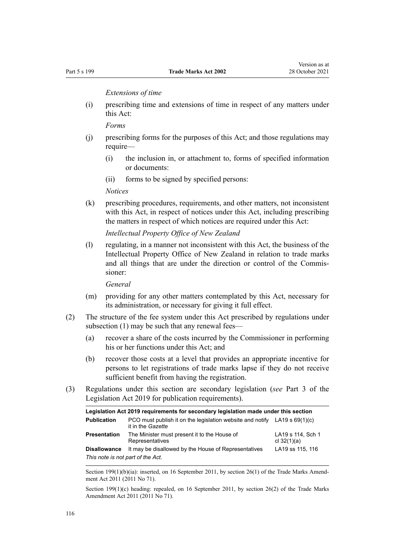*Extensions of time*

(i) prescribing time and extensions of time in respect of any matters under this Act:

*Forms*

- (j) prescribing forms for the purposes of this Act; and those regulations may require—
	- (i) the inclusion in, or attachment to, forms of specified information or documents:
	- (ii) forms to be signed by specified persons:

*Notices*

(k) prescribing procedures, requirements, and other matters, not inconsistent with this Act, in respect of notices under this Act, including prescribing the matters in respect of which notices are required under this Act:

*Intellectual Property Office of New Zealand*

(l) regulating, in a manner not inconsistent with this Act, the business of the Intellectual Property Office of New Zealand in relation to trade marks and all things that are under the direction or control of the Commissioner:

*General*

- (m) providing for any other matters contemplated by this Act, necessary for its administration, or necessary for giving it full effect.
- (2) The structure of the fee system under this Act prescribed by regulations under subsection (1) may be such that any renewal fees—
	- (a) recover a share of the costs incurred by the Commissioner in performing his or her functions under this Act; and
	- (b) recover those costs at a level that provides an appropriate incentive for persons to let registrations of trade marks lapse if they do not receive sufficient benefit from having the registration.
- (3) Regulations under this section are secondary legislation (*see* [Part 3](http://legislation.govt.nz/pdflink.aspx?id=DLM7298343) of the Legislation Act 2019 for publication requirements).

| Legislation Act 2019 requirements for secondary legislation made under this section |                                                                                                  |                                    |  |  |
|-------------------------------------------------------------------------------------|--------------------------------------------------------------------------------------------------|------------------------------------|--|--|
| <b>Publication</b>                                                                  | PCO must publish it on the legislation website and notify LA19 s $69(1)(c)$<br>it in the Gazette |                                    |  |  |
| <b>Presentation</b>                                                                 | The Minister must present it to the House of<br>Representatives                                  | LA19 s 114, Sch 1<br>cl $32(1)(a)$ |  |  |
| <b>Disallowance</b>                                                                 | It may be disallowed by the House of Representatives                                             | LA19 ss 115, 116                   |  |  |
| This note is not part of the Act.                                                   |                                                                                                  |                                    |  |  |

Section 199(1)(b)(ia): inserted, on 16 September 2011, by [section 26\(1\)](http://legislation.govt.nz/pdflink.aspx?id=DLM2290127) of the Trade Marks Amendment Act 2011 (2011 No 71).

Section 199(1)(c) heading: repealed, on 16 September 2011, by [section 26\(2\)](http://legislation.govt.nz/pdflink.aspx?id=DLM2290127) of the Trade Marks Amendment Act 2011 (2011 No 71).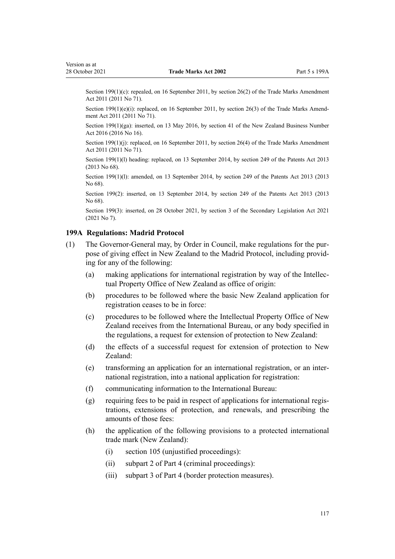Section 199(1)(c): repealed, on 16 September 2011, by [section 26\(2\)](http://legislation.govt.nz/pdflink.aspx?id=DLM2290127) of the Trade Marks Amendment Act 2011 (2011 No 71).

Section 199(1)(e)(i): replaced, on 16 September 2011, by [section 26\(3\)](http://legislation.govt.nz/pdflink.aspx?id=DLM2290127) of the Trade Marks Amendment Act 2011 (2011 No 71).

Section 199(1)(ga): inserted, on 13 May 2016, by [section 41](http://legislation.govt.nz/pdflink.aspx?id=DLM6431601) of the New Zealand Business Number Act 2016 (2016 No 16).

Section 199(1)(j): replaced, on 16 September 2011, by [section 26\(4\)](http://legislation.govt.nz/pdflink.aspx?id=DLM2290127) of the Trade Marks Amendment Act 2011 (2011 No 71).

Section 199(1)(l) heading: replaced, on 13 September 2014, by [section 249](http://legislation.govt.nz/pdflink.aspx?id=DLM1419624) of the Patents Act 2013 (2013 No 68).

Section 199(1)(l): amended, on 13 September 2014, by [section 249](http://legislation.govt.nz/pdflink.aspx?id=DLM1419624) of the Patents Act 2013 (2013 No 68).

Section 199(2): inserted, on 13 September 2014, by [section 249](http://legislation.govt.nz/pdflink.aspx?id=DLM1419624) of the Patents Act 2013 (2013 No 68).

Section 199(3): inserted, on 28 October 2021, by [section 3](http://legislation.govt.nz/pdflink.aspx?id=LMS268932) of the Secondary Legislation Act 2021 (2021 No 7).

#### **199A Regulations: Madrid Protocol**

- (1) The Governor-General may, by Order in Council, make regulations for the pur‐ pose of giving effect in New Zealand to the Madrid Protocol, including provid‐ ing for any of the following:
	- (a) making applications for international registration by way of the Intellec‐ tual Property Office of New Zealand as office of origin:
	- (b) procedures to be followed where the basic New Zealand application for registration ceases to be in force:
	- (c) procedures to be followed where the Intellectual Property Office of New Zealand receives from the International Bureau, or any body specified in the regulations, a request for extension of protection to New Zealand:
	- (d) the effects of a successful request for extension of protection to New Zealand:
	- (e) transforming an application for an international registration, or an inter‐ national registration, into a national application for registration:
	- (f) communicating information to the International Bureau:
	- (g) requiring fees to be paid in respect of applications for international regis‐ trations, extensions of protection, and renewals, and prescribing the amounts of those fees:
	- (h) the application of the following provisions to a protected international trade mark (New Zealand):
		- (i) [section 105](#page-54-0) (unjustified proceedings):
		- (ii) [subpart 2](#page-58-0) of Part 4 (criminal proceedings):
		- (iii) [subpart 3](#page-81-0) of Part 4 (border protection measures).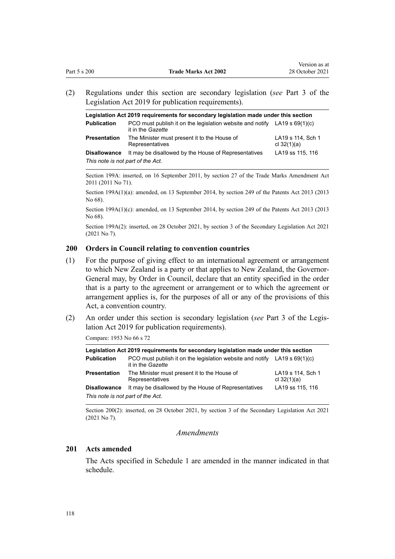<span id="page-117-0"></span>(2) Regulations under this section are secondary legislation (*see* [Part 3](http://legislation.govt.nz/pdflink.aspx?id=DLM7298343) of the Legislation Act 2019 for publication requirements).

| Legislation Act 2019 requirements for secondary legislation made under this section |                                                                                                  |                                    |  |  |
|-------------------------------------------------------------------------------------|--------------------------------------------------------------------------------------------------|------------------------------------|--|--|
| <b>Publication</b>                                                                  | PCO must publish it on the legislation website and notify LA19 s $69(1)(c)$<br>it in the Gazette |                                    |  |  |
| <b>Presentation</b>                                                                 | The Minister must present it to the House of<br>Representatives                                  | LA19 s 114, Sch 1<br>cl $32(1)(a)$ |  |  |
| <b>Disallowance</b>                                                                 | It may be disallowed by the House of Representatives                                             | LA19 ss 115, 116                   |  |  |
| This note is not part of the Act.                                                   |                                                                                                  |                                    |  |  |

Section 199A: inserted, on 16 September 2011, by [section 27](http://legislation.govt.nz/pdflink.aspx?id=DLM2290128) of the Trade Marks Amendment Act 2011 (2011 No 71).

Section 199A(1)(a): amended, on 13 September 2014, by [section 249](http://legislation.govt.nz/pdflink.aspx?id=DLM1419624) of the Patents Act 2013 (2013 No 68).

Section 199A(1)(c): amended, on 13 September 2014, by [section 249](http://legislation.govt.nz/pdflink.aspx?id=DLM1419624) of the Patents Act 2013 (2013) No 68).

Section 199A(2): inserted, on 28 October 2021, by [section 3](http://legislation.govt.nz/pdflink.aspx?id=LMS268932) of the Secondary Legislation Act 2021 (2021 No 7).

#### **200 Orders in Council relating to convention countries**

- (1) For the purpose of giving effect to an international agreement or arrangement to which New Zealand is a party or that applies to New Zealand, the Governor-General may, by Order in Council, declare that an entity specified in the order that is a party to the agreement or arrangement or to which the agreement or arrangement applies is, for the purposes of all or any of the provisions of this Act, a convention country.
- (2) An order under this section is secondary legislation (*see* [Part 3](http://legislation.govt.nz/pdflink.aspx?id=DLM7298343) of the Legis‐ lation Act 2019 for publication requirements).

Compare: 1953 No 66 s 72

| Legislation Act 2019 requirements for secondary legislation made under this section |                                                                                                  |                                    |  |  |
|-------------------------------------------------------------------------------------|--------------------------------------------------------------------------------------------------|------------------------------------|--|--|
| <b>Publication</b>                                                                  | PCO must publish it on the legislation website and notify LA19 s $69(1)(c)$<br>it in the Gazette |                                    |  |  |
| <b>Presentation</b>                                                                 | The Minister must present it to the House of<br>Representatives                                  | LA19 s 114, Sch 1<br>cl $32(1)(a)$ |  |  |
| <b>Disallowance</b>                                                                 | It may be disallowed by the House of Representatives                                             | LA19 ss 115, 116                   |  |  |
| This note is not part of the Act.                                                   |                                                                                                  |                                    |  |  |

Section 200(2): inserted, on 28 October 2021, by [section 3](http://legislation.govt.nz/pdflink.aspx?id=LMS268932) of the Secondary Legislation Act 2021 (2021 No 7).

*Amendments*

## **201 Acts amended**

The Acts specified in [Schedule 1](#page-122-0) are amended in the manner indicated in that schedule.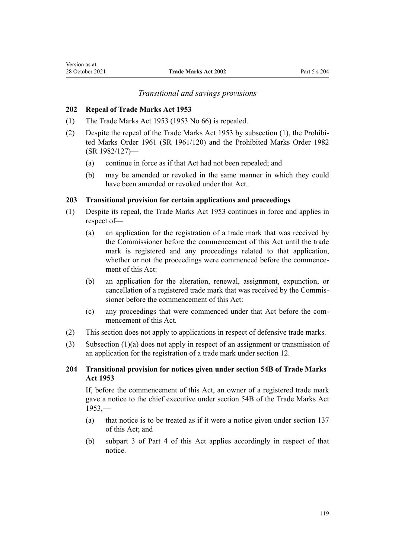## *Transitional and savings provisions*

## **202 Repeal of Trade Marks Act 1953**

- (1) The Trade Marks Act 1953 (1953 No 66) is repealed.
- (2) Despite the repeal of the Trade Marks Act 1953 by subsection (1), the [Prohibi‐](http://legislation.govt.nz/pdflink.aspx?id=DLM15734) [ted Marks Order 1961](http://legislation.govt.nz/pdflink.aspx?id=DLM15734) (SR 1961/120) and the [Prohibited Marks Order 1982](http://legislation.govt.nz/pdflink.aspx?id=DLM82309) (SR 1982/127)—
	- (a) continue in force as if that Act had not been repealed; and
	- (b) may be amended or revoked in the same manner in which they could have been amended or revoked under that Act.

## **203 Transitional provision for certain applications and proceedings**

- (1) Despite its repeal, the Trade Marks Act 1953 continues in force and applies in respect of—
	- (a) an application for the registration of a trade mark that was received by the Commissioner before the commencement of this Act until the trade mark is registered and any proceedings related to that application, whether or not the proceedings were commenced before the commencement of this Act:
	- (b) an application for the alteration, renewal, assignment, expunction, or cancellation of a registered trade mark that was received by the Commis‐ sioner before the commencement of this Act:
	- (c) any proceedings that were commenced under that Act before the com‐ mencement of this Act.
- (2) This section does not apply to applications in respect of defensive trade marks.
- (3) Subsection (1)(a) does not apply in respect of an assignment or transmission of an application for the registration of a trade mark under [section 12](#page-22-0).

# **204 Transitional provision for notices given under section 54B of Trade Marks Act 1953**

If, before the commencement of this Act, an owner of a registered trade mark gave a notice to the chief executive under section 54B of the Trade Marks Act 1953,—

- (a) that notice is to be treated as if it were a notice given under [section 137](#page-84-0) of this Act; and
- (b) subpart 3 of [Part 4](#page-48-0) of this Act applies accordingly in respect of that notice.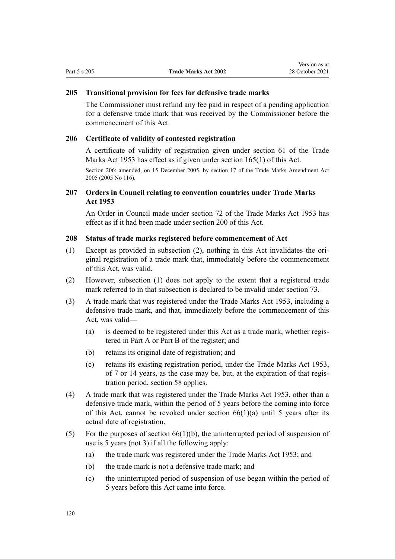### **205 Transitional provision for fees for defensive trade marks**

The Commissioner must refund any fee paid in respect of a pending application for a defensive trade mark that was received by the Commissioner before the commencement of this Act.

#### **206 Certificate of validity of contested registration**

A certificate of validity of registration given under section 61 of the Trade Marks Act 1953 has effect as if given under [section 165\(1\)](#page-102-0) of this Act.

Section 206: amended, on 15 December 2005, by [section 17](http://legislation.govt.nz/pdflink.aspx?id=DLM362651) of the Trade Marks Amendment Act 2005 (2005 No 116).

# **207 Orders in Council relating to convention countries under Trade Marks Act 1953**

An Order in Council made under section 72 of the Trade Marks Act 1953 has effect as if it had been made under [section 200](#page-117-0) of this Act.

## **208 Status of trade marks registered before commencement of Act**

- (1) Except as provided in subsection (2), nothing in this Act invalidates the ori‐ ginal registration of a trade mark that, immediately before the commencement of this Act, was valid.
- (2) However, subsection (1) does not apply to the extent that a registered trade mark referred to in that subsection is declared to be invalid under [section 73.](#page-43-0)
- (3) A trade mark that was registered under the Trade Marks Act 1953, including a defensive trade mark, and that, immediately before the commencement of this Act, was valid—
	- (a) is deemed to be registered under this Act as a trade mark, whether regis‐ tered in Part A or Part B of the register; and
	- (b) retains its original date of registration; and
	- (c) retains its existing registration period, under the Trade Marks Act 1953, of 7 or 14 years, as the case may be, but, at the expiration of that regis‐ tration period, [section 58](#page-38-0) applies.
- (4) A trade mark that was registered under the Trade Marks Act 1953, other than a defensive trade mark, within the period of 5 years before the coming into force of this Act, cannot be revoked under section  $66(1)(a)$  until 5 years after its actual date of registration.
- (5) For the purposes of section  $66(1)(b)$ , the uninterrupted period of suspension of use is 5 years (not 3) if all the following apply:
	- (a) the trade mark was registered under the Trade Marks Act 1953; and
	- (b) the trade mark is not a defensive trade mark; and
	- (c) the uninterrupted period of suspension of use began within the period of 5 years before this Act came into force.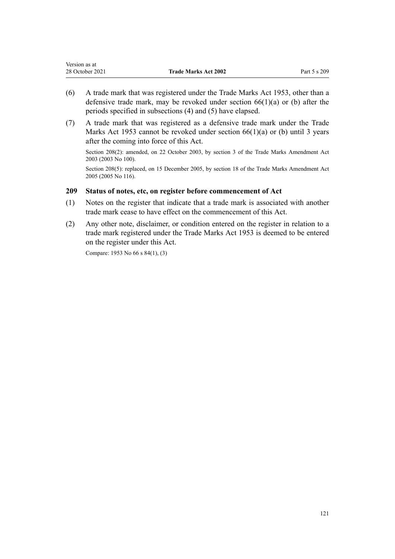| Version as at   |                             |              |
|-----------------|-----------------------------|--------------|
| 28 October 2021 | <b>Trade Marks Act 2002</b> | Part 5 s 209 |

- (6) A trade mark that was registered under the Trade Marks Act 1953, other than a defensive trade mark, may be revoked under [section 66\(1\)\(a\) or \(b\)](#page-40-0) after the periods specified in subsections (4) and (5) have elapsed.
- (7) A trade mark that was registered as a defensive trade mark under the Trade Marks Act 1953 cannot be revoked under section  $66(1)(a)$  or (b) until 3 years after the coming into force of this Act.

Section 208(2): amended, on 22 October 2003, by [section 3](http://legislation.govt.nz/pdflink.aspx?id=DLM218849) of the Trade Marks Amendment Act 2003 (2003 No 100).

Section 208(5): replaced, on 15 December 2005, by [section 18](http://legislation.govt.nz/pdflink.aspx?id=DLM362652) of the Trade Marks Amendment Act 2005 (2005 No 116).

## **209 Status of notes, etc, on register before commencement of Act**

- (1) Notes on the register that indicate that a trade mark is associated with another trade mark cease to have effect on the commencement of this Act.
- (2) Any other note, disclaimer, or condition entered on the register in relation to a trade mark registered under the Trade Marks Act 1953 is deemed to be entered on the register under this Act.

Compare: 1953 No 66 s 84(1), (3)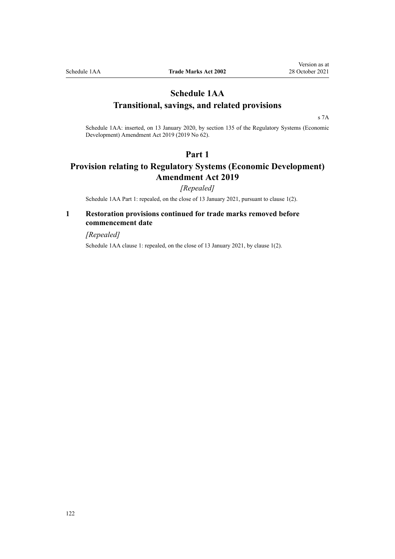# <span id="page-121-0"></span>**Schedule 1AA Transitional, savings, and related provisions**

[s 7A](#page-21-0)

Schedule 1AA: inserted, on 13 January 2020, by [section 135](http://legislation.govt.nz/pdflink.aspx?id=LMS85768) of the Regulatory Systems (Economic Development) Amendment Act 2019 (2019 No 62).

## **Part 1**

# **Provision relating to Regulatory Systems (Economic Development) Amendment Act 2019**

*[Repealed]*

Schedule 1AA Part 1: repealed, on the close of 13 January 2021, pursuant to clause 1(2).

# **1 Restoration provisions continued for trade marks removed before commencement date**

*[Repealed]*

Schedule 1AA clause 1: repealed, on the close of 13 January 2021, by clause 1(2).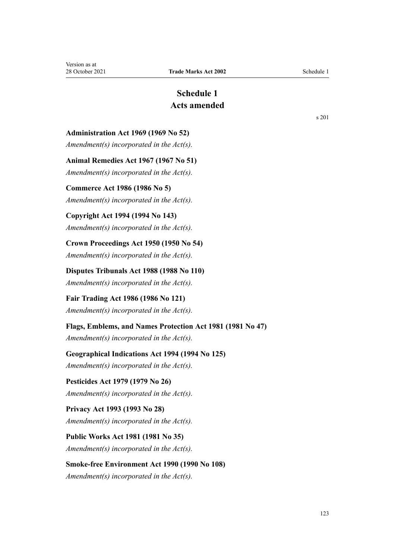# **Schedule 1 Acts amended**

<span id="page-122-0"></span>**Administration Act 1969 (1969 No 52)**

*Amendment(s) incorporated in the [Act\(s\).](http://legislation.govt.nz/pdflink.aspx?id=DLM392629)*

**Animal Remedies Act 1967 (1967 No 51)**

*Amendment(s) incorporated in the Act(s).*

# **Commerce Act 1986 (1986 No 5)**

*Amendment(s) incorporated in the [Act\(s\).](http://legislation.govt.nz/pdflink.aspx?id=DLM88410)*

# **Copyright Act 1994 (1994 No 143)**

*Amendment(s) incorporated in the [Act\(s\).](http://legislation.govt.nz/pdflink.aspx?id=DLM346602)*

**Crown Proceedings Act 1950 (1950 No 54)** *Amendment(s) incorporated in the [Act\(s\).](http://legislation.govt.nz/pdflink.aspx?id=DLM261925)*

**Disputes Tribunals Act 1988 (1988 No 110)** *Amendment(s) incorporated in the [Act\(s\).](http://legislation.govt.nz/pdflink.aspx?id=DLM133292)*

**Fair Trading Act 1986 (1986 No 121)** *Amendment(s) incorporated in the [Act\(s\).](http://legislation.govt.nz/pdflink.aspx?id=DLM96923)*

# **Flags, Emblems, and Names Protection Act 1981 (1981 No 47)**

*Amendment(s) incorporated in the [Act\(s\).](http://legislation.govt.nz/pdflink.aspx?id=DLM51363)*

# **Geographical Indications Act 1994 (1994 No 125)**

*Amendment(s) incorporated in the [Act\(s\).](http://legislation.govt.nz/pdflink.aspx?id=DLM345232)*

**Pesticides Act 1979 (1979 No 26)** *Amendment(s) incorporated in the Act(s).*

# **Privacy Act 1993 (1993 No 28)** *Amendment(s) incorporated in the [Act\(s\).](http://legislation.govt.nz/pdflink.aspx?id=DLM298477)*

**Public Works Act 1981 (1981 No 35)** *Amendment(s) incorporated in the [Act\(s\).](http://legislation.govt.nz/pdflink.aspx?id=DLM45426)*

# **Smoke-free Environment Act 1990 (1990 No 108)**

*Amendment(s) incorporated in the [Act\(s\).](http://legislation.govt.nz/pdflink.aspx?id=DLM223905)*

[s 201](#page-117-0)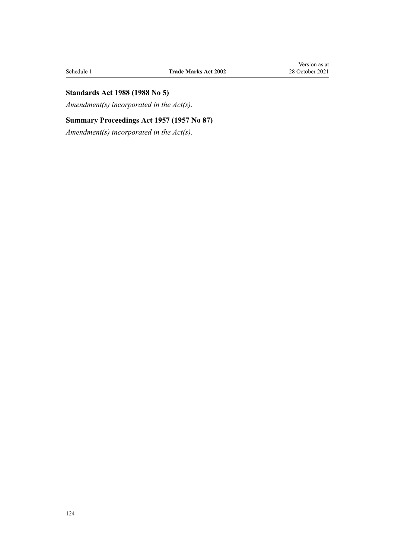# **Standards Act 1988 (1988 No 5)**

*Amendment(s) incorporated in the [Act\(s\).](http://legislation.govt.nz/pdflink.aspx?id=DLM128701)*

# **Summary Proceedings Act 1957 (1957 No 87)**

*Amendment(s) incorporated in the [Act\(s\).](http://legislation.govt.nz/pdflink.aspx?id=DLM310742)*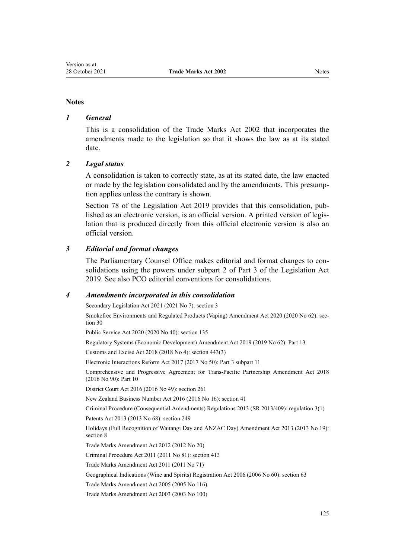## **Notes**

## *1 General*

This is a consolidation of the Trade Marks Act 2002 that incorporates the amendments made to the legislation so that it shows the law as at its stated date.

# *2 Legal status*

A consolidation is taken to correctly state, as at its stated date, the law enacted or made by the legislation consolidated and by the amendments. This presump‐ tion applies unless the contrary is shown.

[Section 78](http://legislation.govt.nz/pdflink.aspx?id=DLM7298365) of the Legislation Act 2019 provides that this consolidation, published as an electronic version, is an official version. A printed version of legis‐ lation that is produced directly from this official electronic version is also an official version.

## *3 Editorial and format changes*

The Parliamentary Counsel Office makes editorial and format changes to consolidations using the powers under [subpart 2](http://legislation.govt.nz/pdflink.aspx?id=DLM7298371) of Part 3 of the Legislation Act 2019. See also [PCO editorial conventions for consolidations](http://www.pco.govt.nz/editorial-conventions/).

## *4 Amendments incorporated in this consolidation*

Secondary Legislation Act 2021 (2021 No 7): [section 3](http://legislation.govt.nz/pdflink.aspx?id=LMS268932)

Smokefree Environments and Regulated Products (Vaping) Amendment Act 2020 (2020 No 62): sec[tion 30](http://legislation.govt.nz/pdflink.aspx?id=LMS314081)

Public Service Act 2020 (2020 No 40): [section 135](http://legislation.govt.nz/pdflink.aspx?id=LMS176959)

Regulatory Systems (Economic Development) Amendment Act 2019 (2019 No 62): [Part 13](http://legislation.govt.nz/pdflink.aspx?id=LMS85770)

Customs and Excise Act 2018 (2018 No 4): [section 443\(3\)](http://legislation.govt.nz/pdflink.aspx?id=DLM7039957)

Electronic Interactions Reform Act 2017 (2017 No 50): Part 3 [subpart 11](http://legislation.govt.nz/pdflink.aspx?id=DLM6962237)

Comprehensive and Progressive Agreement for Trans-Pacific Partnership Amendment Act 2018 (2016 No 90): [Part 10](http://legislation.govt.nz/pdflink.aspx?id=DLM6838425)

District Court Act 2016 (2016 No 49): [section 261](http://legislation.govt.nz/pdflink.aspx?id=DLM6942680)

New Zealand Business Number Act 2016 (2016 No 16): [section 41](http://legislation.govt.nz/pdflink.aspx?id=DLM6431601)

Criminal Procedure (Consequential Amendments) Regulations 2013 (SR 2013/409): [regulation 3\(1\)](http://legislation.govt.nz/pdflink.aspx?id=DLM5642106)

Patents Act 2013 (2013 No 68): [section 249](http://legislation.govt.nz/pdflink.aspx?id=DLM1419624)

Holidays (Full Recognition of Waitangi Day and ANZAC Day) Amendment Act 2013 (2013 No 19): [section 8](http://legislation.govt.nz/pdflink.aspx?id=DLM4929207)

[Trade Marks Amendment Act 2012](http://legislation.govt.nz/pdflink.aspx?id=DLM4015202) (2012 No 20)

Criminal Procedure Act 2011 (2011 No 81): [section 413](http://legislation.govt.nz/pdflink.aspx?id=DLM3360714)

[Trade Marks Amendment Act 2011](http://legislation.govt.nz/pdflink.aspx?id=DLM2290000) (2011 No 71)

Geographical Indications (Wine and Spirits) Registration Act 2006 (2006 No 60): [section 63](http://legislation.govt.nz/pdflink.aspx?id=DLM390893)

[Trade Marks Amendment Act 2005](http://legislation.govt.nz/pdflink.aspx?id=DLM362630) (2005 No 116)

[Trade Marks Amendment Act 2003](http://legislation.govt.nz/pdflink.aspx?id=DLM218843) (2003 No 100)